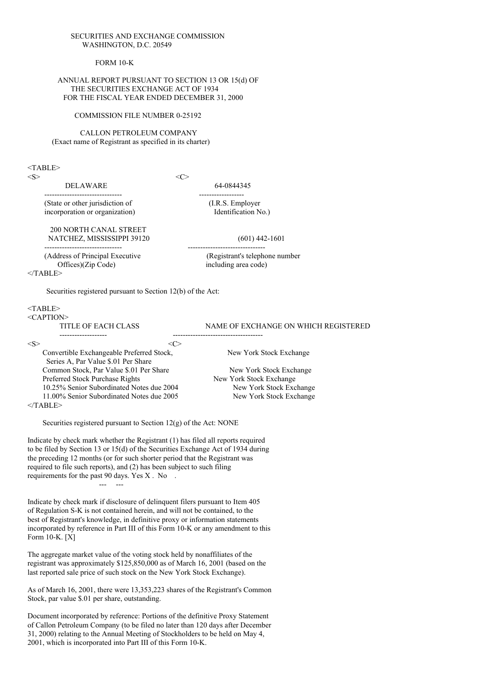#### SECURITIES AND EXCHANGE COMMISSION WASHINGTON, D.C. 20549

FORM 10-K

#### ANNUAL REPORT PURSUANT TO SECTION 13 OR 15(d) OF THE SECURITIES EXCHANGE ACT OF 1934 FOR THE FISCAL YEAR ENDED DECEMBER 31, 2000

#### COMMISSION FILE NUMBER 0-25192

CALLON PETROLEUM COMPANY (Exact name of Registrant as specified in its charter)

#### $<$ TABLE>

 $\langle S \rangle$   $\langle C \rangle$ 

DELAWARE 64-0844345

------------------------------- ------------------ (State or other jurisdiction of (I.R.S. Employer incorporation or organization) (I.R.S. Employer incorporation or organization)

200 NORTH CANAL STREET NATCHEZ, MISSISSIPPI 39120 (601) 442-1601

(Address of Principal Executive (Registrant's telephone number Offices)(Zip Code) including area code)

------------------------------- -------------------------------

 $<$ /TABLE>

Securities registered pursuant to Section 12(b) of the Act:

| $<$ TABLE>                                |     |                                      |
|-------------------------------------------|-----|--------------------------------------|
| $\leq$ CAPTION $>$                        |     |                                      |
| TITLE OF EACH CLASS                       |     | NAME OF EXCHANGE ON WHICH REGISTERED |
|                                           |     |                                      |
| $<\!\!S\!\!>$                             | લ > |                                      |
| Convertible Exchangeable Preferred Stock, |     | New York Stock Exchange              |
| Series A, Par Value \$.01 Per Share       |     |                                      |
| Common Stock, Par Value \$.01 Per Share   |     | New York Stock Exchange              |
| Preferred Stock Purchase Rights           |     | New York Stock Exchange              |
| 10.25% Senior Subordinated Notes due 2004 |     | New York Stock Exchange              |
| 11.00% Senior Subordinated Notes due 2005 |     | New York Stock Exchange              |

 $<$ /TABLE>

Securities registered pursuant to Section 12(g) of the Act: NONE

Indicate by check mark whether the Registrant (1) has filed all reports required to be filed by Section 13 or 15(d) of the Securities Exchange Act of 1934 during the preceding 12 months (or for such shorter period that the Registrant was required to file such reports), and (2) has been subject to such filing requirements for the past 90 days. Yes X . No . --- ---

Indicate by check mark if disclosure of delinquent filers pursuant to Item 405 of Regulation S-K is not contained herein, and will not be contained, to the best of Registrant's knowledge, in definitive proxy or information statements incorporated by reference in Part III of this Form 10-K or any amendment to this Form 10-K. [X]

The aggregate market value of the voting stock held by nonaffiliates of the registrant was approximately \$125,850,000 as of March 16, 2001 (based on the last reported sale price of such stock on the New York Stock Exchange).

As of March 16, 2001, there were 13,353,223 shares of the Registrant's Common Stock, par value \$.01 per share, outstanding.

Document incorporated by reference: Portions of the definitive Proxy Statement of Callon Petroleum Company (to be filed no later than 120 days after December 31, 2000) relating to the Annual Meeting of Stockholders to be held on May 4, 2001, which is incorporated into Part III of this Form 10-K.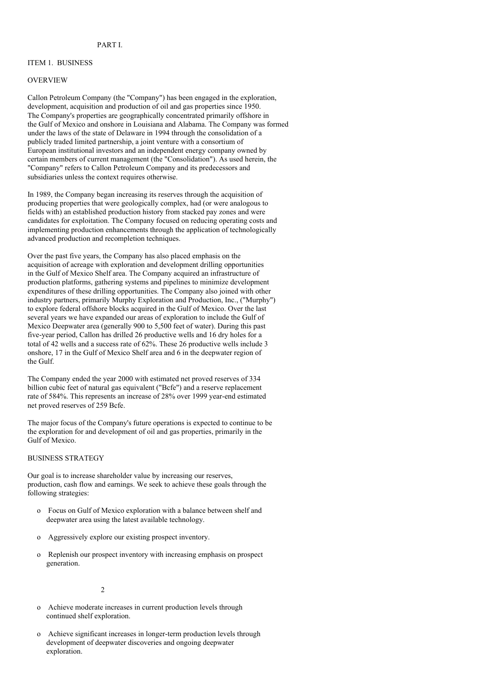# ITEM 1. BUSINESS

#### OVERVIEW

Callon Petroleum Company (the "Company") has been engaged in the exploration, development, acquisition and production of oil and gas properties since 1950. The Company's properties are geographically concentrated primarily offshore in the Gulf of Mexico and onshore in Louisiana and Alabama. The Company was formed under the laws of the state of Delaware in 1994 through the consolidation of a publicly traded limited partnership, a joint venture with a consortium of European institutional investors and an independent energy company owned by certain members of current management (the "Consolidation"). As used herein, the "Company" refers to Callon Petroleum Company and its predecessors and subsidiaries unless the context requires otherwise.

In 1989, the Company began increasing its reserves through the acquisition of producing properties that were geologically complex, had (or were analogous to fields with) an established production history from stacked pay zones and were candidates for exploitation. The Company focused on reducing operating costs and implementing production enhancements through the application of technologically advanced production and recompletion techniques.

Over the past five years, the Company has also placed emphasis on the acquisition of acreage with exploration and development drilling opportunities in the Gulf of Mexico Shelf area. The Company acquired an infrastructure of production platforms, gathering systems and pipelines to minimize development expenditures of these drilling opportunities. The Company also joined with other industry partners, primarily Murphy Exploration and Production, Inc., ("Murphy") to explore federal offshore blocks acquired in the Gulf of Mexico. Over the last several years we have expanded our areas of exploration to include the Gulf of Mexico Deepwater area (generally 900 to 5,500 feet of water). During this past five-year period, Callon has drilled 26 productive wells and 16 dry holes for a total of 42 wells and a success rate of  $62\%$ . These 26 productive wells include 3 onshore, 17 in the Gulf of Mexico Shelf area and 6 in the deepwater region of the Gulf.

The Company ended the year 2000 with estimated net proved reserves of 334 billion cubic feet of natural gas equivalent ("Bcfe") and a reserve replacement rate of 584%. This represents an increase of 28% over 1999 year-end estimated net proved reserves of 259 Bcfe.

The major focus of the Company's future operations is expected to continue to be the exploration for and development of oil and gas properties, primarily in the Gulf of Mexico.

#### BUSINESS STRATEGY

Our goal is to increase shareholder value by increasing our reserves, production, cash flow and earnings. We seek to achieve these goals through the following strategies:

- o Focus on Gulf of Mexico exploration with a balance between shelf and deepwater area using the latest available technology.
- o Aggressively explore our existing prospect inventory.
- o Replenish our prospect inventory with increasing emphasis on prospect generation.

 $\mathcal{L}$ 

- Achieve moderate increases in current production levels through continued shelf exploration.
- o Achieve significant increases in longer-term production levels through development of deepwater discoveries and ongoing deepwater exploration.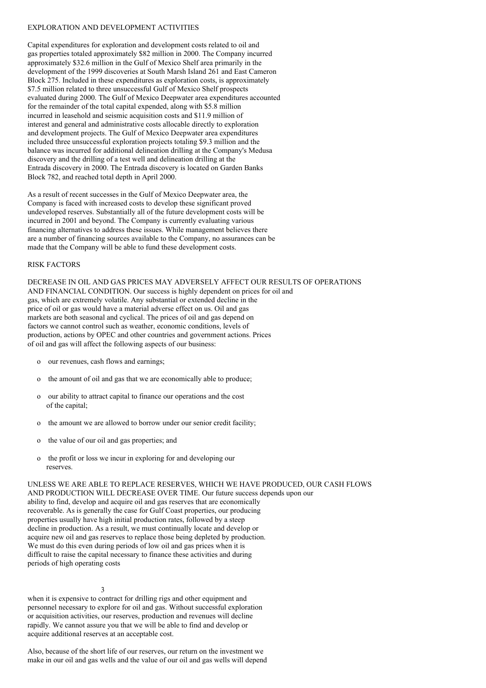#### EXPLORATION AND DEVELOPMENT ACTIVITIES

Capital expenditures for exploration and development costs related to oil and gas properties totaled approximately \$82 million in 2000. The Company incurred approximately \$32.6 million in the Gulf of Mexico Shelf area primarily in the development of the 1999 discoveries at South Marsh Island 261 and East Cameron Block 275. Included in these expenditures as exploration costs, is approximately \$7.5 million related to three unsuccessful Gulf of Mexico Shelf prospects evaluated during 2000. The Gulf of Mexico Deepwater area expenditures accounted for the remainder of the total capital expended, along with \$5.8 million incurred in leasehold and seismic acquisition costs and \$11.9 million of interest and general and administrative costs allocable directly to exploration and development projects. The Gulf of Mexico Deepwater area expenditures included three unsuccessful exploration projects totaling \$9.3 million and the balance was incurred for additional delineation drilling at the Company's Medusa discovery and the drilling of a test well and delineation drilling at the Entrada discovery in 2000. The Entrada discovery is located on Garden Banks Block 782, and reached total depth in April 2000.

As a result of recent successes in the Gulf of Mexico Deepwater area, the Company is faced with increased costs to develop these significant proved undeveloped reserves. Substantially all of the future development costs will be incurred in 2001 and beyond. The Company is currently evaluating various financing alternatives to address these issues. While management believes there are a number of financing sources available to the Company, no assurances can be made that the Company will be able to fund these development costs.

# RISK FACTORS

DECREASE IN OIL AND GAS PRICES MAY ADVERSELY AFFECT OUR RESULTS OF OPERATIONS AND FINANCIAL CONDITION. Our success is highly dependent on prices for oil and gas, which are extremely volatile. Any substantial or extended decline in the price of oil or gas would have a material adverse effect on us. Oil and gas markets are both seasonal and cyclical. The prices of oil and gas depend on factors we cannot control such as weather, economic conditions, levels of production, actions by OPEC and other countries and government actions. Prices of oil and gas will affect the following aspects of our business:

- o our revenues, cash flows and earnings;
- o the amount of oil and gas that we are economically able to produce;
- o our ability to attract capital to finance our operations and the cost of the capital;
- o the amount we are allowed to borrow under our senior credit facility;
- o the value of our oil and gas properties; and
- o the profit or loss we incur in exploring for and developing our reserves.

UNLESS WE ARE ABLE TO REPLACE RESERVES, WHICH WE HAVE PRODUCED, OUR CASH FLOWS AND PRODUCTION WILL DECREASE OVER TIME. Our future success depends upon our ability to find, develop and acquire oil and gas reserves that are economically recoverable. As is generally the case for Gulf Coast properties, our producing properties usually have high initial production rates, followed by a steep decline in production. As a result, we must continually locate and develop or acquire new oil and gas reserves to replace those being depleted by production. We must do this even during periods of low oil and gas prices when it is difficult to raise the capital necessary to finance these activities and during periods of high operating costs

3

when it is expensive to contract for drilling rigs and other equipment and personnel necessary to explore for oil and gas. Without successful exploration or acquisition activities, our reserves, production and revenues will decline rapidly. We cannot assure you that we will be able to find and develop or acquire additional reserves at an acceptable cost.

Also, because of the short life of our reserves, our return on the investment we make in our oil and gas wells and the value of our oil and gas wells will depend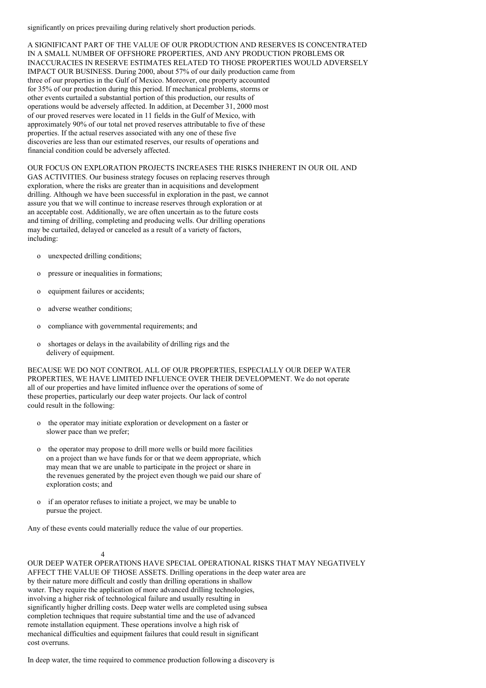significantly on prices prevailing during relatively short production periods.

A SIGNIFICANT PART OF THE VALUE OF OUR PRODUCTION AND RESERVES IS CONCENTRATED IN A SMALL NUMBER OF OFFSHORE PROPERTIES, AND ANY PRODUCTION PROBLEMS OR INACCURACIES IN RESERVE ESTIMATES RELATED TO THOSE PROPERTIES WOULD ADVERSELY IMPACT OUR BUSINESS. During 2000, about 57% of our daily production came from three of our properties in the Gulf of Mexico. Moreover, one property accounted for 35% of our production during this period. If mechanical problems, storms or other events curtailed a substantial portion of this production, our results of operations would be adversely affected. In addition, at December 31, 2000 most of our proved reserves were located in 11 fields in the Gulf of Mexico, with approximately 90% of our total net proved reserves attributable to five of these properties. If the actual reserves associated with any one of these five discoveries are less than our estimated reserves, our results of operations and financial condition could be adversely affected.

OUR FOCUS ON EXPLORATION PROJECTS INCREASES THE RISKS INHERENT IN OUR OIL AND GAS ACTIVITIES. Our business strategy focuses on replacing reserves through exploration, where the risks are greater than in acquisitions and development drilling. Although we have been successful in exploration in the past, we cannot assure you that we will continue to increase reserves through exploration or at an acceptable cost. Additionally, we are often uncertain as to the future costs and timing of drilling, completing and producing wells. Our drilling operations may be curtailed, delayed or canceled as a result of a variety of factors, including:

- o unexpected drilling conditions;
- o pressure or inequalities in formations;
- o equipment failures or accidents;
- o adverse weather conditions;
- o compliance with governmental requirements; and
- o shortages or delays in the availability of drilling rigs and the delivery of equipment.

BECAUSE WE DO NOT CONTROL ALL OF OUR PROPERTIES, ESPECIALLY OUR DEEP WATER PROPERTIES, WE HAVE LIMITED INFLUENCE OVER THEIR DEVELOPMENT. We do not operate all of our properties and have limited influence over the operations of some of these properties, particularly our deep water projects. Our lack of control could result in the following:

- o the operator may initiate exploration or development on a faster or slower pace than we prefer;
- o the operator may propose to drill more wells or build more facilities on a project than we have funds for or that we deem appropriate, which may mean that we are unable to participate in the project or share in the revenues generated by the project even though we paid our share of exploration costs; and
- o if an operator refuses to initiate a project, we may be unable to pursue the project.

Any of these events could materially reduce the value of our properties.

# 4

OUR DEEP WATER OPERATIONS HAVE SPECIAL OPERATIONAL RISKS THAT MAY NEGATIVELY AFFECT THE VALUE OF THOSE ASSETS. Drilling operations in the deep water area are by their nature more difficult and costly than drilling operations in shallow water. They require the application of more advanced drilling technologies, involving a higher risk of technological failure and usually resulting in significantly higher drilling costs. Deep water wells are completed using subsea completion techniques that require substantial time and the use of advanced remote installation equipment. These operations involve a high risk of mechanical difficulties and equipment failures that could result in significant cost overruns.

In deep water, the time required to commence production following a discovery is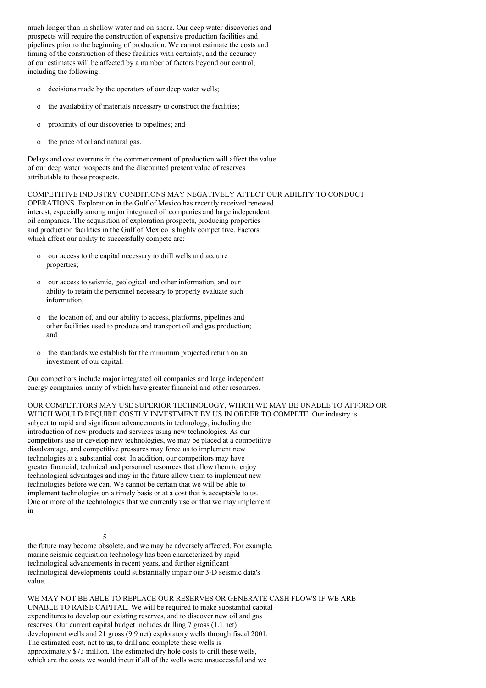much longer than in shallow water and on-shore. Our deep water discoveries and prospects will require the construction of expensive production facilities and pipelines prior to the beginning of production. We cannot estimate the costs and timing of the construction of these facilities with certainty, and the accuracy of our estimates will be affected by a number of factors beyond our control, including the following:

- o decisions made by the operators of our deep water wells;
- o the availability of materials necessary to construct the facilities;
- o proximity of our discoveries to pipelines; and
- o the price of oil and natural gas.

Delays and cost overruns in the commencement of production will affect the value of our deep water prospects and the discounted present value of reserves attributable to those prospects.

COMPETITIVE INDUSTRY CONDITIONS MAY NEGATIVELY AFFECT OUR ABILITY TO CONDUCT OPERATIONS. Exploration in the Gulf of Mexico has recently received renewed interest, especially among major integrated oil companies and large independent oil companies. The acquisition of exploration prospects, producing properties and production facilities in the Gulf of Mexico is highly competitive. Factors which affect our ability to successfully compete are:

- o our access to the capital necessary to drill wells and acquire properties;
- o our access to seismic, geological and other information, and our ability to retain the personnel necessary to properly evaluate such information;
- o the location of, and our ability to access, platforms, pipelines and other facilities used to produce and transport oil and gas production; and
- the standards we establish for the minimum projected return on an investment of our capital.

Our competitors include major integrated oil companies and large independent energy companies, many of which have greater financial and other resources.

OUR COMPETITORS MAY USE SUPERIOR TECHNOLOGY, WHICH WE MAY BE UNABLE TO AFFORD OR WHICH WOULD REQUIRE COSTLY INVESTMENT BY US IN ORDER TO COMPETE. Our industry is subject to rapid and significant advancements in technology, including the introduction of new products and services using new technologies. As our competitors use or develop new technologies, we may be placed at a competitive disadvantage, and competitive pressures may force us to implement new technologies at a substantial cost. In addition, our competitors may have greater financial, technical and personnel resources that allow them to enjoy technological advantages and may in the future allow them to implement new technologies before we can. We cannot be certain that we will be able to implement technologies on a timely basis or at a cost that is acceptable to us. One or more of the technologies that we currently use or that we may implement in

5 the future may become obsolete, and we may be adversely affected. For example, marine seismic acquisition technology has been characterized by rapid technological advancements in recent years, and further significant technological developments could substantially impair our 3-D seismic data's value.

WE MAY NOT BE ABLE TO REPLACE OUR RESERVES OR GENERATE CASH FLOWS IF WE ARE UNABLE TO RAISE CAPITAL. We will be required to make substantial capital expenditures to develop our existing reserves, and to discover new oil and gas reserves. Our current capital budget includes drilling 7 gross (1.1 net) development wells and 21 gross (9.9 net) exploratory wells through fiscal 2001. The estimated cost, net to us, to drill and complete these wells is approximately \$73 million. The estimated dry hole costs to drill these wells, which are the costs we would incur if all of the wells were unsuccessful and we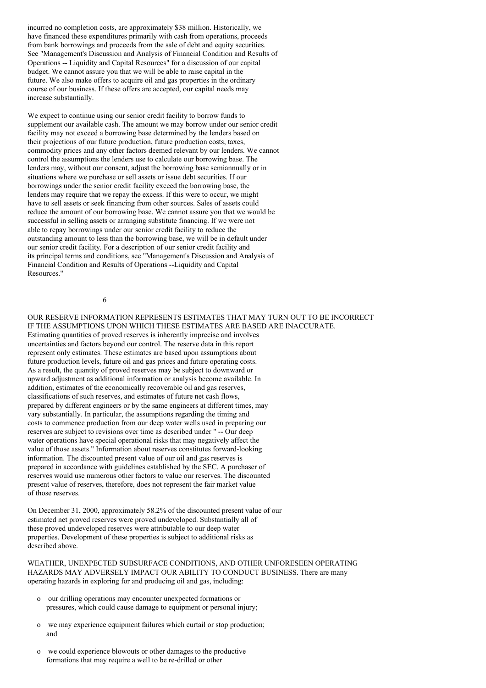incurred no completion costs, are approximately \$38 million. Historically, we have financed these expenditures primarily with cash from operations, proceeds from bank borrowings and proceeds from the sale of debt and equity securities. See "Management's Discussion and Analysis of Financial Condition and Results of Operations -- Liquidity and Capital Resources" for a discussion of our capital budget. We cannot assure you that we will be able to raise capital in the future. We also make offers to acquire oil and gas properties in the ordinary course of our business. If these offers are accepted, our capital needs may increase substantially.

We expect to continue using our senior credit facility to borrow funds to supplement our available cash. The amount we may borrow under our senior credit facility may not exceed a borrowing base determined by the lenders based on their projections of our future production, future production costs, taxes, commodity prices and any other factors deemed relevant by our lenders. We cannot control the assumptions the lenders use to calculate our borrowing base. The lenders may, without our consent, adjust the borrowing base semiannually or in situations where we purchase or sell assets or issue debt securities. If our borrowings under the senior credit facility exceed the borrowing base, the lenders may require that we repay the excess. If this were to occur, we might have to sell assets or seek financing from other sources. Sales of assets could reduce the amount of our borrowing base. We cannot assure you that we would be successful in selling assets or arranging substitute financing. If we were not able to repay borrowings under our senior credit facility to reduce the outstanding amount to less than the borrowing base, we will be in default under our senior credit facility. For a description of our senior credit facility and its principal terms and conditions, see "Management's Discussion and Analysis of Financial Condition and Results of Operations --Liquidity and Capital Resources."

6

OUR RESERVE INFORMATION REPRESENTS ESTIMATES THAT MAY TURN OUT TO BE INCORRECT IF THE ASSUMPTIONS UPON WHICH THESE ESTIMATES ARE BASED ARE INACCURATE. Estimating quantities of proved reserves is inherently imprecise and involves uncertainties and factors beyond our control. The reserve data in this report represent only estimates. These estimates are based upon assumptions about future production levels, future oil and gas prices and future operating costs. As a result, the quantity of proved reserves may be subject to downward or upward adjustment as additional information or analysis become available. In addition, estimates of the economically recoverable oil and gas reserves, classifications of such reserves, and estimates of future net cash flows, prepared by different engineers or by the same engineers at different times, may vary substantially. In particular, the assumptions regarding the timing and costs to commence production from our deep water wells used in preparing our reserves are subject to revisions over time as described under " -- Our deep water operations have special operational risks that may negatively affect the value of those assets." Information about reserves constitutes forward-looking information. The discounted present value of our oil and gas reserves is prepared in accordance with guidelines established by the SEC. A purchaser of reserves would use numerous other factors to value our reserves. The discounted present value of reserves, therefore, does not represent the fair market value of those reserves.

On December 31, 2000, approximately 58.2% of the discounted present value of our estimated net proved reserves were proved undeveloped. Substantially all of these proved undeveloped reserves were attributable to our deep water properties. Development of these properties is subject to additional risks as described above.

WEATHER, UNEXPECTED SUBSURFACE CONDITIONS, AND OTHER UNFORESEEN OPERATING HAZARDS MAY ADVERSELY IMPACT OUR ABILITY TO CONDUCT BUSINESS. There are many operating hazards in exploring for and producing oil and gas, including:

- o our drilling operations may encounter unexpected formations or pressures, which could cause damage to equipment or personal injury;
- o we may experience equipment failures which curtail or stop production; and
- o we could experience blowouts or other damages to the productive formations that may require a well to be re-drilled or other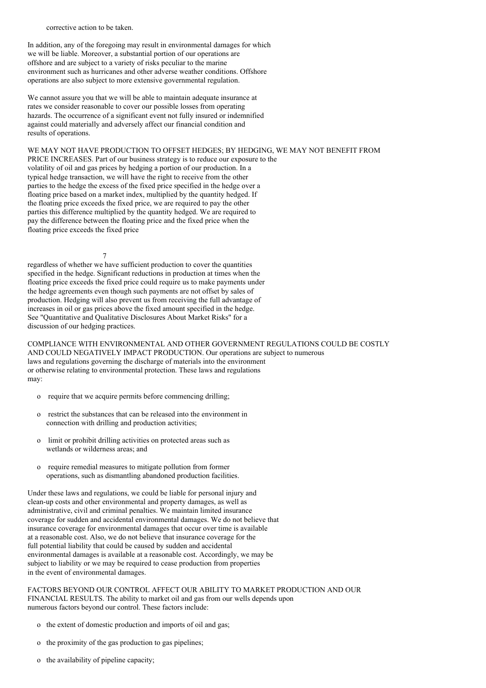corrective action to be taken.

In addition, any of the foregoing may result in environmental damages for which we will be liable. Moreover, a substantial portion of our operations are offshore and are subject to a variety of risks peculiar to the marine environment such as hurricanes and other adverse weather conditions. Offshore operations are also subject to more extensive governmental regulation.

We cannot assure you that we will be able to maintain adequate insurance at rates we consider reasonable to cover our possible losses from operating hazards. The occurrence of a significant event not fully insured or indemnified against could materially and adversely affect our financial condition and results of operations.

WE MAY NOT HAVE PRODUCTION TO OFFSET HEDGES; BY HEDGING, WE MAY NOT BENEFIT FROM PRICE INCREASES. Part of our business strategy is to reduce our exposure to the volatility of oil and gas prices by hedging a portion of our production. In a typical hedge transaction, we will have the right to receive from the other parties to the hedge the excess of the fixed price specified in the hedge over a floating price based on a market index, multiplied by the quantity hedged. If the floating price exceeds the fixed price, we are required to pay the other parties this difference multiplied by the quantity hedged. We are required to pay the difference between the floating price and the fixed price when the floating price exceeds the fixed price

7

regardless of whether we have sufficient production to cover the quantities specified in the hedge. Significant reductions in production at times when the floating price exceeds the fixed price could require us to make payments under the hedge agreements even though such payments are not offset by sales of production. Hedging will also prevent us from receiving the full advantage of increases in oil or gas prices above the fixed amount specified in the hedge. See "Quantitative and Qualitative Disclosures About Market Risks" for a discussion of our hedging practices.

COMPLIANCE WITH ENVIRONMENTAL AND OTHER GOVERNMENT REGULATIONS COULD BE COSTLY AND COULD NEGATIVELY IMPACT PRODUCTION. Our operations are subject to numerous laws and regulations governing the discharge of materials into the environment or otherwise relating to environmental protection. These laws and regulations may:

- o require that we acquire permits before commencing drilling;
- o restrict the substances that can be released into the environment in connection with drilling and production activities;
- o limit or prohibit drilling activities on protected areas such as wetlands or wilderness areas; and
- o require remedial measures to mitigate pollution from former operations, such as dismantling abandoned production facilities.

Under these laws and regulations, we could be liable for personal injury and clean-up costs and other environmental and property damages, as well as administrative, civil and criminal penalties. We maintain limited insurance coverage for sudden and accidental environmental damages. We do not believe that insurance coverage for environmental damages that occur over time is available at a reasonable cost. Also, we do not believe that insurance coverage for the full potential liability that could be caused by sudden and accidental environmental damages is available at a reasonable cost. Accordingly, we may be subject to liability or we may be required to cease production from properties in the event of environmental damages.

FACTORS BEYOND OUR CONTROL AFFECT OUR ABILITY TO MARKET PRODUCTION AND OUR FINANCIAL RESULTS. The ability to market oil and gas from our wells depends upon numerous factors beyond our control. These factors include:

- o the extent of domestic production and imports of oil and gas;
- o the proximity of the gas production to gas pipelines;
- o the availability of pipeline capacity;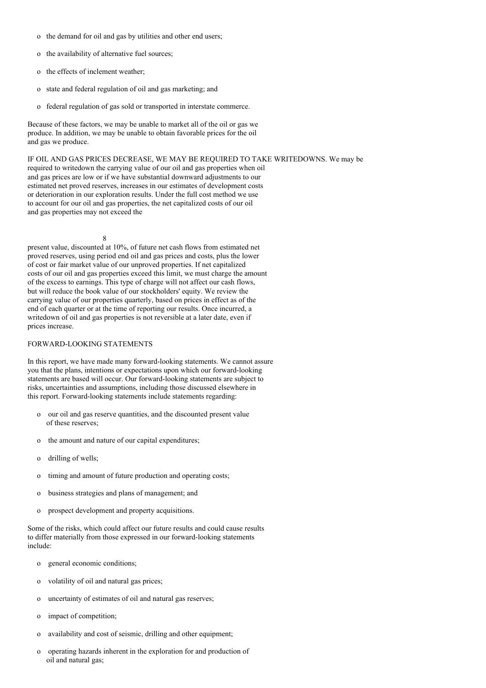- o the demand for oil and gas by utilities and other end users;
- o the availability of alternative fuel sources;
- o the effects of inclement weather;
- o state and federal regulation of oil and gas marketing; and
- o federal regulation of gas sold or transported in interstate commerce.

Because of these factors, we may be unable to market all of the oil or gas we produce. In addition, we may be unable to obtain favorable prices for the oil and gas we produce.

IF OIL AND GAS PRICES DECREASE, WE MAY BE REQUIRED TO TAKE WRITEDOWNS. We may be required to writedown the carrying value of our oil and gas properties when oil and gas prices are low or if we have substantial downward adjustments to our estimated net proved reserves, increases in our estimates of development costs or deterioration in our exploration results. Under the full cost method we use to account for our oil and gas properties, the net capitalized costs of our oil and gas properties may not exceed the

8

present value, discounted at 10%, of future net cash flows from estimated net proved reserves, using period end oil and gas prices and costs, plus the lower of cost or fair market value of our unproved properties. If net capitalized costs of our oil and gas properties exceed this limit, we must charge the amount of the excess to earnings. This type of charge will not affect our cash flows, but will reduce the book value of our stockholders' equity. We review the carrying value of our properties quarterly, based on prices in effect as of the end of each quarter or at the time of reporting our results. Once incurred, a writedown of oil and gas properties is not reversible at a later date, even if prices increase.

#### FORWARD-LOOKING STATEMENTS

In this report, we have made many forward-looking statements. We cannot assure you that the plans, intentions or expectations upon which our forward-looking statements are based will occur. Our forward-looking statements are subject to risks, uncertainties and assumptions, including those discussed elsewhere in this report. Forward-looking statements include statements regarding:

- o our oil and gas reserve quantities, and the discounted present value of these reserves;
- o the amount and nature of our capital expenditures;
- o drilling of wells;
- o timing and amount of future production and operating costs;
- o business strategies and plans of management; and
- o prospect development and property acquisitions.

Some of the risks, which could affect our future results and could cause results to differ materially from those expressed in our forward-looking statements include:

- o general economic conditions;
- o volatility of oil and natural gas prices;
- o uncertainty of estimates of oil and natural gas reserves;
- o impact of competition;
- o availability and cost of seismic, drilling and other equipment;
- o operating hazards inherent in the exploration for and production of oil and natural gas;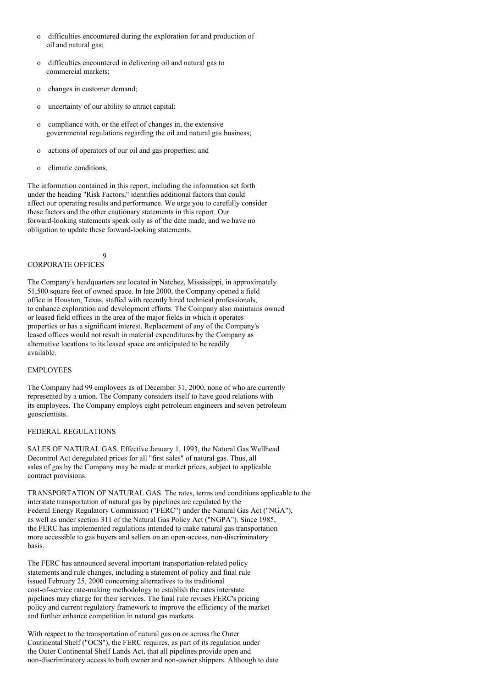- o difficulties encountered during the exploration for and production of oil and natural gas;
- o difficulties encountered in delivering oil and natural gas to commercial markets;
- o changes in customer demand;
- o uncertainty of our ability to attract capital;
- o compliance with, or the effect of changes in, the extensive governmental regulations regarding the oil and natural gas business;
- o actions of operators of our oil and gas properties; and
- o climatic conditions.

The information contained in this report, including the information set forth under the heading "Risk Factors," identifies additional factors that could affect our operating results and performance. We urge you to carefully consider these factors and the other cautionary statements in this report. Our forward-looking statements speak only as of the date made, and we have no obligation to update these forward-looking statements.

 $\overline{Q}$ 

# CORPORATE OFFICES

The Company's headquarters are located in Natchez, Mississippi, in approximately 51,500 square feet of owned space. In late 2000, the Company opened a field office in Houston, Texas, staffed with recently hired technical professionals, to enhance exploration and development efforts. The Company also maintains owned or leased field offices in the area of the major fields in which it operates properties or has a significant interest. Replacement of any of the Company's leased offices would not result in material expenditures by the Company as alternative locations to its leased space are anticipated to be readily available.

#### EMPLOYEES

The Company had 99 employees as of December 31, 2000, none of who are currently represented by a union. The Company considers itself to have good relations with its employees. The Company employs eight petroleum engineers and seven petroleum geoscientists.

#### FEDERAL REGULATIONS

SALES OF NATURAL GAS. Effective January 1, 1993, the Natural Gas Wellhead Decontrol Act deregulated prices for all "first sales" of natural gas. Thus, all sales of gas by the Company may be made at market prices, subject to applicable contract provisions.

TRANSPORTATION OF NATURAL GAS. The rates, terms and conditions applicable to the interstate transportation of natural gas by pipelines are regulated by the Federal Energy Regulatory Commission ("FERC") under the Natural Gas Act ("NGA"), as well as under section 311 of the Natural Gas Policy Act ("NGPA"). Since 1985, the FERC has implemented regulations intended to make natural gas transportation more accessible to gas buyers and sellers on an open-access, non-discriminatory basis.

The FERC has announced several important transportation-related policy statements and rule changes, including a statement of policy and final rule issued February 25, 2000 concerning alternatives to its traditional cost-of-service rate-making methodology to establish the rates interstate pipelines may charge for their services. The final rule revises FERC's pricing policy and current regulatory framework to improve the efficiency of the market and further enhance competition in natural gas markets.

With respect to the transportation of natural gas on or across the Outer Continental Shelf ("OCS"), the FERC requires, as part of its regulation under the Outer Continental Shelf Lands Act, that all pipelines provide open and non-discriminatory access to both owner and non-owner shippers. Although to date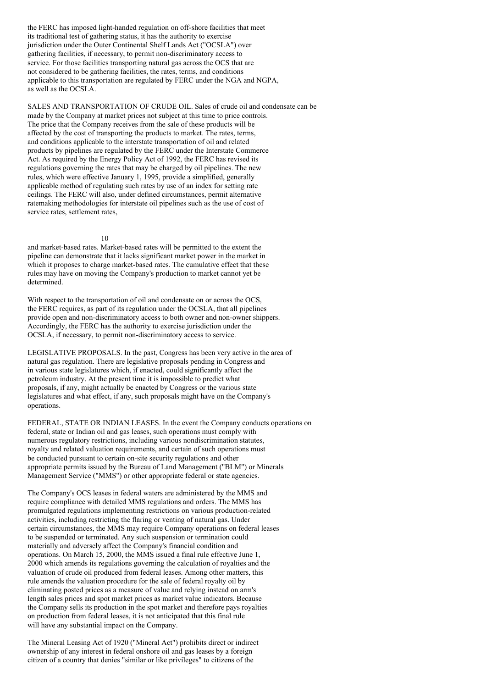the FERC has imposed light-handed regulation on off-shore facilities that meet its traditional test of gathering status, it has the authority to exercise jurisdiction under the Outer Continental Shelf Lands Act ("OCSLA") over gathering facilities, if necessary, to permit non-discriminatory access to service. For those facilities transporting natural gas across the OCS that are not considered to be gathering facilities, the rates, terms, and conditions applicable to this transportation are regulated by FERC under the NGA and NGPA, as well as the OCSLA.

SALES AND TRANSPORTATION OF CRUDE OIL. Sales of crude oil and condensate can be made by the Company at market prices not subject at this time to price controls. The price that the Company receives from the sale of these products will be affected by the cost of transporting the products to market. The rates, terms, and conditions applicable to the interstate transportation of oil and related products by pipelines are regulated by the FERC under the Interstate Commerce Act. As required by the Energy Policy Act of 1992, the FERC has revised its regulations governing the rates that may be charged by oil pipelines. The new rules, which were effective January 1, 1995, provide a simplified, generally applicable method of regulating such rates by use of an index for setting rate ceilings. The FERC will also, under defined circumstances, permit alternative ratemaking methodologies for interstate oil pipelines such as the use of cost of service rates, settlement rates,

#### 10

and market-based rates. Market-based rates will be permitted to the extent the pipeline can demonstrate that it lacks significant market power in the market in which it proposes to charge market-based rates. The cumulative effect that these rules may have on moving the Company's production to market cannot yet be determined.

With respect to the transportation of oil and condensate on or across the OCS, the FERC requires, as part of its regulation under the OCSLA, that all pipelines provide open and non-discriminatory access to both owner and non-owner shippers. Accordingly, the FERC has the authority to exercise jurisdiction under the OCSLA, if necessary, to permit non-discriminatory access to service.

LEGISLATIVE PROPOSALS. In the past, Congress has been very active in the area of natural gas regulation. There are legislative proposals pending in Congress and in various state legislatures which, if enacted, could significantly affect the petroleum industry. At the present time it is impossible to predict what proposals, if any, might actually be enacted by Congress or the various state legislatures and what effect, if any, such proposals might have on the Company's operations.

FEDERAL, STATE OR INDIAN LEASES. In the event the Company conducts operations on federal, state or Indian oil and gas leases, such operations must comply with numerous regulatory restrictions, including various nondiscrimination statutes, royalty and related valuation requirements, and certain of such operations must be conducted pursuant to certain on-site security regulations and other appropriate permits issued by the Bureau of Land Management ("BLM") or Minerals Management Service ("MMS") or other appropriate federal or state agencies.

The Company's OCS leases in federal waters are administered by the MMS and require compliance with detailed MMS regulations and orders. The MMS has promulgated regulations implementing restrictions on various production-related activities, including restricting the flaring or venting of natural gas. Under certain circumstances, the MMS may require Company operations on federal leases to be suspended or terminated. Any such suspension or termination could materially and adversely affect the Company's financial condition and operations. On March 15, 2000, the MMS issued a final rule effective June 1, 2000 which amends its regulations governing the calculation of royalties and the valuation of crude oil produced from federal leases. Among other matters, this rule amends the valuation procedure for the sale of federal royalty oil by eliminating posted prices as a measure of value and relying instead on arm's length sales prices and spot market prices as market value indicators. Because the Company sells its production in the spot market and therefore pays royalties on production from federal leases, it is not anticipated that this final rule will have any substantial impact on the Company.

The Mineral Leasing Act of 1920 ("Mineral Act") prohibits direct or indirect ownership of any interest in federal onshore oil and gas leases by a foreign citizen of a country that denies "similar or like privileges" to citizens of the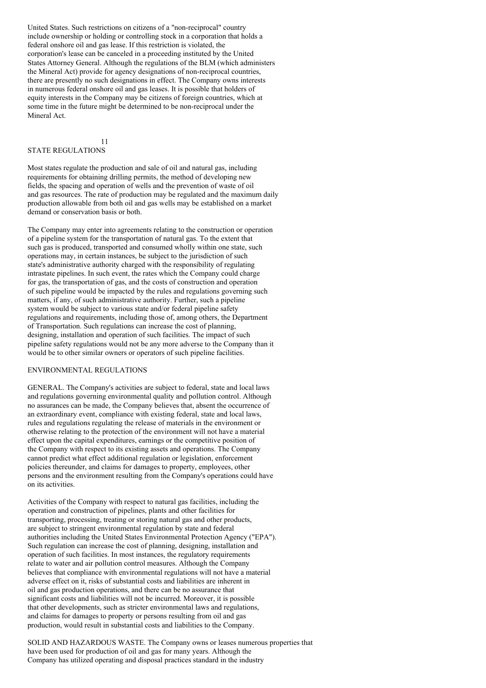United States. Such restrictions on citizens of a "non-reciprocal" country include ownership or holding or controlling stock in a corporation that holds a federal onshore oil and gas lease. If this restriction is violated, the corporation's lease can be canceled in a proceeding instituted by the United States Attorney General. Although the regulations of the BLM (which administers the Mineral Act) provide for agency designations of non-reciprocal countries, there are presently no such designations in effect. The Company owns interests in numerous federal onshore oil and gas leases. It is possible that holders of equity interests in the Company may be citizens of foreign countries, which at some time in the future might be determined to be non-reciprocal under the Mineral Act.

# STATE REGULATIONS

11

Most states regulate the production and sale of oil and natural gas, including requirements for obtaining drilling permits, the method of developing new fields, the spacing and operation of wells and the prevention of waste of oil and gas resources. The rate of production may be regulated and the maximum daily production allowable from both oil and gas wells may be established on a market demand or conservation basis or both.

The Company may enter into agreements relating to the construction or operation of a pipeline system for the transportation of natural gas. To the extent that such gas is produced, transported and consumed wholly within one state, such operations may, in certain instances, be subject to the jurisdiction of such state's administrative authority charged with the responsibility of regulating intrastate pipelines. In such event, the rates which the Company could charge for gas, the transportation of gas, and the costs of construction and operation of such pipeline would be impacted by the rules and regulations governing such matters, if any, of such administrative authority. Further, such a pipeline system would be subject to various state and/or federal pipeline safety regulations and requirements, including those of, among others, the Department of Transportation. Such regulations can increase the cost of planning, designing, installation and operation of such facilities. The impact of such pipeline safety regulations would not be any more adverse to the Company than it would be to other similar owners or operators of such pipeline facilities.

# ENVIRONMENTAL REGULATIONS

GENERAL. The Company's activities are subject to federal, state and local laws and regulations governing environmental quality and pollution control. Although no assurances can be made, the Company believes that, absent the occurrence of an extraordinary event, compliance with existing federal, state and local laws, rules and regulations regulating the release of materials in the environment or otherwise relating to the protection of the environment will not have a material effect upon the capital expenditures, earnings or the competitive position of the Company with respect to its existing assets and operations. The Company cannot predict what effect additional regulation or legislation, enforcement policies thereunder, and claims for damages to property, employees, other persons and the environment resulting from the Company's operations could have on its activities.

Activities of the Company with respect to natural gas facilities, including the operation and construction of pipelines, plants and other facilities for transporting, processing, treating or storing natural gas and other products, are subject to stringent environmental regulation by state and federal authorities including the United States Environmental Protection Agency ("EPA"). Such regulation can increase the cost of planning, designing, installation and operation of such facilities. In most instances, the regulatory requirements relate to water and air pollution control measures. Although the Company believes that compliance with environmental regulations will not have a material adverse effect on it, risks of substantial costs and liabilities are inherent in oil and gas production operations, and there can be no assurance that significant costs and liabilities will not be incurred. Moreover, it is possible that other developments, such as stricter environmental laws and regulations, and claims for damages to property or persons resulting from oil and gas production, would result in substantial costs and liabilities to the Company.

SOLID AND HAZARDOUS WASTE. The Company owns or leases numerous properties that have been used for production of oil and gas for many years. Although the Company has utilized operating and disposal practices standard in the industry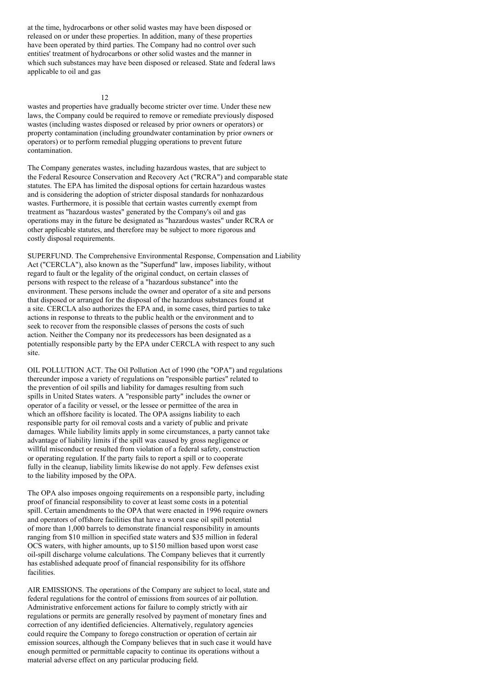at the time, hydrocarbons or other solid wastes may have been disposed or released on or under these properties. In addition, many of these properties have been operated by third parties. The Company had no control over such entities' treatment of hydrocarbons or other solid wastes and the manner in which such substances may have been disposed or released. State and federal laws applicable to oil and gas

 $12$ 

wastes and properties have gradually become stricter over time. Under these new laws, the Company could be required to remove or remediate previously disposed wastes (including wastes disposed or released by prior owners or operators) or property contamination (including groundwater contamination by prior owners or operators) or to perform remedial plugging operations to prevent future contamination.

The Company generates wastes, including hazardous wastes, that are subject to the Federal Resource Conservation and Recovery Act ("RCRA") and comparable state statutes. The EPA has limited the disposal options for certain hazardous wastes and is considering the adoption of stricter disposal standards for nonhazardous wastes. Furthermore, it is possible that certain wastes currently exempt from treatment as "hazardous wastes" generated by the Company's oil and gas operations may in the future be designated as "hazardous wastes" under RCRA or other applicable statutes, and therefore may be subject to more rigorous and costly disposal requirements.

SUPERFUND. The Comprehensive Environmental Response, Compensation and Liability Act ("CERCLA"), also known as the "Superfund" law, imposes liability, without regard to fault or the legality of the original conduct, on certain classes of persons with respect to the release of a "hazardous substance" into the environment. These persons include the owner and operator of a site and persons that disposed or arranged for the disposal of the hazardous substances found at a site. CERCLA also authorizes the EPA and, in some cases, third parties to take actions in response to threats to the public health or the environment and to seek to recover from the responsible classes of persons the costs of such action. Neither the Company nor its predecessors has been designated as a potentially responsible party by the EPA under CERCLA with respect to any such site.

OIL POLLUTION ACT. The Oil Pollution Act of 1990 (the "OPA") and regulations thereunder impose a variety of regulations on "responsible parties" related to the prevention of oil spills and liability for damages resulting from such spills in United States waters. A "responsible party" includes the owner or operator of a facility or vessel, or the lessee or permittee of the area in which an offshore facility is located. The OPA assigns liability to each responsible party for oil removal costs and a variety of public and private damages. While liability limits apply in some circumstances, a party cannot take advantage of liability limits if the spill was caused by gross negligence or willful misconduct or resulted from violation of a federal safety, construction or operating regulation. If the party fails to report a spill or to cooperate fully in the cleanup, liability limits likewise do not apply. Few defenses exist to the liability imposed by the OPA.

The OPA also imposes ongoing requirements on a responsible party, including proof of financial responsibility to cover at least some costs in a potential spill. Certain amendments to the OPA that were enacted in 1996 require owners and operators of offshore facilities that have a worst case oil spill potential of more than 1,000 barrels to demonstrate financial responsibility in amounts ranging from \$10 million in specified state waters and \$35 million in federal OCS waters, with higher amounts, up to \$150 million based upon worst case oil-spill discharge volume calculations. The Company believes that it currently has established adequate proof of financial responsibility for its offshore facilities.

AIR EMISSIONS. The operations of the Company are subject to local, state and federal regulations for the control of emissions from sources of air pollution. Administrative enforcement actions for failure to comply strictly with air regulations or permits are generally resolved by payment of monetary fines and correction of any identified deficiencies. Alternatively, regulatory agencies could require the Company to forego construction or operation of certain air emission sources, although the Company believes that in such case it would have enough permitted or permittable capacity to continue its operations without a material adverse effect on any particular producing field.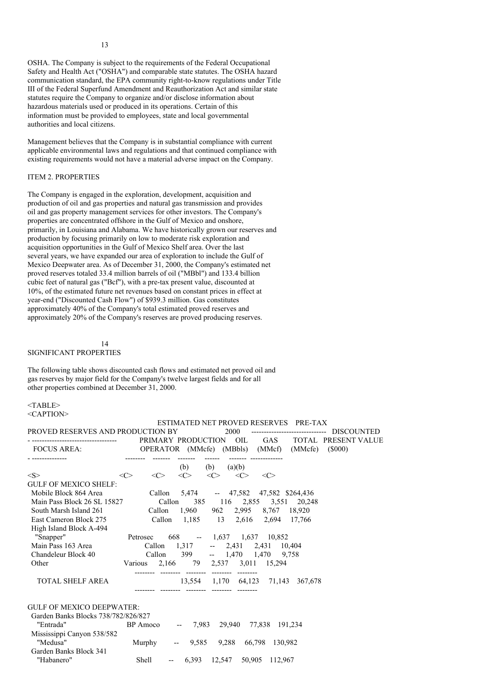OSHA. The Company is subject to the requirements of the Federal Occupational Safety and Health Act ("OSHA") and comparable state statutes. The OSHA hazard communication standard, the EPA community right-to-know regulations under Title III of the Federal Superfund Amendment and Reauthorization Act and similar state statutes require the Company to organize and/or disclose information about hazardous materials used or produced in its operations. Certain of this information must be provided to employees, state and local governmental authorities and local citizens.

Management believes that the Company is in substantial compliance with current applicable environmental laws and regulations and that continued compliance with existing requirements would not have a material adverse impact on the Company.

#### ITEM 2. PROPERTIES

The Company is engaged in the exploration, development, acquisition and production of oil and gas properties and natural gas transmission and provides oil and gas property management services for other investors. The Company's properties are concentrated offshore in the Gulf of Mexico and onshore, primarily, in Louisiana and Alabama. We have historically grown our reserves and production by focusing primarily on low to moderate risk exploration and acquisition opportunities in the Gulf of Mexico Shelf area. Over the last several years, we have expanded our area of exploration to include the Gulf of Mexico Deepwater area. As of December 31, 2000, the Company's estimated net proved reserves totaled 33.4 million barrels of oil ("MBbl") and 133.4 billion cubic feet of natural gas ("Bcf"), with a pre-tax present value, discounted at 10%, of the estimated future net revenues based on constant prices in effect at year-end ("Discounted Cash Flow") of \$939.3 million. Gas constitutes approximately 40% of the Company's total estimated proved reserves and approximately 20% of the Company's reserves are proved producing reserves.

#### 14 SIGNIFICANT PROPERTIES

The following table shows discounted cash flows and estimated net proved oil and gas reserves by major field for the Company's twelve largest fields and for all other properties combined at December 31, 2000.

#### <TABLE> <CAPTION>

|                                     |                                 |                                            |                     |                     |                             | ESTIMATED NET PROVED RESERVES PRE-TAX           |                         |
|-------------------------------------|---------------------------------|--------------------------------------------|---------------------|---------------------|-----------------------------|-------------------------------------------------|-------------------------|
| PROVED RESERVES AND PRODUCTION BY   |                                 |                                            |                     | 2000                |                             | -------------------------------                 | DISCOUNTED              |
|                                     |                                 | PRIMARY PRODUCTION OIL                     |                     |                     |                             |                                                 | GAS TOTAL PRESENT VALUE |
| <b>FOCUS AREA:</b>                  |                                 |                                            |                     |                     |                             | OPERATOR (MMcfe) (MBbls) (MMcf) (MMcfe) (\$000) |                         |
|                                     |                                 |                                            | ------<br>(b)       | (b) $(a)(b)$        |                             |                                                 |                         |
| < S >                               | $<\!\!C\!\!>$                   | $\langle C \rangle$<br>$\langle C \rangle$ | $\langle C \rangle$ | $\langle C \rangle$ | $\langle C \rangle$         |                                                 |                         |
| <b>GULF OF MEXICO SHELF:</b>        |                                 |                                            |                     |                     |                             |                                                 |                         |
| Mobile Block 864 Area               |                                 | Callon 5,474 -- 47,582 47,582 \$264,436    |                     |                     |                             |                                                 |                         |
| Main Pass Block 26 SL 15827         |                                 | Callon                                     |                     |                     |                             | 385 116 2,855 3,551 20,248                      |                         |
| South Marsh Island 261              |                                 | Callon 1,960 962 2,995 8,767 18,920        |                     |                     |                             |                                                 |                         |
| East Cameron Block 275              |                                 | Callon 1,185 13 2,616 2,694 17,766         |                     |                     |                             |                                                 |                         |
| High Island Block A-494             |                                 |                                            |                     |                     |                             |                                                 |                         |
| "Snapper"                           | Petrosec                        |                                            |                     |                     | 668 - 1,637 1,637 10,852    |                                                 |                         |
| Main Pass 163 Area                  |                                 | Callon 1,317 -- 2,431 2,431 10,404         |                     |                     |                             |                                                 |                         |
| Chandeleur Block 40                 | Callon 399 -- 1,470 1,470 9,758 |                                            |                     |                     |                             |                                                 |                         |
| Other                               | Various                         |                                            |                     |                     | 2,166 79 2,537 3,011 15,294 |                                                 |                         |
| TOTAL SHELF AREA                    |                                 |                                            |                     |                     |                             | 13,554 1,170 64,123 71,143 367,678              |                         |
| <b>GULF OF MEXICO DEEPWATER:</b>    |                                 |                                            |                     |                     |                             |                                                 |                         |
| Garden Banks Blocks 738/782/826/827 |                                 |                                            |                     |                     |                             |                                                 |                         |
| "Entrada"                           |                                 | BP Amoco -- 7,983 29,940 77,838 191,234    |                     |                     |                             |                                                 |                         |
| Mississippi Canyon 538/582          |                                 |                                            |                     |                     |                             |                                                 |                         |
| "Medusa"                            |                                 | Murphy -- 9,585 9,288 66,798 130,982       |                     |                     |                             |                                                 |                         |
| Garden Banks Block 341              |                                 |                                            |                     |                     |                             |                                                 |                         |
| "Habanero"                          | <b>Shell</b>                    | $\overline{\phantom{a}}$                   |                     |                     | 6,393 12,547 50,905 112,967 |                                                 |                         |

13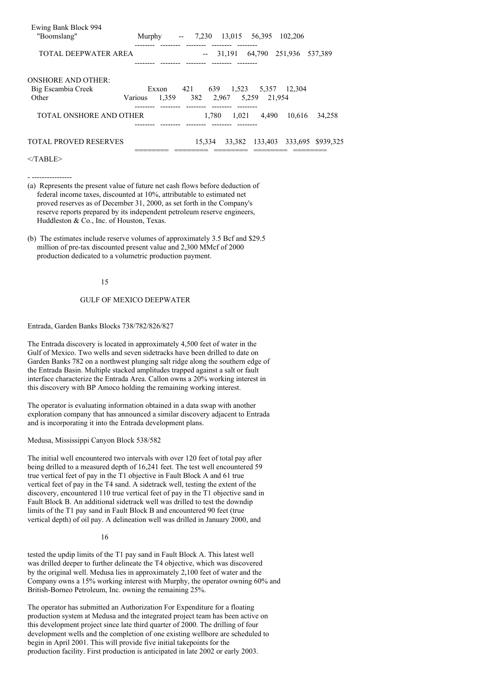| Ewing Bank Block 994<br>"Boomslang"                      | Murphy                    | $\overline{\phantom{m}}$ | 7.230      |       | 13,015 56,395         | 102,206                          |         |
|----------------------------------------------------------|---------------------------|--------------------------|------------|-------|-----------------------|----------------------------------|---------|
| TOTAL DEEPWATER AREA                                     |                           |                          |            |       | 31,191 64,790 251,936 |                                  | 537.389 |
| <b>ONSHORE AND OTHER:</b><br>Big Escambia Creek<br>Other | Exxon<br>1.359<br>Various | 421                      | 639<br>382 | 2,967 | 5.259 21.954          | 1,523 5,357 12,304               |         |
| TOTAL ONSHORE AND OTHER                                  |                           |                          | 1.780      | 1,021 | 4.490                 | 10.616                           | 34.258  |
| <b>TOTAL PROVED RESERVES</b>                             |                           |                          | 15.334     |       |                       | 33,382 133,403 333,695 \$939,325 |         |
| $\angle$ TARIF>                                          |                           |                          |            |       |                       |                                  |         |

# - ----------------

- (a) Represents the present value of future net cash flows before deduction of federal income taxes, discounted at 10%, attributable to estimated net proved reserves as of December 31, 2000, as set forth in the Company's reserve reports prepared by its independent petroleum reserve engineers, Huddleston & Co., Inc. of Houston, Texas.
- (b) The estimates include reserve volumes of approximately 3.5 Bcf and \$29.5 million of pre-tax discounted present value and 2,300 MMcf of 2000 production dedicated to a volumetric production payment.

#### 15

#### GULF OF MEXICO DEEPWATER

#### Entrada, Garden Banks Blocks 738/782/826/827

The Entrada discovery is located in approximately 4,500 feet of water in the Gulf of Mexico. Two wells and seven sidetracks have been drilled to date on Garden Banks 782 on a northwest plunging salt ridge along the southern edge of the Entrada Basin. Multiple stacked amplitudes trapped against a salt or fault interface characterize the Entrada Area. Callon owns a 20% working interest in this discovery with BP Amoco holding the remaining working interest.

The operator is evaluating information obtained in a data swap with another exploration company that has announced a similar discovery adjacent to Entrada and is incorporating it into the Entrada development plans.

Medusa, Mississippi Canyon Block 538/582

The initial well encountered two intervals with over 120 feet of total pay after being drilled to a measured depth of 16,241 feet. The test well encountered 59 true vertical feet of pay in the T1 objective in Fault Block A and 61 true vertical feet of pay in the T4 sand. A sidetrack well, testing the extent of the discovery, encountered 110 true vertical feet of pay in the T1 objective sand in Fault Block B. An additional sidetrack well was drilled to test the downdip limits of the T1 pay sand in Fault Block B and encountered 90 feet (true vertical depth) of oil pay. A delineation well was drilled in January 2000, and

### 16

tested the updip limits of the T1 pay sand in Fault Block A. This latest well was drilled deeper to further delineate the T4 objective, which was discovered by the original well. Medusa lies in approximately 2,100 feet of water and the Company owns a 15% working interest with Murphy, the operator owning 60% and British-Borneo Petroleum, Inc. owning the remaining 25%.

The operator has submitted an Authorization For Expenditure for a floating production system at Medusa and the integrated project team has been active on this development project since late third quarter of 2000. The drilling of four development wells and the completion of one existing wellbore are scheduled to begin in April 2001. This will provide five initial takepoints for the production facility. First production is anticipated in late 2002 or early 2003.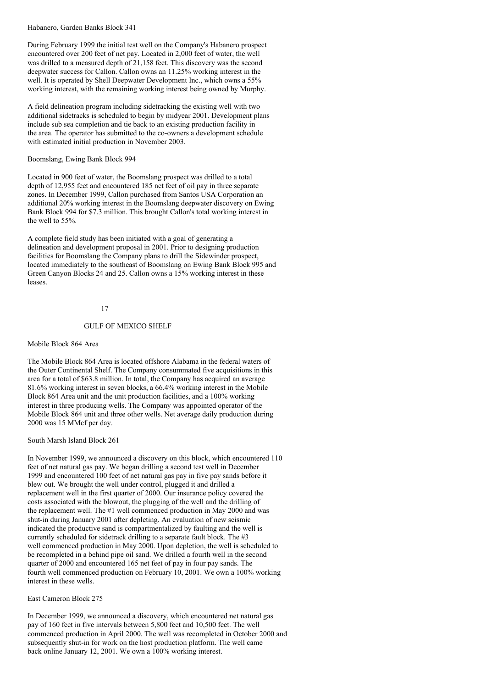Habanero, Garden Banks Block 341

During February 1999 the initial test well on the Company's Habanero prospect encountered over 200 feet of net pay. Located in 2,000 feet of water, the well was drilled to a measured depth of 21,158 feet. This discovery was the second deepwater success for Callon. Callon owns an 11.25% working interest in the well. It is operated by Shell Deepwater Development Inc., which owns a 55% working interest, with the remaining working interest being owned by Murphy.

A field delineation program including sidetracking the existing well with two additional sidetracks is scheduled to begin by midyear 2001. Development plans include sub sea completion and tie back to an existing production facility in the area. The operator has submitted to the co-owners a development schedule with estimated initial production in November 2003.

Boomslang, Ewing Bank Block 994

Located in 900 feet of water, the Boomslang prospect was drilled to a total depth of 12,955 feet and encountered 185 net feet of oil pay in three separate zones. In December 1999, Callon purchased from Santos USA Corporation an additional 20% working interest in the Boomslang deepwater discovery on Ewing Bank Block 994 for \$7.3 million. This brought Callon's total working interest in the well to 55%.

A complete field study has been initiated with a goal of generating a delineation and development proposal in 2001. Prior to designing production facilities for Boomslang the Company plans to drill the Sidewinder prospect, located immediately to the southeast of Boomslang on Ewing Bank Block 995 and Green Canyon Blocks 24 and 25. Callon owns a 15% working interest in these leases.

#### 17

#### GULF OF MEXICO SHELF

#### Mobile Block 864 Area

The Mobile Block 864 Area is located offshore Alabama in the federal waters of the Outer Continental Shelf. The Company consummated five acquisitions in this area for a total of \$63.8 million. In total, the Company has acquired an average 81.6% working interest in seven blocks, a 66.4% working interest in the Mobile Block 864 Area unit and the unit production facilities, and a 100% working interest in three producing wells. The Company was appointed operator of the Mobile Block 864 unit and three other wells. Net average daily production during 2000 was 15 MMcf per day.

South Marsh Island Block 261

In November 1999, we announced a discovery on this block, which encountered 110 feet of net natural gas pay. We began drilling a second test well in December 1999 and encountered 100 feet of net natural gas pay in five pay sands before it blew out. We brought the well under control, plugged it and drilled a replacement well in the first quarter of 2000. Our insurance policy covered the costs associated with the blowout, the plugging of the well and the drilling of the replacement well. The #1 well commenced production in May 2000 and was shut-in during January 2001 after depleting. An evaluation of new seismic indicated the productive sand is compartmentalized by faulting and the well is currently scheduled for sidetrack drilling to a separate fault block. The #3 well commenced production in May 2000. Upon depletion, the well is scheduled to be recompleted in a behind pipe oil sand. We drilled a fourth well in the second quarter of 2000 and encountered 165 net feet of pay in four pay sands. The fourth well commenced production on February 10, 2001. We own a 100% working interest in these wells.

East Cameron Block 275

In December 1999, we announced a discovery, which encountered net natural gas pay of 160 feet in five intervals between 5,800 feet and 10,500 feet. The well commenced production in April 2000. The well was recompleted in October 2000 and subsequently shut-in for work on the host production platform. The well came back online January 12, 2001. We own a 100% working interest.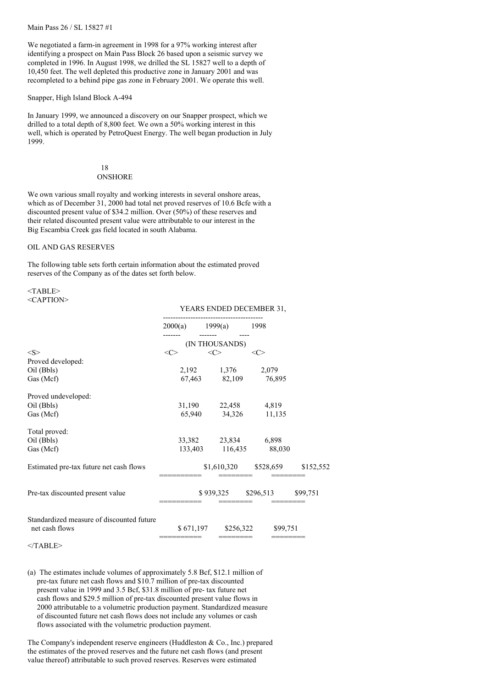Main Pass 26 / SL 15827 #1

We negotiated a farm-in agreement in 1998 for a 97% working interest after identifying a prospect on Main Pass Block 26 based upon a seismic survey we completed in 1996. In August 1998, we drilled the SL 15827 well to a depth of 10,450 feet. The well depleted this productive zone in January 2001 and was recompleted to a behind pipe gas zone in February 2001. We operate this well.

#### Snapper, High Island Block A-494

In January 1999, we announced a discovery on our Snapper prospect, which we drilled to a total depth of 8,800 feet. We own a 50% working interest in this well, which is operated by PetroQuest Energy. The well began production in July 1999.

#### 18 **ONSHORE**

We own various small royalty and working interests in several onshore areas, which as of December 31, 2000 had total net proved reserves of 10.6 Bcfe with a discounted present value of \$34.2 million. Over (50%) of these reserves and their related discounted present value were attributable to our interest in the Big Escambia Creek gas field located in south Alabama.

#### OIL AND GAS RESERVES

The following table sets forth certain information about the estimated proved reserves of the Company as of the dates set forth below.

#### <TABLE> <CAPTION>

|                                                             | 2000(a)   | 1999(a)         | 1998      |           |
|-------------------------------------------------------------|-----------|-----------------|-----------|-----------|
|                                                             |           | (IN THOUSANDS)  |           |           |
| < S >                                                       | <c></c>   | <<>             | <c></c>   |           |
| Proved developed:                                           |           |                 |           |           |
| Oil (Bbls)                                                  | 2,192     | 1,376           | 2,079     |           |
| Gas (Mcf)                                                   | 67,463    | 82,109          | 76,895    |           |
| Proved undeveloped:                                         |           |                 |           |           |
| Oil (Bbls)                                                  | 31,190    | 22,458          | 4,819     |           |
| Gas (Mcf)                                                   | 65,940    | 34,326          | 11,135    |           |
| Total proved:                                               |           |                 |           |           |
| Oil (Bbls)                                                  |           | 33,382 23,834   | 6,898     |           |
| Gas (Mcf)                                                   |           | 133,403 116,435 | 88,030    |           |
| Estimated pre-tax future net cash flows                     |           | \$1,610,320     | \$528,659 | \$152,552 |
| Pre-tax discounted present value                            |           | \$939,325       | \$296,513 | \$99,751  |
| Standardized measure of discounted future<br>net cash flows | \$671,197 | \$256,322       | \$99,751  |           |

YEARS ENDED DECEMBER 31,

#### $<$ /TABLE>

(a) The estimates include volumes of approximately 5.8 Bcf, \$12.1 million of pre-tax future net cash flows and \$10.7 million of pre-tax discounted present value in 1999 and 3.5 Bcf, \$31.8 million of pre- tax future net cash flows and \$29.5 million of pre-tax discounted present value flows in 2000 attributable to a volumetric production payment. Standardized measure of discounted future net cash flows does not include any volumes or cash flows associated with the volumetric production payment.

The Company's independent reserve engineers (Huddleston & Co., Inc.) prepared the estimates of the proved reserves and the future net cash flows (and present value thereof) attributable to such proved reserves. Reserves were estimated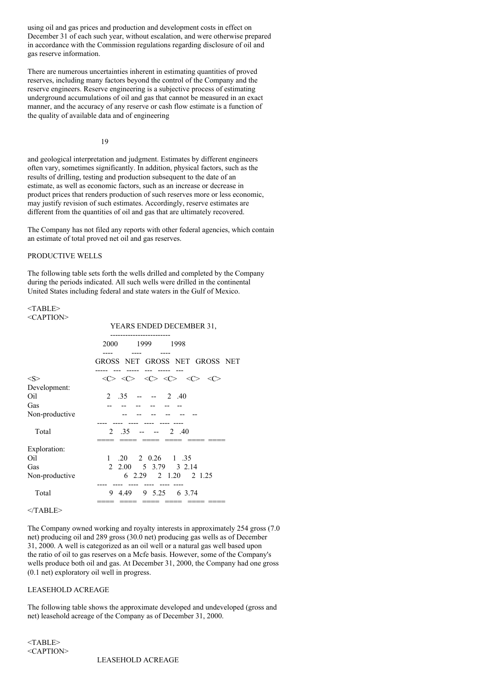using oil and gas prices and production and development costs in effect on December 31 of each such year, without escalation, and were otherwise prepared in accordance with the Commission regulations regarding disclosure of oil and gas reserve information.

There are numerous uncertainties inherent in estimating quantities of proved reserves, including many factors beyond the control of the Company and the reserve engineers. Reserve engineering is a subjective process of estimating underground accumulations of oil and gas that cannot be measured in an exact manner, and the accuracy of any reserve or cash flow estimate is a function of the quality of available data and of engineering

#### 19

and geological interpretation and judgment. Estimates by different engineers often vary, sometimes significantly. In addition, physical factors, such as the results of drilling, testing and production subsequent to the date of an estimate, as well as economic factors, such as an increase or decrease in product prices that renders production of such reserves more or less economic, may justify revision of such estimates. Accordingly, reserve estimates are different from the quantities of oil and gas that are ultimately recovered.

The Company has not filed any reports with other federal agencies, which contain an estimate of total proved net oil and gas reserves.

# PRODUCTIVE WELLS

The following table sets forth the wells drilled and completed by the Company during the periods indicated. All such wells were drilled in the continental United States including federal and state waters in the Gulf of Mexico.

#### $<$ TABLE $>$ <CAPTION>

|                             | YEARS ENDED DECEMBER 31,                                                                                                |
|-----------------------------|-------------------------------------------------------------------------------------------------------------------------|
|                             | 1999 1998<br>2000                                                                                                       |
|                             | GROSS NET GROSS NET GROSS NET                                                                                           |
| <s></s>                     | $\langle C \rangle$ $\langle C \rangle$ $\langle C \rangle$ $\langle C \rangle$ $\langle C \rangle$ $\langle C \rangle$ |
| Development:                |                                                                                                                         |
| Oil                         | $2 \t .35 \t -- \t 2 \t .40$                                                                                            |
| Gas                         |                                                                                                                         |
| Non-productive              |                                                                                                                         |
| Total                       | 2 $.35$<br>$- - - 2$ .40                                                                                                |
| Exploration:                |                                                                                                                         |
| Oil                         | $.20 \quad 2 \quad 0.26 \quad 1 \quad .35$<br>$\mathbf{1}$                                                              |
| Gas                         | 2 2.00 5 3.79 3 2.14                                                                                                    |
| Non-productive              | 6 2.29 2 1.20 2 1.25                                                                                                    |
| Total                       | 9 4.49<br>9 5.25 6 3.74                                                                                                 |
| $\sim$ $\sim$ $\sim$ $\sim$ |                                                                                                                         |

 $<$ /TABLE>

The Company owned working and royalty interests in approximately 254 gross (7.0 net) producing oil and 289 gross (30.0 net) producing gas wells as of December 31, 2000. A well is categorized as an oil well or a natural gas well based upon the ratio of oil to gas reserves on a Mcfe basis. However, some of the Company's wells produce both oil and gas. At December 31, 2000, the Company had one gross (0.1 net) exploratory oil well in progress.

#### LEASEHOLD ACREAGE

The following table shows the approximate developed and undeveloped (gross and net) leasehold acreage of the Company as of December 31, 2000.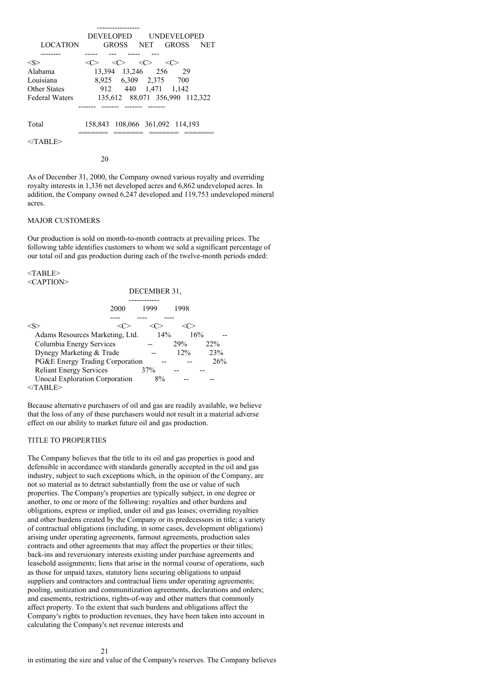|                       | DEVELOPED           |                                         |                   | <b>UNDEVELOPED</b>              |            |
|-----------------------|---------------------|-----------------------------------------|-------------------|---------------------------------|------------|
| <b>LOCATION</b>       |                     |                                         | GROSS NET         | <b>GROSS</b>                    | <b>NET</b> |
|                       |                     |                                         |                   |                                 |            |
| $<\!S>$               | $\langle C \rangle$ | $\langle C \rangle$ $\langle C \rangle$ |                   | - < C >                         |            |
| Alabama               |                     |                                         | 13,394 13,246 256 | 29                              |            |
| Louisiana             |                     |                                         | 8,925 6,309 2,375 | 700                             |            |
| <b>Other States</b>   |                     |                                         |                   | 912 440 1.471 1.142             |            |
| <b>Federal Waters</b> |                     |                                         |                   | 135,612 88,071 356,990 112,322  |            |
|                       |                     |                                         |                   |                                 |            |
| Total                 |                     |                                         |                   | 158,843 108,066 361,092 114,193 |            |
| $\langle$ TABLE>      |                     |                                         |                   |                                 |            |

20

As of December 31, 2000, the Company owned various royalty and overriding royalty interests in 1,336 net developed acres and 6,862 undeveloped acres. In addition, the Company owned 6,247 developed and 119,753 undeveloped mineral acres.

# MAJOR CUSTOMERS

Our production is sold on month-to-month contracts at prevailing prices. The following table identifies customers to whom we sold a significant percentage of our total oil and gas production during each of the twelve-month periods ended:

<TABLE> <CAPTION>

|                                       | DECEMBER 31, |      |     |  |  |  |
|---------------------------------------|--------------|------|-----|--|--|--|
|                                       |              |      |     |  |  |  |
| 2000                                  | 1999         | 1998 |     |  |  |  |
|                                       |              |      |     |  |  |  |
|                                       |              |      |     |  |  |  |
| Adams Resources Marketing, Ltd.       | 14%          |      | 16% |  |  |  |
| Columbia Energy Services              |              | 29%  | 22% |  |  |  |
| Dynegy Marketing & Trade              |              | 12%  | 23% |  |  |  |
| PG&E Energy Trading Corporation       |              |      | 26% |  |  |  |
| <b>Reliant Energy Services</b>        | 37%          |      |     |  |  |  |
| <b>Unocal Exploration Corporation</b> | 8%           |      |     |  |  |  |
| TABLE>                                |              |      |     |  |  |  |

Because alternative purchasers of oil and gas are readily available, we believe that the loss of any of these purchasers would not result in a material adverse effect on our ability to market future oil and gas production.

#### TITLE TO PROPERTIES

The Company believes that the title to its oil and gas properties is good and defensible in accordance with standards generally accepted in the oil and gas industry, subject to such exceptions which, in the opinion of the Company, are not so material as to detract substantially from the use or value of such properties. The Company's properties are typically subject, in one degree or another, to one or more of the following: royalties and other burdens and obligations, express or implied, under oil and gas leases; overriding royalties and other burdens created by the Company or its predecessors in title; a variety of contractual obligations (including, in some cases, development obligations) arising under operating agreements, farmout agreements, production sales contracts and other agreements that may affect the properties or their titles; back-ins and reversionary interests existing under purchase agreements and leasehold assignments; liens that arise in the normal course of operations, such as those for unpaid taxes, statutory liens securing obligations to unpaid suppliers and contractors and contractual liens under operating agreements; pooling, unitization and communitization agreements, declarations and orders; and easements, restrictions, rights-of-way and other matters that commonly affect property. To the extent that such burdens and obligations affect the Company's rights to production revenues, they have been taken into account in calculating the Company's net revenue interests and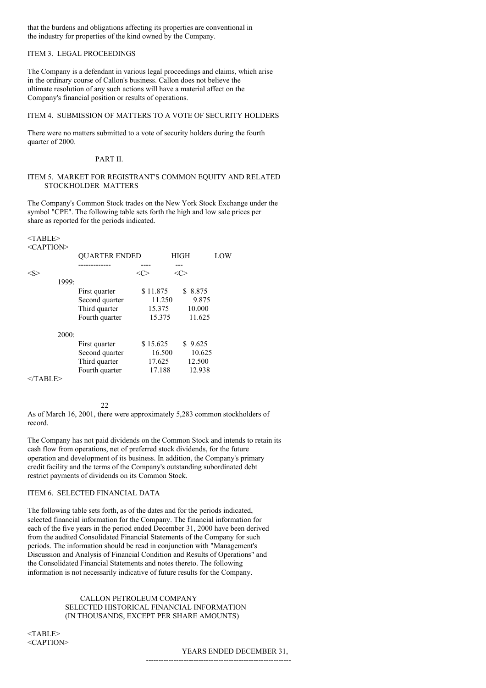that the burdens and obligations affecting its properties are conventional in the industry for properties of the kind owned by the Company.

# ITEM 3. LEGAL PROCEEDINGS

The Company is a defendant in various legal proceedings and claims, which arise in the ordinary course of Callon's business. Callon does not believe the ultimate resolution of any such actions will have a material affect on the Company's financial position or results of operations.

# ITEM 4. SUBMISSION OF MATTERS TO A VOTE OF SECURITY HOLDERS

There were no matters submitted to a vote of security holders during the fourth quarter of 2000.

#### PART II.

#### ITEM 5. MARKET FOR REGISTRANT'S COMMON EQUITY AND RELATED STOCKHOLDER MATTERS

The Company's Common Stock trades on the New York Stock Exchange under the symbol "CPE". The following table sets forth the high and low sale prices per share as reported for the periods indicated.

#### <TABLE>  $\langle C$  A PTION>

| NATI TION |                      |          |             |     |
|-----------|----------------------|----------|-------------|-----|
|           | <b>QUARTER ENDED</b> |          | <b>HIGH</b> | LOW |
|           | ----------           |          |             |     |
|           |                      |          |             |     |
| 1999:     |                      |          |             |     |
|           | First quarter        | \$11.875 | 8.875<br>S. |     |
|           | Second quarter       | 11.250   | 9.875       |     |
|           | Third quarter        | 15.375   | 10.000      |     |
|           | Fourth quarter       | 15.375   | 11.625      |     |
| 2000:     |                      |          |             |     |
|           | First quarter        | \$15.625 | \$9.625     |     |
|           | Second quarter       | 16.500   | 10.625      |     |
|           | Third quarter        | 17.625   | 12.500      |     |
|           | Fourth quarter       | 17.188   | 12.938      |     |
|           |                      |          |             |     |

 $<$ /TABLE>

As of March 16, 2001, there were approximately 5,283 common stockholders of record.

The Company has not paid dividends on the Common Stock and intends to retain its cash flow from operations, net of preferred stock dividends, for the future operation and development of its business. In addition, the Company's primary credit facility and the terms of the Company's outstanding subordinated debt restrict payments of dividends on its Common Stock.

#### ITEM 6. SELECTED FINANCIAL DATA

22

The following table sets forth, as of the dates and for the periods indicated, selected financial information for the Company. The financial information for each of the five years in the period ended December 31, 2000 have been derived from the audited Consolidated Financial Statements of the Company for such periods. The information should be read in conjunction with "Management's Discussion and Analysis of Financial Condition and Results of Operations" and the Consolidated Financial Statements and notes thereto. The following information is not necessarily indicative of future results for the Company.

# CALLON PETROLEUM COMPANY SELECTED HISTORICAL FINANCIAL INFORMATION (IN THOUSANDS, EXCEPT PER SHARE AMOUNTS)

 $<$ TABLE> <CAPTION>

#### YEARS ENDED DECEMBER 31,

----------------------------------------------------------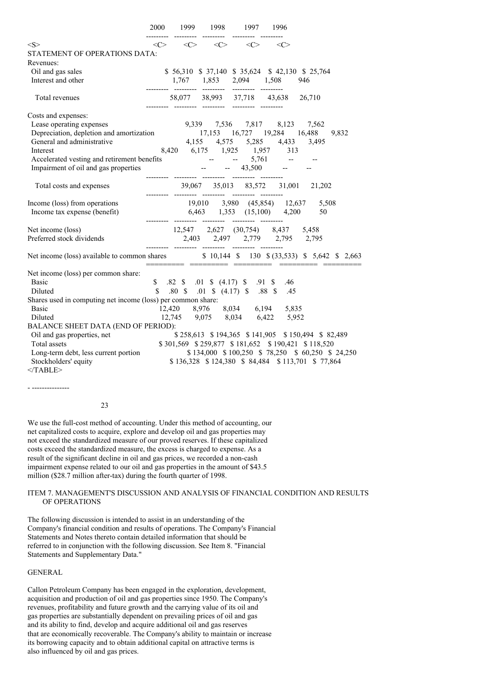|                                                                                                                                          |              |  | 2000 1999 1998 1997                                                             | - 1996                                                                                                                                 |                                                   |
|------------------------------------------------------------------------------------------------------------------------------------------|--------------|--|---------------------------------------------------------------------------------|----------------------------------------------------------------------------------------------------------------------------------------|---------------------------------------------------|
| <s></s>                                                                                                                                  | $\langle$ C> |  | $\langle C \rangle$ $\langle C \rangle$ $\langle C \rangle$ $\langle C \rangle$ |                                                                                                                                        |                                                   |
| STATEMENT OF OPERATIONS DATA:                                                                                                            |              |  |                                                                                 |                                                                                                                                        |                                                   |
| Revenues:                                                                                                                                |              |  |                                                                                 |                                                                                                                                        |                                                   |
| Oil and gas sales                                                                                                                        |              |  |                                                                                 |                                                                                                                                        | \$56,310 \$37,140 \$35,624 \$42,130 \$25,764      |
| Interest and other                                                                                                                       |              |  |                                                                                 | 1,767 1,853 2,094 1,508 946                                                                                                            |                                                   |
|                                                                                                                                          |              |  |                                                                                 |                                                                                                                                        |                                                   |
| Total revenues                                                                                                                           |              |  | ------- -------- -------- --------                                              | 58,077 38,993 37,718 43,638 26,710                                                                                                     |                                                   |
| Costs and expenses:                                                                                                                      |              |  |                                                                                 |                                                                                                                                        |                                                   |
| Lease operating expenses                                                                                                                 |              |  |                                                                                 | 9,339 7,536 7,817 8,123 7,562                                                                                                          |                                                   |
| Depreciation, depletion and amortization 17,153 16,727 19,284 16,488                                                                     |              |  |                                                                                 |                                                                                                                                        | 9,832                                             |
| General and administrative                                                                                                               |              |  |                                                                                 | 4,155 4,575 5,285 4,433 3,495                                                                                                          |                                                   |
|                                                                                                                                          |              |  |                                                                                 |                                                                                                                                        |                                                   |
|                                                                                                                                          |              |  |                                                                                 |                                                                                                                                        |                                                   |
| Interest 8,420 6,175 1,925 1,957 313<br>Accelerated vesting and retirement benefits -- 5,761 -- 5,761 -- 1,957 -- 43,500 -- -- 43,500 -- |              |  |                                                                                 |                                                                                                                                        |                                                   |
| Total costs and expenses                                                                                                                 |              |  | --------- -------- -------- --------                                            |                                                                                                                                        | 39,067 35,013 83,572 31,001 21,202                |
|                                                                                                                                          |              |  |                                                                                 |                                                                                                                                        |                                                   |
| Income (loss) from operations                                                                                                            |              |  |                                                                                 |                                                                                                                                        | 19,010 3,980 (45,854) 12,637 5,508                |
| Income tax expense (benefit)                                                                                                             |              |  |                                                                                 | 6,463 1,353 (15,100) 4,200                                                                                                             | 50                                                |
| Net income (loss)                                                                                                                        |              |  |                                                                                 | 12,547 2,627 (30,754) 8,437 5,458                                                                                                      |                                                   |
| Preferred stock dividends                                                                                                                |              |  |                                                                                 |                                                                                                                                        |                                                   |
|                                                                                                                                          |              |  |                                                                                 |                                                                                                                                        |                                                   |
| Net income (loss) available to common shares \$10,144 \$130 \$(33,533) \$5,642 \$2,663                                                   |              |  |                                                                                 |                                                                                                                                        |                                                   |
| Net income (loss) per common share:                                                                                                      |              |  |                                                                                 |                                                                                                                                        |                                                   |
| <b>Basic</b>                                                                                                                             |              |  | \$ .82 \$ .01 \$ (4.17) \$ .91 \$ .46                                           |                                                                                                                                        |                                                   |
| <b>Diluted</b>                                                                                                                           |              |  |                                                                                 | \$ .80 \$ .01 \$ (4.17) \$ .88 \$ .45                                                                                                  |                                                   |
| Shares used in computing net income (loss) per common share:                                                                             |              |  |                                                                                 |                                                                                                                                        |                                                   |
| <b>Basic</b>                                                                                                                             |              |  |                                                                                 |                                                                                                                                        |                                                   |
| Diluted                                                                                                                                  |              |  |                                                                                 | $\begin{array}{cccc} 12{,}420 & 8{,}976 & 8{,}034 & 6{,}194 & 5{,}835 \\ 12{,}745 & 9{,}075 & 8{,}034 & 6{,}422 & 5{,}952 \end{array}$ |                                                   |
| BALANCE SHEET DATA (END OF PERIOD):                                                                                                      |              |  |                                                                                 |                                                                                                                                        |                                                   |
| Oil and gas properties, net                                                                                                              |              |  |                                                                                 |                                                                                                                                        | \$258,613 \$194,365 \$141,905 \$150,494 \$82,489  |
| Total assets                                                                                                                             |              |  |                                                                                 |                                                                                                                                        | \$301,569 \$259,877 \$181,652 \$190,421 \$118,520 |
| Long-term debt, less current portion                                                                                                     |              |  |                                                                                 |                                                                                                                                        | \$134,000 \$100,250 \$78,250 \$60,250 \$24,250    |
| Stockholders' equity                                                                                                                     |              |  |                                                                                 |                                                                                                                                        | \$136,328 \$124,380 \$84,484 \$113,701 \$77,864   |
| $<$ /TABLE>                                                                                                                              |              |  |                                                                                 |                                                                                                                                        |                                                   |

- ---------------

#### 23

We use the full-cost method of accounting. Under this method of accounting, our net capitalized costs to acquire, explore and develop oil and gas properties may not exceed the standardized measure of our proved reserves. If these capitalized costs exceed the standardized measure, the excess is charged to expense. As a result of the significant decline in oil and gas prices, we recorded a non-cash impairment expense related to our oil and gas properties in the amount of \$43.5 million (\$28.7 million after-tax) during the fourth quarter of 1998.

#### ITEM 7. MANAGEMENT'S DISCUSSION AND ANALYSIS OF FINANCIAL CONDITION AND RESULTS OF OPERATIONS

The following discussion is intended to assist in an understanding of the Company's financial condition and results of operations. The Company's Financial Statements and Notes thereto contain detailed information that should be referred to in conjunction with the following discussion. See Item 8. "Financial Statements and Supplementary Data."

# **GENERAL**

Callon Petroleum Company has been engaged in the exploration, development, acquisition and production of oil and gas properties since 1950. The Company's revenues, profitability and future growth and the carrying value of its oil and gas properties are substantially dependent on prevailing prices of oil and gas and its ability to find, develop and acquire additional oil and gas reserves that are economically recoverable. The Company's ability to maintain or increase its borrowing capacity and to obtain additional capital on attractive terms is also influenced by oil and gas prices.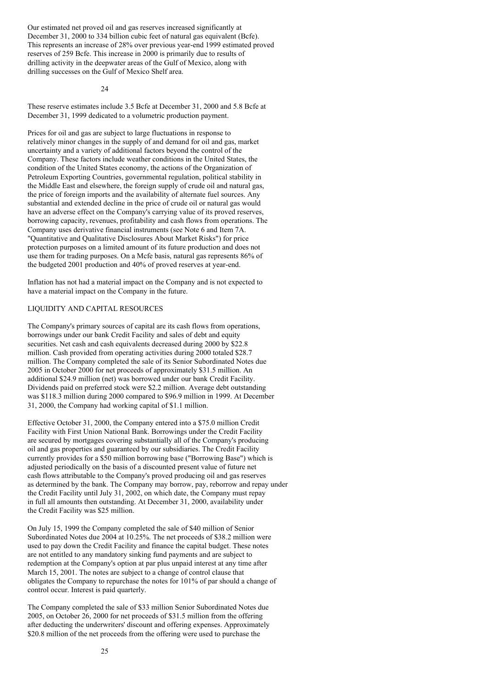Our estimated net proved oil and gas reserves increased significantly at December 31, 2000 to 334 billion cubic feet of natural gas equivalent (Bcfe). This represents an increase of 28% over previous year-end 1999 estimated proved reserves of 259 Bcfe. This increase in 2000 is primarily due to results of drilling activity in the deepwater areas of the Gulf of Mexico, along with drilling successes on the Gulf of Mexico Shelf area.

 $24$ 

These reserve estimates include 3.5 Bcfe at December 31, 2000 and 5.8 Bcfe at December 31, 1999 dedicated to a volumetric production payment.

Prices for oil and gas are subject to large fluctuations in response to relatively minor changes in the supply of and demand for oil and gas, market uncertainty and a variety of additional factors beyond the control of the Company. These factors include weather conditions in the United States, the condition of the United States economy, the actions of the Organization of Petroleum Exporting Countries, governmental regulation, political stability in the Middle East and elsewhere, the foreign supply of crude oil and natural gas, the price of foreign imports and the availability of alternate fuel sources. Any substantial and extended decline in the price of crude oil or natural gas would have an adverse effect on the Company's carrying value of its proved reserves, borrowing capacity, revenues, profitability and cash flows from operations. The Company uses derivative financial instruments (see Note 6 and Item 7A. "Quantitative and Qualitative Disclosures About Market Risks") for price protection purposes on a limited amount of its future production and does not use them for trading purposes. On a Mcfe basis, natural gas represents 86% of the budgeted 2001 production and 40% of proved reserves at year-end.

Inflation has not had a material impact on the Company and is not expected to have a material impact on the Company in the future.

# LIQUIDITY AND CAPITAL RESOURCES

The Company's primary sources of capital are its cash flows from operations, borrowings under our bank Credit Facility and sales of debt and equity securities. Net cash and cash equivalents decreased during 2000 by \$22.8 million. Cash provided from operating activities during 2000 totaled \$28.7 million. The Company completed the sale of its Senior Subordinated Notes due 2005 in October 2000 for net proceeds of approximately \$31.5 million. An additional \$24.9 million (net) was borrowed under our bank Credit Facility. Dividends paid on preferred stock were \$2.2 million. Average debt outstanding was \$118.3 million during 2000 compared to \$96.9 million in 1999. At December 31, 2000, the Company had working capital of \$1.1 million.

Effective October 31, 2000, the Company entered into a \$75.0 million Credit Facility with First Union National Bank. Borrowings under the Credit Facility are secured by mortgages covering substantially all of the Company's producing oil and gas properties and guaranteed by our subsidiaries. The Credit Facility currently provides for a \$50 million borrowing base ("Borrowing Base") which is adjusted periodically on the basis of a discounted present value of future net cash flows attributable to the Company's proved producing oil and gas reserves as determined by the bank. The Company may borrow, pay, reborrow and repay under the Credit Facility until July 31, 2002, on which date, the Company must repay in full all amounts then outstanding. At December 31, 2000, availability under the Credit Facility was \$25 million.

On July 15, 1999 the Company completed the sale of \$40 million of Senior Subordinated Notes due 2004 at 10.25%. The net proceeds of \$38.2 million were used to pay down the Credit Facility and finance the capital budget. These notes are not entitled to any mandatory sinking fund payments and are subject to redemption at the Company's option at par plus unpaid interest at any time after March 15, 2001. The notes are subject to a change of control clause that obligates the Company to repurchase the notes for 101% of par should a change of control occur. Interest is paid quarterly.

The Company completed the sale of \$33 million Senior Subordinated Notes due 2005, on October 26, 2000 for net proceeds of \$31.5 million from the offering after deducting the underwriters' discount and offering expenses. Approximately \$20.8 million of the net proceeds from the offering were used to purchase the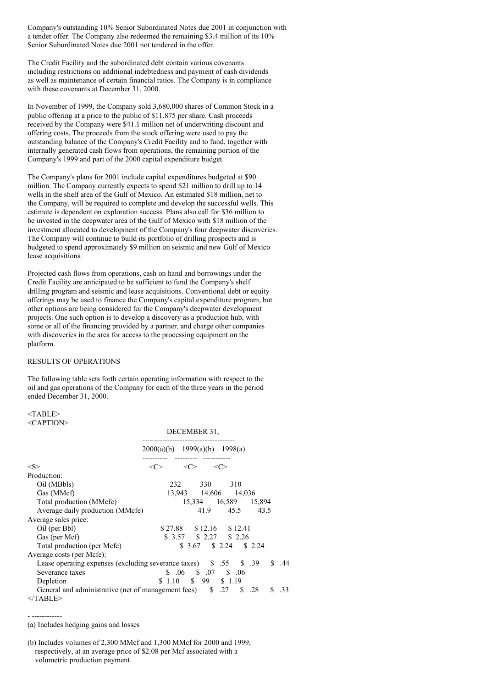Company's outstanding 10% Senior Subordinated Notes due 2001 in conjunction with a tender offer. The Company also redeemed the remaining \$3.4 million of its 10% Senior Subordinated Notes due 2001 not tendered in the offer.

The Credit Facility and the subordinated debt contain various covenants including restrictions on additional indebtedness and payment of cash dividends as well as maintenance of certain financial ratios. The Company is in compliance with these covenants at December 31, 2000.

In November of 1999, the Company sold 3,680,000 shares of Common Stock in a public offering at a price to the public of \$11.875 per share. Cash proceeds received by the Company were \$41.1 million net of underwriting discount and offering costs. The proceeds from the stock offering were used to pay the outstanding balance of the Company's Credit Facility and to fund, together with internally generated cash flows from operations, the remaining portion of the Company's 1999 and part of the 2000 capital expenditure budget.

The Company's plans for 2001 include capital expenditures budgeted at \$90 million. The Company currently expects to spend \$21 million to drill up to 14 wells in the shelf area of the Gulf of Mexico. An estimated \$18 million, net to the Company, will be required to complete and develop the successful wells. This estimate is dependent on exploration success. Plans also call for \$36 million to be invested in the deepwater area of the Gulf of Mexico with \$18 million of the investment allocated to development of the Company's four deepwater discoveries. The Company will continue to build its portfolio of drilling prospects and is budgeted to spend approximately \$9 million on seismic and new Gulf of Mexico lease acquisitions.

Projected cash flows from operations, cash on hand and borrowings under the Credit Facility are anticipated to be sufficient to fund the Company's shelf drilling program and seismic and lease acquisitions. Conventional debt or equity offerings may be used to finance the Company's capital expenditure program, but other options are being considered for the Company's deepwater development projects. One such option is to develop a discovery as a production hub, with some or all of the financing provided by a partner, and charge other companies with discoveries in the area for access to the processing equipment on the platform.

#### RESULTS OF OPERATIONS

The following table sets forth certain operating information with respect to the oil and gas operations of the Company for each of the three years in the period ended December 31, 2000.

#### $<$ TABLE $>$ <CAPTION>

|                                                                    | DECEMBER 31,                    |               |                            |         |     |        |     |     |
|--------------------------------------------------------------------|---------------------------------|---------------|----------------------------|---------|-----|--------|-----|-----|
|                                                                    | $2000(a)(b)$ 1999(a)(b) 1998(a) |               |                            |         |     |        |     |     |
| $<\!\!S\!\!>$                                                      | <( '>                           | $<\!\!C\!\!>$ |                            | <c></c> |     |        |     |     |
| Production:                                                        |                                 |               |                            |         |     |        |     |     |
| Oil (MBbls)                                                        |                                 | 232           | 330                        |         | 310 |        |     |     |
| Gas (MMcf)                                                         |                                 |               | 13,943 14,606 14,036       |         |     |        |     |     |
| Total production (MMcfe)                                           |                                 |               | 15,334 16,589 15,894       |         |     |        |     |     |
| Average daily production (MMcfe)                                   |                                 |               | 41.9 45.5                  |         |     | 43.5   |     |     |
| Average sales price:                                               |                                 |               |                            |         |     |        |     |     |
| Oil (per Bbl)                                                      |                                 |               | $$27.88$ $$12.16$ $$12.41$ |         |     |        |     |     |
| Gas (per Mcf)                                                      |                                 |               | \$ 3.57 \$ 2.27 \$ 2.26    |         |     |        |     |     |
| Total production (per Mcfe)                                        |                                 |               | $$3.67$ $$2.24$            |         |     | \$2.24 |     |     |
| Average costs (per Mcfe):                                          |                                 |               |                            |         |     |        |     |     |
| Lease operating expenses (excluding severance taxes) \$ .55 \$ .39 |                                 |               |                            |         |     |        | \$. | .44 |
| Severance taxes                                                    |                                 |               | $$.06$ $$.07$ $$.06$       |         |     |        |     |     |
| Depletion                                                          | $$1.10$ $$99$ $$1.19$           |               |                            |         |     |        |     |     |
| General and administrative (net of management fees) \$ .27         |                                 |               |                            |         | S.  | .28    | S.  | .33 |
| $<$ TABLE>                                                         |                                 |               |                            |         |     |        |     |     |

DECEMBER 31,

- ------------

<sup>(</sup>a) Includes hedging gains and losses

<sup>(</sup>b) Includes volumes of 2,300 MMcf and 1,300 MMcf for 2000 and 1999, respectively, at an average price of \$2.08 per Mcf associated with a volumetric production payment.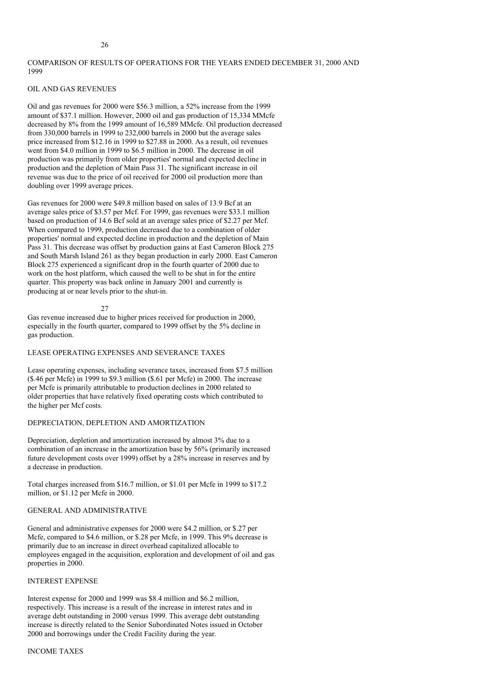# COMPARISON OF RESULTS OF OPERATIONS FOR THE YEARS ENDED DECEMBER 31, 2000 AND 1999

# OIL AND GAS REVENUES

Oil and gas revenues for 2000 were \$56.3 million, a 52% increase from the 1999 amount of \$37.1 million. However, 2000 oil and gas production of 15,334 MMcfe decreased by 8% from the 1999 amount of 16,589 MMcfe. Oil production decreased from 330,000 barrels in 1999 to 232,000 barrels in 2000 but the average sales price increased from \$12.16 in 1999 to \$27.88 in 2000. As a result, oil revenues went from \$4.0 million in 1999 to \$6.5 million in 2000. The decrease in oil production was primarily from older properties' normal and expected decline in production and the depletion of Main Pass 31. The significant increase in oil revenue was due to the price of oil received for 2000 oil production more than doubling over 1999 average prices.

Gas revenues for 2000 were \$49.8 million based on sales of 13.9 Bcf at an average sales price of \$3.57 per Mcf. For 1999, gas revenues were \$33.1 million based on production of 14.6 Bcf sold at an average sales price of \$2.27 per Mcf. When compared to 1999, production decreased due to a combination of older properties' normal and expected decline in production and the depletion of Main Pass 31. This decrease was offset by production gains at East Cameron Block 275 and South Marsh Island 261 as they began production in early 2000. East Cameron Block 275 experienced a significant drop in the fourth quarter of 2000 due to work on the host platform, which caused the well to be shut in for the entire quarter. This property was back online in January 2001 and currently is producing at or near levels prior to the shut-in.

#### 27

Gas revenue increased due to higher prices received for production in 2000, especially in the fourth quarter, compared to 1999 offset by the 5% decline in gas production.

# LEASE OPERATING EXPENSES AND SEVERANCE TAXES

Lease operating expenses, including severance taxes, increased from \$7.5 million (\$.46 per Mcfe) in 1999 to \$9.3 million (\$.61 per Mcfe) in 2000. The increase per Mcfe is primarily attributable to production declines in 2000 related to older properties that have relatively fixed operating costs which contributed to the higher per Mcf costs.

# DEPRECIATION, DEPLETION AND AMORTIZATION

Depreciation, depletion and amortization increased by almost 3% due to a combination of an increase in the amortization base by 56% (primarily increased future development costs over 1999) offset by a 28% increase in reserves and by a decrease in production.

Total charges increased from \$16.7 million, or \$1.01 per Mcfe in 1999 to \$17.2 million, or \$1.12 per Mcfe in 2000.

#### GENERAL AND ADMINISTRATIVE

General and administrative expenses for 2000 were \$4.2 million, or \$.27 per Mcfe, compared to \$4.6 million, or \$.28 per Mcfe, in 1999. This 9% decrease is primarily due to an increase in direct overhead capitalized allocable to employees engaged in the acquisition, exploration and development of oil and gas properties in 2000.

#### INTEREST EXPENSE

Interest expense for 2000 and 1999 was \$8.4 million and \$6.2 million, respectively. This increase is a result of the increase in interest rates and in average debt outstanding in 2000 versus 1999. This average debt outstanding increase is directly related to the Senior Subordinated Notes issued in October 2000 and borrowings under the Credit Facility during the year.

#### INCOME TAXES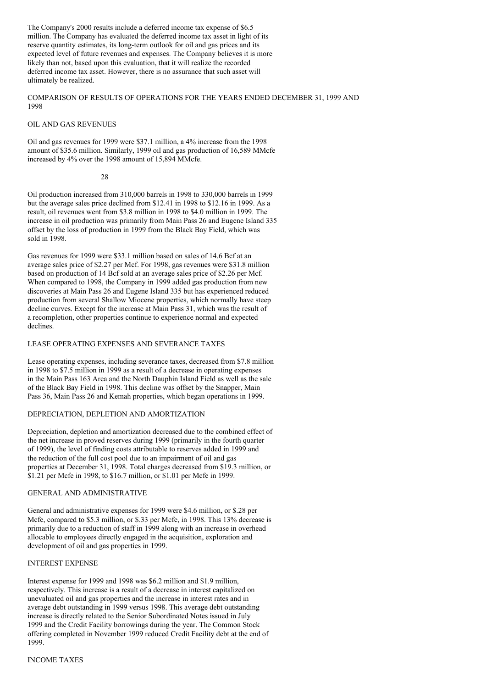The Company's 2000 results include a deferred income tax expense of \$6.5 million. The Company has evaluated the deferred income tax asset in light of its reserve quantity estimates, its long-term outlook for oil and gas prices and its expected level of future revenues and expenses. The Company believes it is more likely than not, based upon this evaluation, that it will realize the recorded deferred income tax asset. However, there is no assurance that such asset will ultimately be realized.

COMPARISON OF RESULTS OF OPERATIONS FOR THE YEARS ENDED DECEMBER 31, 1999 AND 1998

### OIL AND GAS REVENUES

Oil and gas revenues for 1999 were \$37.1 million, a 4% increase from the 1998 amount of \$35.6 million. Similarly, 1999 oil and gas production of 16,589 MMcfe increased by 4% over the 1998 amount of 15,894 MMcfe.

#### 28

Oil production increased from 310,000 barrels in 1998 to 330,000 barrels in 1999 but the average sales price declined from \$12.41 in 1998 to \$12.16 in 1999. As a result, oil revenues went from \$3.8 million in 1998 to \$4.0 million in 1999. The increase in oil production was primarily from Main Pass 26 and Eugene Island 335 offset by the loss of production in 1999 from the Black Bay Field, which was sold in 1998.

Gas revenues for 1999 were \$33.1 million based on sales of 14.6 Bcf at an average sales price of \$2.27 per Mcf. For 1998, gas revenues were \$31.8 million based on production of 14 Bcf sold at an average sales price of \$2.26 per Mcf. When compared to 1998, the Company in 1999 added gas production from new discoveries at Main Pass 26 and Eugene Island 335 but has experienced reduced production from several Shallow Miocene properties, which normally have steep decline curves. Except for the increase at Main Pass 31, which was the result of a recompletion, other properties continue to experience normal and expected declines.

#### LEASE OPERATING EXPENSES AND SEVERANCE TAXES

Lease operating expenses, including severance taxes, decreased from \$7.8 million in 1998 to \$7.5 million in 1999 as a result of a decrease in operating expenses in the Main Pass 163 Area and the North Dauphin Island Field as well as the sale of the Black Bay Field in 1998. This decline was offset by the Snapper, Main Pass 36, Main Pass 26 and Kemah properties, which began operations in 1999.

#### DEPRECIATION, DEPLETION AND AMORTIZATION

Depreciation, depletion and amortization decreased due to the combined effect of the net increase in proved reserves during 1999 (primarily in the fourth quarter of 1999), the level of finding costs attributable to reserves added in 1999 and the reduction of the full cost pool due to an impairment of oil and gas properties at December 31, 1998. Total charges decreased from \$19.3 million, or \$1.21 per Mcfe in 1998, to \$16.7 million, or \$1.01 per Mcfe in 1999.

#### GENERAL AND ADMINISTRATIVE

General and administrative expenses for 1999 were \$4.6 million, or \$.28 per Mcfe, compared to \$5.3 million, or \$.33 per Mcfe, in 1998. This 13% decrease is primarily due to a reduction of staff in 1999 along with an increase in overhead allocable to employees directly engaged in the acquisition, exploration and development of oil and gas properties in 1999.

#### INTEREST EXPENSE

Interest expense for 1999 and 1998 was \$6.2 million and \$1.9 million, respectively. This increase is a result of a decrease in interest capitalized on unevaluated oil and gas properties and the increase in interest rates and in average debt outstanding in 1999 versus 1998. This average debt outstanding increase is directly related to the Senior Subordinated Notes issued in July 1999 and the Credit Facility borrowings during the year. The Common Stock offering completed in November 1999 reduced Credit Facility debt at the end of 1999.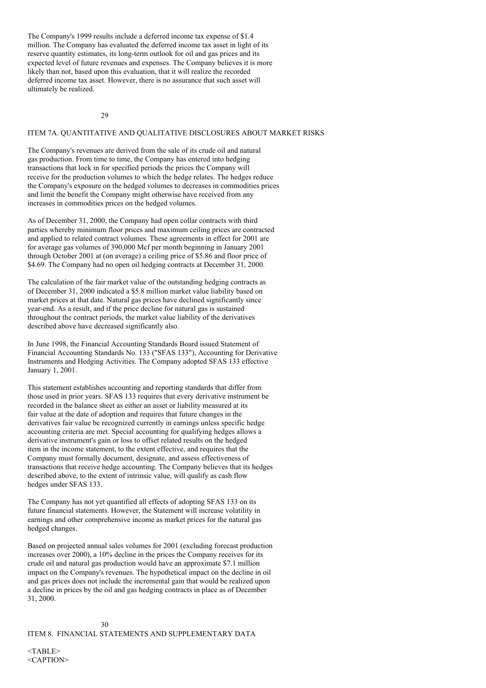The Company's 1999 results include a deferred income tax expense of \$1.4 million. The Company has evaluated the deferred income tax asset in light of its reserve quantity estimates, its long-term outlook for oil and gas prices and its expected level of future revenues and expenses. The Company believes it is more likely than not, based upon this evaluation, that it will realize the recorded deferred income tax asset. However, there is no assurance that such asset will ultimately be realized.

 $29$ 

#### ITEM 7A. QUANTITATIVE AND QUALITATIVE DISCLOSURES ABOUT MARKET RISKS

The Company's revenues are derived from the sale of its crude oil and natural gas production. From time to time, the Company has entered into hedging transactions that lock in for specified periods the prices the Company will receive for the production volumes to which the hedge relates. The hedges reduce the Company's exposure on the hedged volumes to decreases in commodities prices and limit the benefit the Company might otherwise have received from any increases in commodities prices on the hedged volumes.

As of December 31, 2000, the Company had open collar contracts with third parties whereby minimum floor prices and maximum ceiling prices are contracted and applied to related contract volumes. These agreements in effect for 2001 are for average gas volumes of 390,000 Mcf per month beginning in January 2001 through October 2001 at (on average) a ceiling price of \$5.86 and floor price of \$4.69. The Company had no open oil hedging contracts at December 31, 2000.

The calculation of the fair market value of the outstanding hedging contracts as of December 31, 2000 indicated a \$5.8 million market value liability based on market prices at that date. Natural gas prices have declined significantly since year-end. As a result, and if the price decline for natural gas is sustained throughout the contract periods, the market value liability of the derivatives described above have decreased significantly also.

In June 1998, the Financial Accounting Standards Board issued Statement of Financial Accounting Standards No. 133 ("SFAS 133"), Accounting for Derivative Instruments and Hedging Activities. The Company adopted SFAS 133 effective January 1, 2001.

This statement establishes accounting and reporting standards that differ from those used in prior years. SFAS 133 requires that every derivative instrument be recorded in the balance sheet as either an asset or liability measured at its fair value at the date of adoption and requires that future changes in the derivatives fair value be recognized currently in earnings unless specific hedge accounting criteria are met. Special accounting for qualifying hedges allows a derivative instrument's gain or loss to offset related results on the hedged item in the income statement, to the extent effective, and requires that the Company must formally document, designate, and assess effectiveness of transactions that receive hedge accounting. The Company believes that its hedges described above, to the extent of intrinsic value, will qualify as cash flow hedges under SFAS 133.

The Company has not yet quantified all effects of adopting SFAS 133 on its future financial statements. However, the Statement will increase volatility in earnings and other comprehensive income as market prices for the natural gas hedged changes.

Based on projected annual sales volumes for 2001 (excluding forecast production increases over 2000), a 10% decline in the prices the Company receives for its crude oil and natural gas production would have an approximate \$7.1 million impact on the Company's revenues. The hypothetical impact on the decline in oil and gas prices does not include the incremental gain that would be realized upon a decline in prices by the oil and gas hedging contracts in place as of December 31, 2000.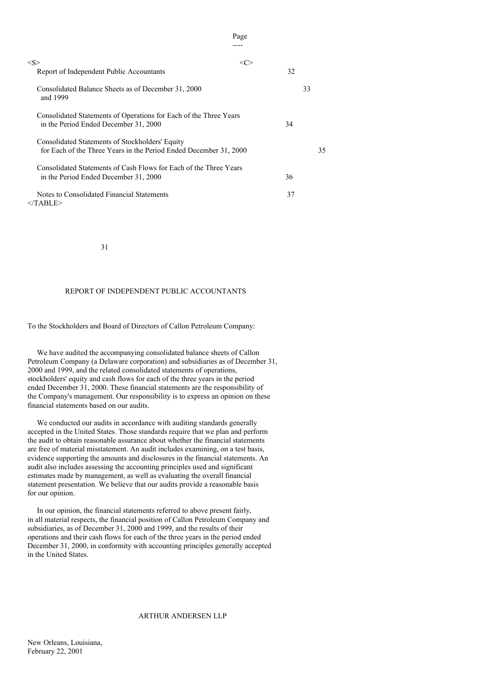| $<\!\!S\!\!>$<br><c></c>                                                                                             |    |
|----------------------------------------------------------------------------------------------------------------------|----|
| Report of Independent Public Accountants                                                                             | 32 |
| Consolidated Balance Sheets as of December 31, 2000<br>and 1999                                                      | 33 |
| Consolidated Statements of Operations for Each of the Three Years<br>in the Period Ended December 31, 2000           | 34 |
| Consolidated Statements of Stockholders' Equity<br>for Each of the Three Years in the Period Ended December 31, 2000 | 35 |
| Consolidated Statements of Cash Flows for Each of the Three Years<br>in the Period Ended December 31, 2000           | 36 |
| Notes to Consolidated Financial Statements<br>                                                                       |    |

 37 |Page

31

# REPORT OF INDEPENDENT PUBLIC ACCOUNTANTS

# To the Stockholders and Board of Directors of Callon Petroleum Company:

We have audited the accompanying consolidated balance sheets of Callon Petroleum Company (a Delaware corporation) and subsidiaries as of December 31, 2000 and 1999, and the related consolidated statements of operations, stockholders' equity and cash flows for each of the three years in the period ended December 31, 2000. These financial statements are the responsibility of the Company's management. Our responsibility is to express an opinion on these financial statements based on our audits.

We conducted our audits in accordance with auditing standards generally accepted in the United States. Those standards require that we plan and perform the audit to obtain reasonable assurance about whether the financial statements are free of material misstatement. An audit includes examining, on a test basis, evidence supporting the amounts and disclosures in the financial statements. An audit also includes assessing the accounting principles used and significant estimates made by management, as well as evaluating the overall financial statement presentation. We believe that our audits provide a reasonable basis for our opinion.

In our opinion, the financial statements referred to above present fairly, in all material respects, the financial position of Callon Petroleum Company and subsidiaries, as of December 31, 2000 and 1999, and the results of their operations and their cash flows for each of the three years in the period ended December 31, 2000, in conformity with accounting principles generally accepted in the United States.

# ARTHUR ANDERSEN LLP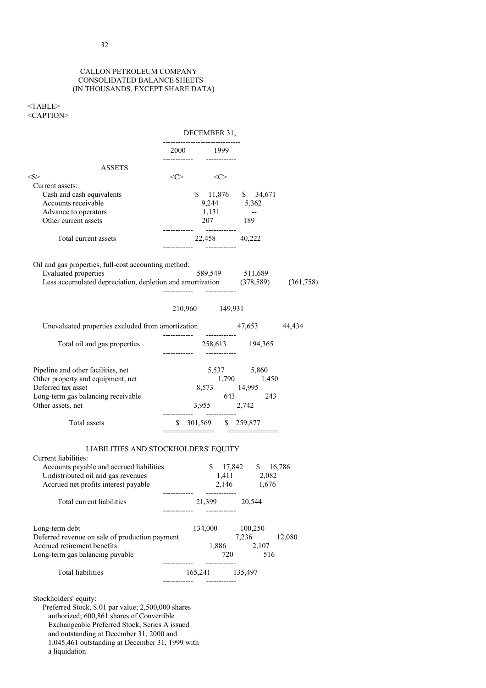#### CALLON PETROLEUM COMPANY CONSOLIDATED BALANCE SHEETS (IN THOUSANDS, EXCEPT SHARE DATA)

# <TABLE> <CAPTION>

|                                                                                                                                                                      |                                  | DECEMBER 31,                            |                         |                                                                      |        |
|----------------------------------------------------------------------------------------------------------------------------------------------------------------------|----------------------------------|-----------------------------------------|-------------------------|----------------------------------------------------------------------|--------|
|                                                                                                                                                                      | -------------------------------- | 2000 1999                               |                         |                                                                      |        |
| <b>ASSETS</b>                                                                                                                                                        |                                  |                                         |                         |                                                                      |        |
| $<\!\!S\!\!>$                                                                                                                                                        |                                  | $\langle C \rangle$ $\langle C \rangle$ |                         |                                                                      |        |
| Current assets:<br>Cash and cash equivalents<br>Accounts receivable<br>Advance to operators<br>Other current assets                                                  |                                  |                                         |                         | \$ 11,876 \$ 34,671<br>$9,244$ $5,362$<br>1,131 --<br>$207$ 189      |        |
| Total current assets                                                                                                                                                 |                                  | ---------           -----------         |                         | 22,458 40,222                                                        |        |
| Oil and gas properties, full-cost accounting method:<br><b>Evaluated</b> properties<br>Less accumulated depreciation, depletion and amortization (378,589) (361,758) |                                  |                                         |                         | 589,549 511,689                                                      |        |
|                                                                                                                                                                      |                                  | 210,960 149,931                         |                         |                                                                      |        |
| Unevaluated properties excluded from amortization 47,653 44,434                                                                                                      |                                  |                                         |                         |                                                                      |        |
| Total oil and gas properties                                                                                                                                         |                                  |                                         |                         |                                                                      |        |
| Pipeline and other facilities, net<br>Other property and equipment, net<br>Deferred tax asset<br>Long-term gas balancing receivable<br>Other assets, net             |                                  |                                         |                         | 5,537 5,860<br>1,790 1,450<br>8,573 14,995<br>643 243<br>3,955 2,742 |        |
| Total assets                                                                                                                                                         |                                  |                                         |                         | \$ 301,569 \$ 259,877                                                |        |
| LIABILITIES AND STOCKHOLDERS' EQUITY<br>Current liabilities:<br>Accounts payable and accrued liabilities                                                             |                                  |                                         |                         | $$17,842$ $$16,786$                                                  |        |
| Undistributed oil and gas revenues<br>Accrued net profits interest payable                                                                                           |                                  |                                         |                         | $1,411$ $2,082$<br>2,146 1,676                                       |        |
| Total current liabilities                                                                                                                                            |                                  |                                         | 21,399<br>-----------   | 20,544                                                               |        |
| Long-term debt<br>Deferred revenue on sale of production payment<br>Accrued retirement benefits<br>Long-term gas balancing payable                                   |                                  |                                         | 134,000<br>1,886<br>720 | 100,250<br>7,236<br>2,107<br>516                                     | 12,080 |
| Total liabilities                                                                                                                                                    |                                  |                                         | ------------            | 165,241 135,497                                                      |        |
| Stockholders' equity:<br>$f_{\text{c}mn}$ $d$ $Q_{\text{t}n}$ $d$ $d$ $d$ $p$ $p$ $q$ $p$ $q$ $p$ $q$ $p$ $q$ $p$ $q$ $q$ $q$ $q$                                    | ---------                        |                                         | ------------            |                                                                      |        |

Preferred Stock, \$.01 par value; 2,500,000 shares authorized; 600,861 shares of Convertible Exchangeable Preferred Stock, Series A issued and outstanding at December 31, 2000 and 1,045,461 outstanding at December 31, 1999 with a liquidation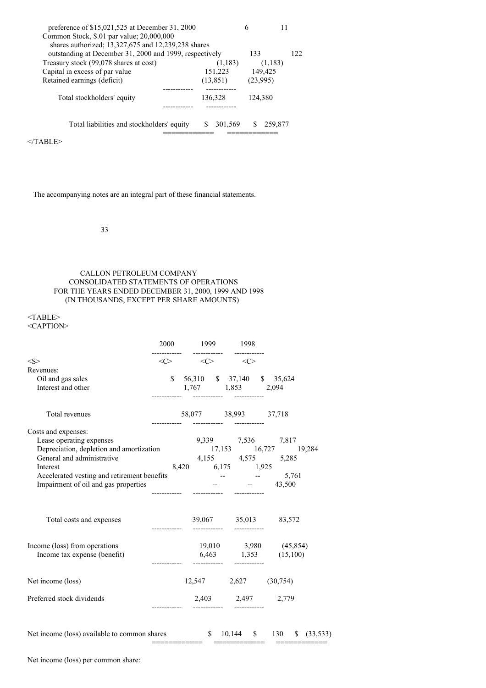| preference of \$15,021,525 at December 31, 2000         |           | h    |          |  |  |  |
|---------------------------------------------------------|-----------|------|----------|--|--|--|
| Common Stock, \$.01 par value; 20,000,000               |           |      |          |  |  |  |
| shares authorized; 13,327,675 and 12,239,238 shares     |           |      |          |  |  |  |
| outstanding at December 31, 2000 and 1999, respectively | 133       | 122. |          |  |  |  |
| Treasury stock (99,078 shares at cost)                  | (1,183)   |      | (1,183)  |  |  |  |
| Capital in excess of par value                          | 151,223   |      | 149,425  |  |  |  |
| Retained earnings (deficit)                             | (13, 851) |      | (23,995) |  |  |  |
|                                                         |           |      |          |  |  |  |
| Total stockholders' equity                              | 136,328   |      | 124.380  |  |  |  |
|                                                         |           |      |          |  |  |  |
|                                                         |           |      |          |  |  |  |
| Total liabilities and stockholders' equity              | 301.569   |      | 259,877  |  |  |  |
|                                                         |           |      |          |  |  |  |

 $<$ /TABLE>

The accompanying notes are an integral part of these financial statements.

33

CALLON PETROLEUM COMPANY CONSOLIDATED STATEMENTS OF OPERATIONS FOR THE YEARS ENDED DECEMBER 31, 2000, 1999 AND 1998 (IN THOUSANDS, EXCEPT PER SHARE AMOUNTS)

# <TABLE>

<CAPTION>

|                                                                                                                                 | 2000 1999 1998<br>---------  -----------  ----------        |  |                              |
|---------------------------------------------------------------------------------------------------------------------------------|-------------------------------------------------------------|--|------------------------------|
| < S >                                                                                                                           | $\langle C \rangle$ $\langle C \rangle$ $\langle C \rangle$ |  |                              |
| Revenues:                                                                                                                       |                                                             |  |                              |
| Oil and gas sales                                                                                                               | \$ 56,310 \$ 37,140 \$ 35,624                               |  |                              |
| Interest and other                                                                                                              | 1,767 1,853 2,094                                           |  |                              |
| Total revenues                                                                                                                  | 58,077 38,993 37,718                                        |  |                              |
| Costs and expenses:                                                                                                             |                                                             |  |                              |
| Lease operating expenses                                                                                                        |                                                             |  | 9,339 7,536 7,817            |
| Depreciation, depletion and amortization<br>$17,153$ $16,727$ $19,284$<br>General and administrative<br>$4,155$ $4,575$ $5,285$ |                                                             |  |                              |
|                                                                                                                                 |                                                             |  |                              |
| Interest<br>Accelerated vesting and retirement benefits                                                                         | 8,420 6,175 1,925                                           |  |                              |
| Impairment of oil and gas properties                                                                                            |                                                             |  | $  5,761$<br>$ 43,500$       |
|                                                                                                                                 |                                                             |  |                              |
| Total costs and expenses                                                                                                        |                                                             |  | 39,067 35,013 83,572         |
| Income (loss) from operations                                                                                                   |                                                             |  | 19,010 3,980 (45,854)        |
| Income tax expense (benefit)                                                                                                    |                                                             |  | $6,463$ $1,353$ $(15,100)$   |
| Net income (loss)                                                                                                               |                                                             |  | $12,547$ $2,627$ $(30,754)$  |
| Preferred stock dividends                                                                                                       |                                                             |  | 2,403 2,497 2,779            |
| Net income (loss) available to common shares                                                                                    |                                                             |  | $$10,144$ $$130$ $$(33,533)$ |

Net income (loss) per common share: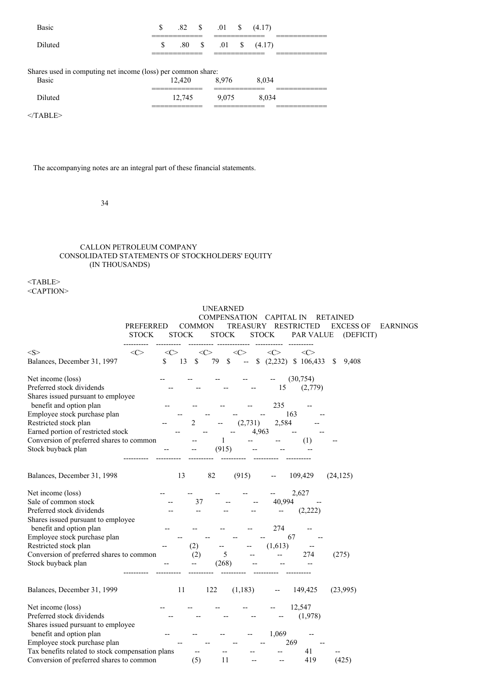| <b>Basic</b>                                                 | \$. |        | $.82 \quad S \quad .01 \quad S$ |          | (4.17) | ______________ |  |
|--------------------------------------------------------------|-----|--------|---------------------------------|----------|--------|----------------|--|
| Diluted                                                      | S   | .80 S  | .01 S                           | ________ | (4.17) |                |  |
| Shares used in computing net income (loss) per common share: |     |        |                                 |          |        |                |  |
| <b>Basic</b>                                                 |     | 12.420 | 8.976<br>______________         |          | 8.034  |                |  |
| Diluted                                                      |     | 12.745 | 9.075                           |          | 8.034  |                |  |
|                                                              |     |        |                                 |          |        |                |  |

 $<$ /TABLE>

The accompanying notes are an integral part of these financial statements.

34

# CALLON PETROLEUM COMPANY CONSOLIDATED STATEMENTS OF STOCKHOLDERS' EQUITY (IN THOUSANDS)

| PREFERRED<br><b>STOCK</b>                        |           | <b>COMMON</b><br><b>STOCK</b> | <b>UNEARNED</b>     | <b>STOCK</b>  | <b>COMPENSATION</b><br><b>TREASURY</b>  | CAPITAL IN<br><b>STOCK</b> | <b>RESTRICTED</b><br>PAR VALUE |    | RETAINED<br><b>EXCESS OF</b><br>(DEFICIT) | <b>EARNINGS</b> |
|--------------------------------------------------|-----------|-------------------------------|---------------------|---------------|-----------------------------------------|----------------------------|--------------------------------|----|-------------------------------------------|-----------------|
| <s><br/>&lt;&lt;&gt;</s>                         | $<\infty$ |                               | $\langle C \rangle$ |               | <<>                                     | $<\!\!C\!\!>$              | $\langle C \rangle$            |    |                                           |                 |
| Balances, December 31, 1997                      | \$        | 13<br>S                       | 79                  | <sup>\$</sup> | $\mathbb S$<br>$\overline{\phantom{a}}$ |                            | $(2,232)$ \$ 106,433           | -S | 9,408                                     |                 |
| Net income (loss)                                |           |                               |                     |               |                                         |                            | (30, 754)                      |    |                                           |                 |
| Preferred stock dividends                        |           |                               |                     |               |                                         | 15                         | (2,779)                        |    |                                           |                 |
| Shares issued pursuant to employee               |           |                               |                     |               |                                         |                            |                                |    |                                           |                 |
| benefit and option plan                          |           |                               |                     |               |                                         | 235                        |                                |    |                                           |                 |
| Employee stock purchase plan                     |           |                               |                     |               |                                         |                            | 163                            |    |                                           |                 |
| Restricted stock plan                            |           | 2                             |                     |               | (2,731)                                 | 2,584                      |                                |    |                                           |                 |
| Earned portion of restricted stock               |           |                               |                     |               | 4,963                                   |                            |                                |    |                                           |                 |
| Conversion of preferred shares to common         |           |                               |                     | 1             |                                         |                            | (1)                            |    |                                           |                 |
| Stock buyback plan                               |           |                               |                     | (915)         |                                         |                            |                                |    |                                           |                 |
| Balances, December 31, 1998                      |           | 13                            | 82                  |               | (915)                                   |                            | 109,429                        |    | (24, 125)                                 |                 |
| Net income (loss)                                |           |                               |                     |               |                                         |                            | 2,627                          |    |                                           |                 |
| Sale of common stock                             |           |                               | 37                  |               |                                         | 40,994                     |                                |    |                                           |                 |
| Preferred stock dividends                        |           |                               |                     |               |                                         |                            | (2, 222)                       |    |                                           |                 |
| Shares issued pursuant to employee               |           |                               |                     |               |                                         |                            |                                |    |                                           |                 |
| benefit and option plan                          |           |                               |                     |               |                                         | 274                        |                                |    |                                           |                 |
| Employee stock purchase plan                     |           |                               |                     |               |                                         |                            | 67                             |    |                                           |                 |
| Restricted stock plan                            |           | (2)                           |                     |               |                                         | (1,613)                    |                                |    |                                           |                 |
| Conversion of preferred shares to common         |           | (2)                           |                     | 5             |                                         |                            | 274                            |    | (275)                                     |                 |
| Stock buyback plan                               |           |                               |                     | (268)         |                                         |                            |                                |    |                                           |                 |
| Balances, December 31, 1999                      |           | 11                            | 122                 |               | (1, 183)                                |                            | 149,425                        |    | (23,995)                                  |                 |
| Net income (loss)                                |           |                               |                     |               |                                         |                            | 12,547                         |    |                                           |                 |
| Preferred stock dividends                        |           |                               |                     |               |                                         |                            | (1,978)                        |    |                                           |                 |
| Shares issued pursuant to employee               |           |                               |                     |               |                                         |                            |                                |    |                                           |                 |
| benefit and option plan                          |           |                               |                     |               |                                         | 1,069                      |                                |    |                                           |                 |
| Employee stock purchase plan                     |           |                               |                     |               |                                         |                            | 269                            |    |                                           |                 |
| Tax benefits related to stock compensation plans |           |                               |                     |               |                                         |                            | 41                             |    |                                           |                 |
| Conversion of preferred shares to common         |           | (5)                           |                     | 11            |                                         |                            | 419                            |    | (425)                                     |                 |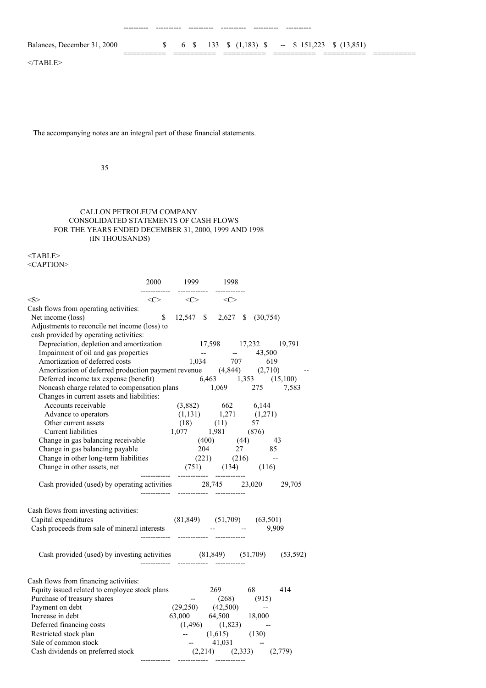---------- ---------- ---------- ---------- ---------- ----------

 $<$ /TABLE>

The accompanying notes are an integral part of these financial statements.

35

# CALLON PETROLEUM COMPANY CONSOLIDATED STATEMENTS OF CASH FLOWS FOR THE YEARS ENDED DECEMBER 31, 2000, 1999 AND 1998 (IN THOUSANDS)

<TABLE> <CAPTION>

|                                                                                                                                                                                                                                              |    | 2000 1999 1998                                              |  |  |
|----------------------------------------------------------------------------------------------------------------------------------------------------------------------------------------------------------------------------------------------|----|-------------------------------------------------------------|--|--|
| < S >                                                                                                                                                                                                                                        |    | $\langle C \rangle$ $\langle C \rangle$ $\langle C \rangle$ |  |  |
| Cash flows from operating activities:                                                                                                                                                                                                        |    |                                                             |  |  |
| Net income (loss)                                                                                                                                                                                                                            | \$ | 12,547 \$ 2,627 \$ (30,754)                                 |  |  |
| Adjustments to reconcile net income (loss) to                                                                                                                                                                                                |    |                                                             |  |  |
| cash provided by operating activities:                                                                                                                                                                                                       |    |                                                             |  |  |
|                                                                                                                                                                                                                                              |    |                                                             |  |  |
|                                                                                                                                                                                                                                              |    |                                                             |  |  |
|                                                                                                                                                                                                                                              |    |                                                             |  |  |
| Depreciation, depletion and amortization<br>17,598 17,232 19,791<br>Impairment of oil and gas properties<br>Amortization of deferred costs<br>1,034 707 619<br>Amortization of deferred production payment revenue (4,844) 2,710)            |    |                                                             |  |  |
| Deferred income tax expense (benefit) $6,463$ $1,353$ $(15,100)$                                                                                                                                                                             |    |                                                             |  |  |
| Noncash charge related to compensation plans 1,069 275 7,583                                                                                                                                                                                 |    |                                                             |  |  |
| Changes in current assets and liabilities:                                                                                                                                                                                                   |    |                                                             |  |  |
| Accounts receivable                                                                                                                                                                                                                          |    | $(3,882)$ $662$ $6,144$<br>$(1,131)$ $1,271$ $(1,271)$      |  |  |
| Advance to operators                                                                                                                                                                                                                         |    |                                                             |  |  |
|                                                                                                                                                                                                                                              |    |                                                             |  |  |
|                                                                                                                                                                                                                                              |    |                                                             |  |  |
|                                                                                                                                                                                                                                              |    |                                                             |  |  |
|                                                                                                                                                                                                                                              |    |                                                             |  |  |
|                                                                                                                                                                                                                                              |    |                                                             |  |  |
| Advance to operators<br>Other current assets<br>Current liabilities<br>Current liabilities<br>Change in gas balancing receivable<br>Change in gas balancing payable<br>Change in other long-term liabilities<br>Change in other long-term li |    |                                                             |  |  |
| Change in other assets, net<br>$(731)$<br>$(131)$<br>$(337)$<br>$(357)$<br>$(36745)$<br>$(30745)$                                                                                                                                            |    |                                                             |  |  |
| Cash provided (used) by operating activities 28,745 23,020 29,705                                                                                                                                                                            |    |                                                             |  |  |
|                                                                                                                                                                                                                                              |    |                                                             |  |  |
|                                                                                                                                                                                                                                              |    |                                                             |  |  |
| Cash flows from investing activities:                                                                                                                                                                                                        |    |                                                             |  |  |
|                                                                                                                                                                                                                                              |    | $  9,909$                                                   |  |  |
|                                                                                                                                                                                                                                              |    |                                                             |  |  |
|                                                                                                                                                                                                                                              |    |                                                             |  |  |
| Cash provided (used) by investing activities $(81,849)$ $(51,709)$ $(53,592)$                                                                                                                                                                |    |                                                             |  |  |
|                                                                                                                                                                                                                                              |    |                                                             |  |  |
|                                                                                                                                                                                                                                              |    |                                                             |  |  |
| Cash flows from financing activities:                                                                                                                                                                                                        |    |                                                             |  |  |
|                                                                                                                                                                                                                                              |    | 269 68 414                                                  |  |  |
|                                                                                                                                                                                                                                              |    |                                                             |  |  |
| Constraint to Equity issued related to employee stock plans<br>Equity issued related to employee stock plans<br>Purchase of treasury shares<br>Payment on debt<br>Increase in debt<br>(29,250) (42,500) --<br>Increase in debt<br>(3,000 64  |    |                                                             |  |  |
|                                                                                                                                                                                                                                              |    |                                                             |  |  |
|                                                                                                                                                                                                                                              |    |                                                             |  |  |
| Restricted stock plan                                                                                                                                                                                                                        |    | -- $(1,615)$ $(130)$                                        |  |  |
| Sale of common stock                                                                                                                                                                                                                         |    | -- $41,031$ --<br>(2,214) (2,333) (2,779)                   |  |  |
| Cash dividends on preferred stock                                                                                                                                                                                                            |    |                                                             |  |  |

------------ ------------ ------------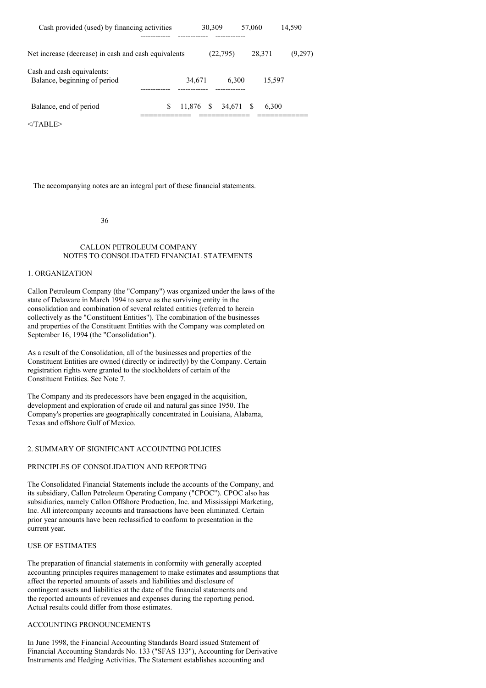| Cash provided (used) by financing activities               |        | 30,309    |           | 57,060 | 14.590  |
|------------------------------------------------------------|--------|-----------|-----------|--------|---------|
| Net increase (decrease) in cash and cash equivalents       |        |           | (22, 795) | 28.371 | (9,297) |
| Cash and cash equivalents:<br>Balance, beginning of period | 34.671 |           | 6.300     |        | 15.597  |
| Balance, end of period                                     | \$.    | 11.876 \$ | 34.671    | -S     | 6.300   |

 $<$ /TABLE>

The accompanying notes are an integral part of these financial statements.

36

#### CALLON PETROLEUM COMPANY NOTES TO CONSOLIDATED FINANCIAL STATEMENTS

# 1. ORGANIZATION

Callon Petroleum Company (the "Company") was organized under the laws of the state of Delaware in March 1994 to serve as the surviving entity in the consolidation and combination of several related entities (referred to herein collectively as the "Constituent Entities"). The combination of the businesses and properties of the Constituent Entities with the Company was completed on September 16, 1994 (the "Consolidation").

As a result of the Consolidation, all of the businesses and properties of the Constituent Entities are owned (directly or indirectly) by the Company. Certain registration rights were granted to the stockholders of certain of the Constituent Entities. See Note 7.

The Company and its predecessors have been engaged in the acquisition, development and exploration of crude oil and natural gas since 1950. The Company's properties are geographically concentrated in Louisiana, Alabama, Texas and offshore Gulf of Mexico.

#### 2. SUMMARY OF SIGNIFICANT ACCOUNTING POLICIES

#### PRINCIPLES OF CONSOLIDATION AND REPORTING

The Consolidated Financial Statements include the accounts of the Company, and its subsidiary, Callon Petroleum Operating Company ("CPOC"). CPOC also has subsidiaries, namely Callon Offshore Production, Inc. and Mississippi Marketing, Inc. All intercompany accounts and transactions have been eliminated. Certain prior year amounts have been reclassified to conform to presentation in the current year.

#### USE OF ESTIMATES

The preparation of financial statements in conformity with generally accepted accounting principles requires management to make estimates and assumptions that affect the reported amounts of assets and liabilities and disclosure of contingent assets and liabilities at the date of the financial statements and the reported amounts of revenues and expenses during the reporting period. Actual results could differ from those estimates.

## ACCOUNTING PRONOUNCEMENTS

In June 1998, the Financial Accounting Standards Board issued Statement of Financial Accounting Standards No. 133 ("SFAS 133"), Accounting for Derivative Instruments and Hedging Activities. The Statement establishes accounting and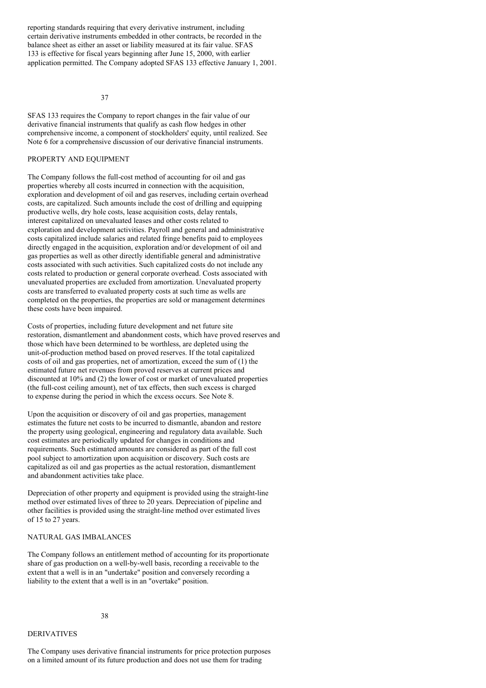reporting standards requiring that every derivative instrument, including certain derivative instruments embedded in other contracts, be recorded in the balance sheet as either an asset or liability measured at its fair value. SFAS 133 is effective for fiscal years beginning after June 15, 2000, with earlier application permitted. The Company adopted SFAS 133 effective January 1, 2001.

37

SFAS 133 requires the Company to report changes in the fair value of our derivative financial instruments that qualify as cash flow hedges in other comprehensive income, a component of stockholders' equity, until realized. See Note 6 for a comprehensive discussion of our derivative financial instruments.

# PROPERTY AND EQUIPMENT

The Company follows the full-cost method of accounting for oil and gas properties whereby all costs incurred in connection with the acquisition, exploration and development of oil and gas reserves, including certain overhead costs, are capitalized. Such amounts include the cost of drilling and equipping productive wells, dry hole costs, lease acquisition costs, delay rentals, interest capitalized on unevaluated leases and other costs related to exploration and development activities. Payroll and general and administrative costs capitalized include salaries and related fringe benefits paid to employees directly engaged in the acquisition, exploration and/or development of oil and gas properties as well as other directly identifiable general and administrative costs associated with such activities. Such capitalized costs do not include any costs related to production or general corporate overhead. Costs associated with unevaluated properties are excluded from amortization. Unevaluated property costs are transferred to evaluated property costs at such time as wells are completed on the properties, the properties are sold or management determines these costs have been impaired.

Costs of properties, including future development and net future site restoration, dismantlement and abandonment costs, which have proved reserves and those which have been determined to be worthless, are depleted using the unit-of-production method based on proved reserves. If the total capitalized costs of oil and gas properties, net of amortization, exceed the sum of (1) the estimated future net revenues from proved reserves at current prices and discounted at 10% and (2) the lower of cost or market of unevaluated properties (the full-cost ceiling amount), net of tax effects, then such excess is charged to expense during the period in which the excess occurs. See Note 8.

Upon the acquisition or discovery of oil and gas properties, management estimates the future net costs to be incurred to dismantle, abandon and restore the property using geological, engineering and regulatory data available. Such cost estimates are periodically updated for changes in conditions and requirements. Such estimated amounts are considered as part of the full cost pool subject to amortization upon acquisition or discovery. Such costs are capitalized as oil and gas properties as the actual restoration, dismantlement and abandonment activities take place.

Depreciation of other property and equipment is provided using the straight-line method over estimated lives of three to 20 years. Depreciation of pipeline and other facilities is provided using the straight-line method over estimated lives of 15 to 27 years.

### NATURAL GAS IMBALANCES

The Company follows an entitlement method of accounting for its proportionate share of gas production on a well-by-well basis, recording a receivable to the extent that a well is in an "undertake" position and conversely recording a liability to the extent that a well is in an "overtake" position.

#### 38

#### DERIVATIVES

The Company uses derivative financial instruments for price protection purposes on a limited amount of its future production and does not use them for trading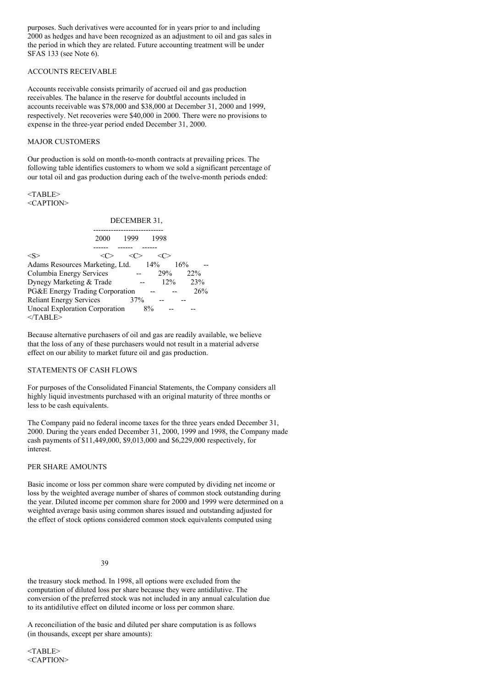purposes. Such derivatives were accounted for in years prior to and including 2000 as hedges and have been recognized as an adjustment to oil and gas sales in the period in which they are related. Future accounting treatment will be under SFAS 133 (see Note 6).

# ACCOUNTS RECEIVABLE

Accounts receivable consists primarily of accrued oil and gas production receivables. The balance in the reserve for doubtful accounts included in accounts receivable was \$78,000 and \$38,000 at December 31, 2000 and 1999, respectively. Net recoveries were \$40,000 in 2000. There were no provisions to expense in the three-year period ended December 31, 2000.

# MAJOR CUSTOMERS

Our production is sold on month-to-month contracts at prevailing prices. The following table identifies customers to whom we sold a significant percentage of our total oil and gas production during each of the twelve-month periods ended:

<TABLE> <CAPTION>

# DECEMBER 31,

| 2000                                  | 1999 | 1998   |     |
|---------------------------------------|------|--------|-----|
|                                       |      |        |     |
| $<\!\!S\!\!>$                         |      | ( >    |     |
| Adams Resources Marketing, Ltd.       |      | 14%    | 16% |
| Columbia Energy Services              |      | 29%    | 22% |
| Dynegy Marketing & Trade              |      | $12\%$ | 23% |
| PG&E Energy Trading Corporation       |      |        | 26% |
| <b>Reliant Energy Services</b>        | 37%  |        |     |
| <b>Unocal Exploration Corporation</b> | 8%   |        |     |
| $<$ TABLE>                            |      |        |     |

Because alternative purchasers of oil and gas are readily available, we believe that the loss of any of these purchasers would not result in a material adverse effect on our ability to market future oil and gas production.

# STATEMENTS OF CASH FLOWS

For purposes of the Consolidated Financial Statements, the Company considers all highly liquid investments purchased with an original maturity of three months or less to be cash equivalents.

The Company paid no federal income taxes for the three years ended December 31, 2000. During the years ended December 31, 2000, 1999 and 1998, the Company made cash payments of \$11,449,000, \$9,013,000 and \$6,229,000 respectively, for interest.

#### PER SHARE AMOUNTS

Basic income or loss per common share were computed by dividing net income or loss by the weighted average number of shares of common stock outstanding during the year. Diluted income per common share for 2000 and 1999 were determined on a weighted average basis using common shares issued and outstanding adjusted for the effect of stock options considered common stock equivalents computed using

#### 39

the treasury stock method. In 1998, all options were excluded from the computation of diluted loss per share because they were antidilutive. The conversion of the preferred stock was not included in any annual calculation due to its antidilutive effect on diluted income or loss per common share.

A reconciliation of the basic and diluted per share computation is as follows (in thousands, except per share amounts):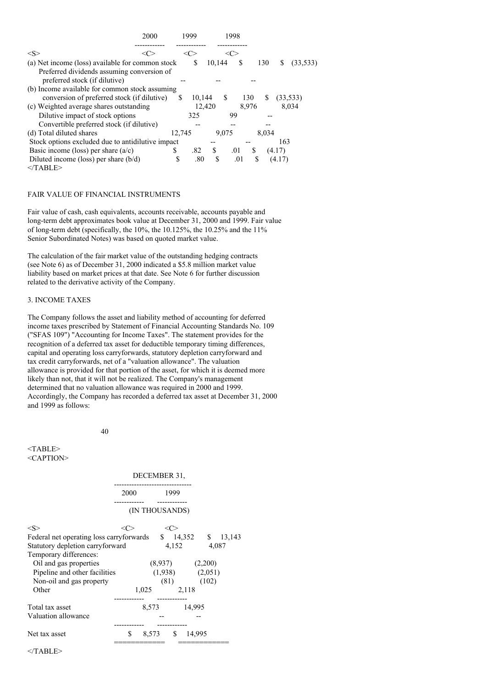| 2000                                              |    | 1999   |        |        | 1998 |       |       |        |           |
|---------------------------------------------------|----|--------|--------|--------|------|-------|-------|--------|-----------|
| $<\!\!S\!\!>$                                     |    |        |        |        |      |       |       |        |           |
| (a) Net income (loss) available for common stock  |    |        | S      | 10,144 | S    |       | 130   | S      | (33, 533) |
| Preferred dividends assuming conversion of        |    |        |        |        |      |       |       |        |           |
| preferred stock (if dilutive)                     |    |        |        |        |      |       |       |        |           |
| (b) Income available for common stock assuming    |    |        |        |        |      |       |       |        |           |
| conversion of preferred stock (if dilutive)       |    | \$.    | 10.144 |        | S.   | 130   | S     |        | (33, 533) |
| (c) Weighted average shares outstanding           |    |        | 12.420 |        |      | 8.976 |       |        | 8,034     |
| Dilutive impact of stock options                  |    |        | 325    |        | 99   |       |       |        |           |
| Convertible preferred stock (if dilutive)         |    |        |        |        |      |       |       |        |           |
| (d) Total diluted shares                          |    | 12.745 |        | 9.075  |      |       | 8.034 |        |           |
| Stock options excluded due to antidilutive impact |    |        |        |        |      |       |       | 163    |           |
| Basic income (loss) per share $(a/c)$             | S  |        | .82    | \$     | .01  | S     |       | (4.17) |           |
| Diluted income (loss) per share $(b/d)$           | \$ |        | .80    | S      | .01  |       | S     | (4.17) |           |
| $<$ TABLE>                                        |    |        |        |        |      |       |       |        |           |

# FAIR VALUE OF FINANCIAL INSTRUMENTS

Fair value of cash, cash equivalents, accounts receivable, accounts payable and long-term debt approximates book value at December 31, 2000 and 1999. Fair value of long-term debt (specifically, the  $10\%$ , the  $10.125\%$ , the  $10.25\%$  and the  $11\%$ Senior Subordinated Notes) was based on quoted market value.

The calculation of the fair market value of the outstanding hedging contracts (see Note 6) as of December 31, 2000 indicated a \$5.8 million market value liability based on market prices at that date. See Note 6 for further discussion related to the derivative activity of the Company.

## 3. INCOME TAXES

The Company follows the asset and liability method of accounting for deferred income taxes prescribed by Statement of Financial Accounting Standards No. 109 ("SFAS 109") "Accounting for Income Taxes". The statement provides for the recognition of a deferred tax asset for deductible temporary timing differences, capital and operating loss carryforwards, statutory depletion carryforward and tax credit carryforwards, net of a "valuation allowance". The valuation allowance is provided for that portion of the asset, for which it is deemed more likely than not, that it will not be realized. The Company's management determined that no valuation allowance was required in 2000 and 1999. Accordingly, the Company has recorded a deferred tax asset at December 31, 2000 and 1999 as follows:

40

|                                                                                                                            |       | DECEMBER 31,   |                                            |       |  |
|----------------------------------------------------------------------------------------------------------------------------|-------|----------------|--------------------------------------------|-------|--|
|                                                                                                                            | 2000  | 1999           |                                            |       |  |
|                                                                                                                            |       | (IN THOUSANDS) |                                            |       |  |
| $<\!\!S\!\!>$                                                                                                              | <( '> | <<             |                                            |       |  |
| Federal net operating loss carryforwards \$ 14,352 \$ 13,143<br>Statutory depletion carryforward<br>Temporary differences: |       |                | 4,152                                      | 4,087 |  |
| Oil and gas properties<br>Pipeline and other facilities                                                                    |       |                | $(8,937)$ $(2,200)$<br>$(1,938)$ $(2,051)$ |       |  |
| Non-oil and gas property<br>Other                                                                                          |       | 1,025 2,118    | $(81)$ $(102)$                             |       |  |
| Total tax asset                                                                                                            |       |                | 8,573 14,995                               |       |  |
| Valuation allowance                                                                                                        |       |                |                                            |       |  |
| Net tax asset                                                                                                              | \$    | 8,573 \$       | 14,995                                     |       |  |
|                                                                                                                            |       |                |                                            |       |  |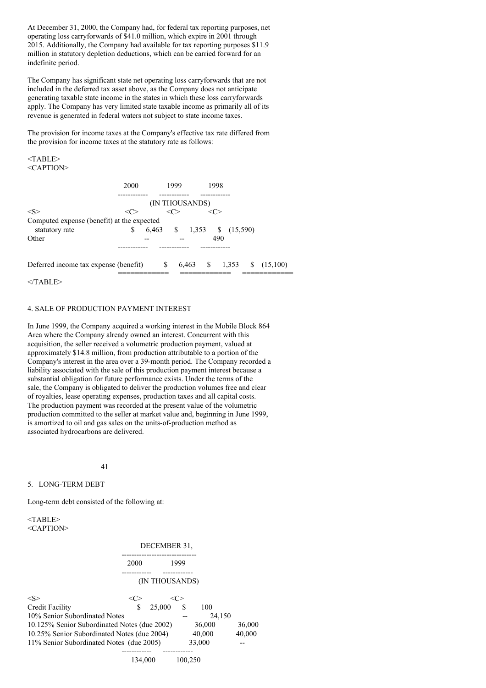At December 31, 2000, the Company had, for federal tax reporting purposes, net operating loss carryforwards of \$41.0 million, which expire in 2001 through 2015. Additionally, the Company had available for tax reporting purposes \$11.9 million in statutory depletion deductions, which can be carried forward for an indefinite period.

The Company has significant state net operating loss carryforwards that are not included in the deferred tax asset above, as the Company does not anticipate generating taxable state income in the states in which these loss carryforwards apply. The Company has very limited state taxable income as primarily all of its revenue is generated in federal waters not subject to state income taxes.

The provision for income taxes at the Company's effective tax rate differed from the provision for income taxes at the statutory rate as follows:

<TABLE> <CAPTION>

|                                                              | 2000 | 1999 |                            | 1998 |  |                              |
|--------------------------------------------------------------|------|------|----------------------------|------|--|------------------------------|
|                                                              |      |      | (IN THOUSANDS)             |      |  |                              |
| $<\!\!S\!\!>$                                                |      |      |                            |      |  |                              |
| Computed expense (benefit) at the expected<br>statutory rate | \$   |      | 6,463 \$ 1,353 \$ (15,590) |      |  |                              |
| Other                                                        |      |      |                            | 490  |  |                              |
|                                                              |      |      |                            |      |  |                              |
| Deferred income tax expense (benefit)                        |      | -S   |                            |      |  | $6,463$ \$ 1,353 \$ (15,100) |
|                                                              |      |      |                            |      |  |                              |

 $<$ /TABLE>

## 4. SALE OF PRODUCTION PAYMENT INTEREST

In June 1999, the Company acquired a working interest in the Mobile Block 864 Area where the Company already owned an interest. Concurrent with this acquisition, the seller received a volumetric production payment, valued at approximately \$14.8 million, from production attributable to a portion of the Company's interest in the area over a 39-month period. The Company recorded a liability associated with the sale of this production payment interest because a substantial obligation for future performance exists. Under the terms of the sale, the Company is obligated to deliver the production volumes free and clear of royalties, lease operating expenses, production taxes and all capital costs. The production payment was recorded at the present value of the volumetric production committed to the seller at market value and, beginning in June 1999, is amortized to oil and gas sales on the units-of-production method as associated hydrocarbons are delivered.

41

#### 5. LONG-TERM DEBT

Long-term debt consisted of the following at:

|                                              | DECEMBER 31, |                       |      |        |        |  |  |  |
|----------------------------------------------|--------------|-----------------------|------|--------|--------|--|--|--|
|                                              | 2000         | --------------------- | 1999 |        |        |  |  |  |
|                                              |              | (IN THOUSANDS)        |      |        |        |  |  |  |
| $<\!\!S\!\!>$                                |              |                       | <∈   |        |        |  |  |  |
| Credit Facility                              | S            | 25,000                | S    | 100    |        |  |  |  |
| 10% Senior Subordinated Notes                |              |                       |      | 24,150 |        |  |  |  |
| 10.125% Senior Subordinated Notes (due 2002) |              |                       |      | 36,000 | 36,000 |  |  |  |
| 10.25% Senior Subordinated Notes (due 2004)  |              |                       |      | 40,000 | 40,000 |  |  |  |
| 11% Senior Subordinated Notes (due 2005)     |              |                       |      | 33,000 |        |  |  |  |
|                                              |              |                       |      |        |        |  |  |  |

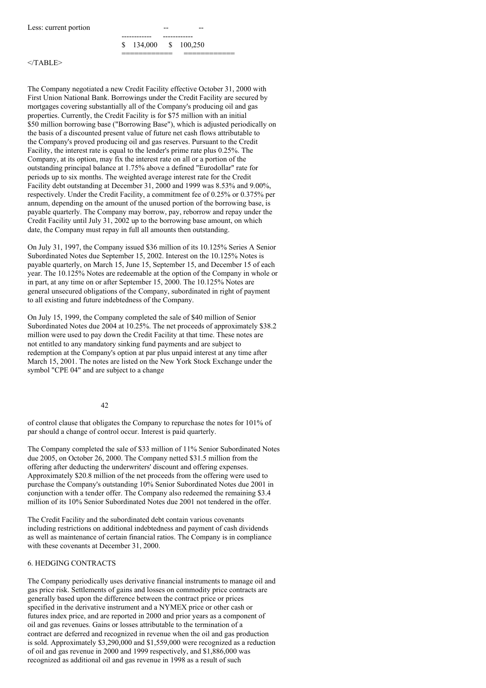

#### $<$ /TABLE>

The Company negotiated a new Credit Facility effective October 31, 2000 with First Union National Bank. Borrowings under the Credit Facility are secured by mortgages covering substantially all of the Company's producing oil and gas properties. Currently, the Credit Facility is for \$75 million with an initial \$50 million borrowing base ("Borrowing Base"), which is adjusted periodically on the basis of a discounted present value of future net cash flows attributable to the Company's proved producing oil and gas reserves. Pursuant to the Credit Facility, the interest rate is equal to the lender's prime rate plus 0.25%. The Company, at its option, may fix the interest rate on all or a portion of the outstanding principal balance at 1.75% above a defined "Eurodollar" rate for periods up to six months. The weighted average interest rate for the Credit Facility debt outstanding at December 31, 2000 and 1999 was 8.53% and 9.00%, respectively. Under the Credit Facility, a commitment fee of 0.25% or 0.375% per annum, depending on the amount of the unused portion of the borrowing base, is payable quarterly. The Company may borrow, pay, reborrow and repay under the Credit Facility until July 31, 2002 up to the borrowing base amount, on which date, the Company must repay in full all amounts then outstanding.

On July 31, 1997, the Company issued \$36 million of its 10.125% Series A Senior Subordinated Notes due September 15, 2002. Interest on the 10.125% Notes is payable quarterly, on March 15, June 15, September 15, and December 15 of each year. The 10.125% Notes are redeemable at the option of the Company in whole or in part, at any time on or after September 15, 2000. The 10.125% Notes are general unsecured obligations of the Company, subordinated in right of payment to all existing and future indebtedness of the Company.

On July 15, 1999, the Company completed the sale of \$40 million of Senior Subordinated Notes due 2004 at 10.25%. The net proceeds of approximately \$38.2 million were used to pay down the Credit Facility at that time. These notes are not entitled to any mandatory sinking fund payments and are subject to redemption at the Company's option at par plus unpaid interest at any time after March 15, 2001. The notes are listed on the New York Stock Exchange under the symbol "CPE 04" and are subject to a change

#### 42

of control clause that obligates the Company to repurchase the notes for 101% of par should a change of control occur. Interest is paid quarterly.

The Company completed the sale of \$33 million of 11% Senior Subordinated Notes due 2005, on October 26, 2000. The Company netted \$31.5 million from the offering after deducting the underwriters' discount and offering expenses. Approximately \$20.8 million of the net proceeds from the offering were used to purchase the Company's outstanding 10% Senior Subordinated Notes due 2001 in conjunction with a tender offer. The Company also redeemed the remaining \$3.4 million of its 10% Senior Subordinated Notes due 2001 not tendered in the offer.

The Credit Facility and the subordinated debt contain various covenants including restrictions on additional indebtedness and payment of cash dividends as well as maintenance of certain financial ratios. The Company is in compliance with these covenants at December 31, 2000.

#### 6. HEDGING CONTRACTS

The Company periodically uses derivative financial instruments to manage oil and gas price risk. Settlements of gains and losses on commodity price contracts are generally based upon the difference between the contract price or prices specified in the derivative instrument and a NYMEX price or other cash or futures index price, and are reported in 2000 and prior years as a component of oil and gas revenues. Gains or losses attributable to the termination of a contract are deferred and recognized in revenue when the oil and gas production is sold. Approximately \$3,290,000 and \$1,559,000 were recognized as a reduction of oil and gas revenue in 2000 and 1999 respectively, and \$1,886,000 was recognized as additional oil and gas revenue in 1998 as a result of such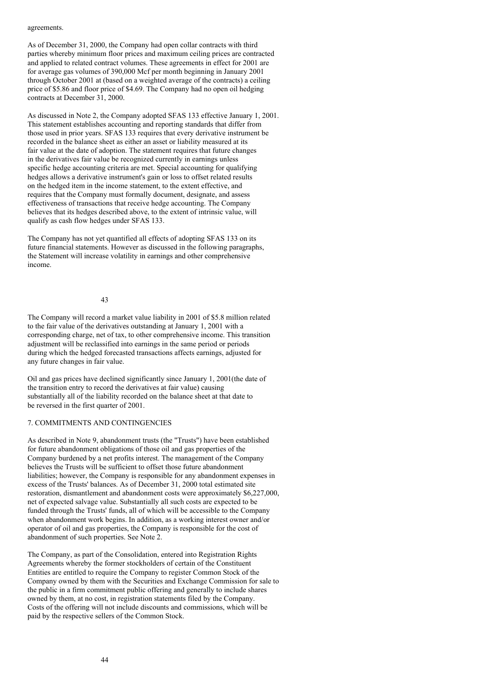#### agreements.

As of December 31, 2000, the Company had open collar contracts with third parties whereby minimum floor prices and maximum ceiling prices are contracted and applied to related contract volumes. These agreements in effect for 2001 are for average gas volumes of 390,000 Mcf per month beginning in January 2001 through October 2001 at (based on a weighted average of the contracts) a ceiling price of \$5.86 and floor price of \$4.69. The Company had no open oil hedging contracts at December 31, 2000.

As discussed in Note 2, the Company adopted SFAS 133 effective January 1, 2001. This statement establishes accounting and reporting standards that differ from those used in prior years. SFAS 133 requires that every derivative instrument be recorded in the balance sheet as either an asset or liability measured at its fair value at the date of adoption. The statement requires that future changes in the derivatives fair value be recognized currently in earnings unless specific hedge accounting criteria are met. Special accounting for qualifying hedges allows a derivative instrument's gain or loss to offset related results on the hedged item in the income statement, to the extent effective, and requires that the Company must formally document, designate, and assess effectiveness of transactions that receive hedge accounting. The Company believes that its hedges described above, to the extent of intrinsic value, will qualify as cash flow hedges under SFAS 133.

The Company has not yet quantified all effects of adopting SFAS 133 on its future financial statements. However as discussed in the following paragraphs, the Statement will increase volatility in earnings and other comprehensive income.

#### 43

The Company will record a market value liability in 2001 of \$5.8 million related to the fair value of the derivatives outstanding at January 1, 2001 with a corresponding charge, net of tax, to other comprehensive income. This transition adjustment will be reclassified into earnings in the same period or periods during which the hedged forecasted transactions affects earnings, adjusted for any future changes in fair value.

Oil and gas prices have declined significantly since January 1, 2001(the date of the transition entry to record the derivatives at fair value) causing substantially all of the liability recorded on the balance sheet at that date to be reversed in the first quarter of 2001.

#### 7. COMMITMENTS AND CONTINGENCIES

As described in Note 9, abandonment trusts (the "Trusts") have been established for future abandonment obligations of those oil and gas properties of the Company burdened by a net profits interest. The management of the Company believes the Trusts will be sufficient to offset those future abandonment liabilities; however, the Company is responsible for any abandonment expenses in excess of the Trusts' balances. As of December 31, 2000 total estimated site restoration, dismantlement and abandonment costs were approximately \$6,227,000, net of expected salvage value. Substantially all such costs are expected to be funded through the Trusts' funds, all of which will be accessible to the Company when abandonment work begins. In addition, as a working interest owner and/or operator of oil and gas properties, the Company is responsible for the cost of abandonment of such properties. See Note 2.

The Company, as part of the Consolidation, entered into Registration Rights Agreements whereby the former stockholders of certain of the Constituent Entities are entitled to require the Company to register Common Stock of the Company owned by them with the Securities and Exchange Commission for sale to the public in a firm commitment public offering and generally to include shares owned by them, at no cost, in registration statements filed by the Company. Costs of the offering will not include discounts and commissions, which will be paid by the respective sellers of the Common Stock.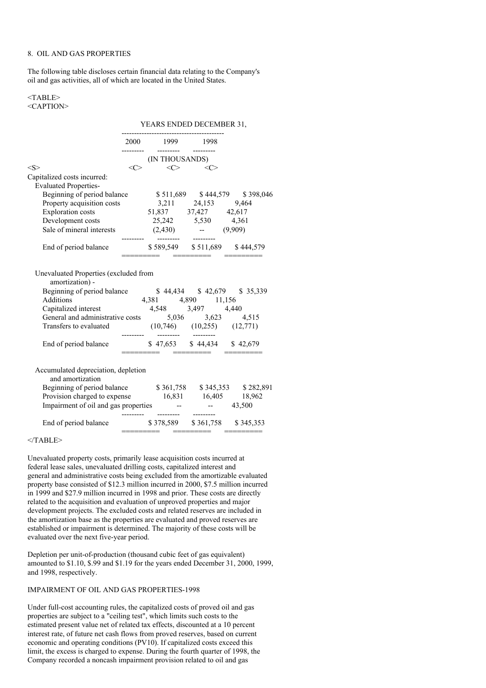# 8. OIL AND GAS PROPERTIES

The following table discloses certain financial data relating to the Company's oil and gas activities, all of which are located in the United States.

#### <TABLE> <CAPTION>

#### YEARS ENDED DECEMBER 31,

|                                                                                                                                                                                                                                                             | 2000 1999 1998                                              |                                |  |
|-------------------------------------------------------------------------------------------------------------------------------------------------------------------------------------------------------------------------------------------------------------|-------------------------------------------------------------|--------------------------------|--|
|                                                                                                                                                                                                                                                             | (IN THOUSANDS)                                              |                                |  |
| $<\!S>$                                                                                                                                                                                                                                                     | $\langle C \rangle$ $\langle C \rangle$ $\langle C \rangle$ |                                |  |
| Capitalized costs incurred:                                                                                                                                                                                                                                 |                                                             |                                |  |
| <b>Evaluated Properties-</b>                                                                                                                                                                                                                                |                                                             |                                |  |
| Beginning of period balance \$511,689 \$444,579 \$398,046                                                                                                                                                                                                   |                                                             |                                |  |
| Property acquisition costs<br>Exploration costs<br>25,242 5,530 4,361<br>25,242 5,530 4,361                                                                                                                                                                 |                                                             |                                |  |
|                                                                                                                                                                                                                                                             |                                                             |                                |  |
|                                                                                                                                                                                                                                                             |                                                             |                                |  |
| Sale of mineral interests $(2,430)$ -- $(9,909)$                                                                                                                                                                                                            |                                                             |                                |  |
| End of period balance $\begin{array}{r} \text{S } 589,549 \quad \text{S } 511,689 \quad \text{S } 444,579 \\ \text{S } 589,549 \quad \text{S } 511,689 \quad \text{S } 444,579 \end{array}$                                                                 |                                                             | ======    ========     ======= |  |
| amortization) -<br>Engining of period balance<br>Additions<br>Additions<br>Agsing the state and administrative costs<br>Agsing the state and administrative costs<br>Agsing the state and state and state and state and state of the state of the state and | ---------  --------  ---------                              |                                |  |
| End of period balance \$47,653 \$44,434 \$42,679                                                                                                                                                                                                            |                                                             |                                |  |
| Accumulated depreciation, depletion<br>and amortization                                                                                                                                                                                                     |                                                             |                                |  |
| Beginning of period balance \$361,758 \$345,353 \$282,891                                                                                                                                                                                                   |                                                             |                                |  |
| Provision charged to expense 16,831 16,405 18,962                                                                                                                                                                                                           |                                                             |                                |  |
| Impairment of oil and gas properties -- - 43,500                                                                                                                                                                                                            | _________  _________  ________                              |                                |  |
| End of period balance $\begin{array}{r} \text{$8,378,589 \quad $361,758 \quad $345,353$} \\ \text{__________} \quad \text{__________} \quad \text{__________} \quad \text{__________} \end{array}$                                                          |                                                             |                                |  |
|                                                                                                                                                                                                                                                             |                                                             |                                |  |

 $<$ /TABLE>

Unevaluated property costs, primarily lease acquisition costs incurred at federal lease sales, unevaluated drilling costs, capitalized interest and general and administrative costs being excluded from the amortizable evaluated property base consisted of \$12.3 million incurred in 2000, \$7.5 million incurred in 1999 and \$27.9 million incurred in 1998 and prior. These costs are directly related to the acquisition and evaluation of unproved properties and major development projects. The excluded costs and related reserves are included in the amortization base as the properties are evaluated and proved reserves are established or impairment is determined. The majority of these costs will be evaluated over the next five-year period.

Depletion per unit-of-production (thousand cubic feet of gas equivalent) amounted to \$1.10, \$.99 and \$1.19 for the years ended December 31, 2000, 1999, and 1998, respectively.

### IMPAIRMENT OF OIL AND GAS PROPERTIES-1998

Under full-cost accounting rules, the capitalized costs of proved oil and gas properties are subject to a "ceiling test", which limits such costs to the estimated present value net of related tax effects, discounted at a 10 percent interest rate, of future net cash flows from proved reserves, based on current economic and operating conditions (PV10). If capitalized costs exceed this limit, the excess is charged to expense. During the fourth quarter of 1998, the Company recorded a noncash impairment provision related to oil and gas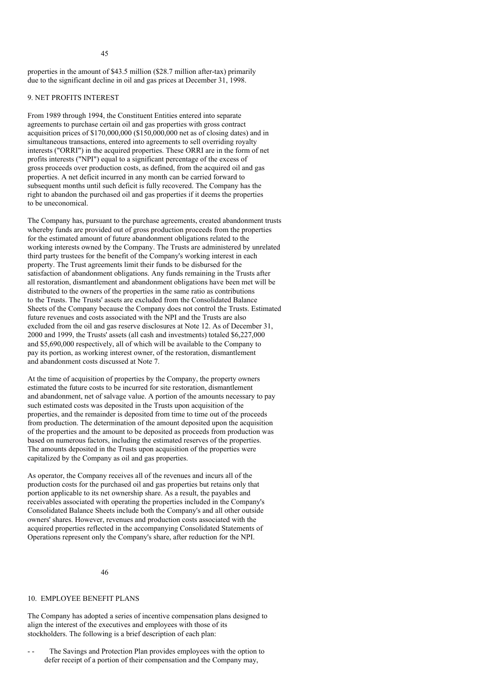properties in the amount of \$43.5 million (\$28.7 million after-tax) primarily due to the significant decline in oil and gas prices at December 31, 1998.

# 9. NET PROFITS INTEREST

From 1989 through 1994, the Constituent Entities entered into separate agreements to purchase certain oil and gas properties with gross contract acquisition prices of  $$170,000,000$   $($150,000,000$  net as of closing dates) and in simultaneous transactions, entered into agreements to sell overriding royalty interests ("ORRI") in the acquired properties. These ORRI are in the form of net profits interests ("NPI") equal to a significant percentage of the excess of gross proceeds over production costs, as defined, from the acquired oil and gas properties. A net deficit incurred in any month can be carried forward to subsequent months until such deficit is fully recovered. The Company has the right to abandon the purchased oil and gas properties if it deems the properties to be uneconomical.

The Company has, pursuant to the purchase agreements, created abandonment trusts whereby funds are provided out of gross production proceeds from the properties for the estimated amount of future abandonment obligations related to the working interests owned by the Company. The Trusts are administered by unrelated third party trustees for the benefit of the Company's working interest in each property. The Trust agreements limit their funds to be disbursed for the satisfaction of abandonment obligations. Any funds remaining in the Trusts after all restoration, dismantlement and abandonment obligations have been met will be distributed to the owners of the properties in the same ratio as contributions to the Trusts. The Trusts' assets are excluded from the Consolidated Balance Sheets of the Company because the Company does not control the Trusts. Estimated future revenues and costs associated with the NPI and the Trusts are also excluded from the oil and gas reserve disclosures at Note 12. As of December 31, 2000 and 1999, the Trusts' assets (all cash and investments) totaled \$6,227,000 and \$5,690,000 respectively, all of which will be available to the Company to pay its portion, as working interest owner, of the restoration, dismantlement and abandonment costs discussed at Note 7.

At the time of acquisition of properties by the Company, the property owners estimated the future costs to be incurred for site restoration, dismantlement and abandonment, net of salvage value. A portion of the amounts necessary to pay such estimated costs was deposited in the Trusts upon acquisition of the properties, and the remainder is deposited from time to time out of the proceeds from production. The determination of the amount deposited upon the acquisition of the properties and the amount to be deposited as proceeds from production was based on numerous factors, including the estimated reserves of the properties. The amounts deposited in the Trusts upon acquisition of the properties were capitalized by the Company as oil and gas properties.

As operator, the Company receives all of the revenues and incurs all of the production costs for the purchased oil and gas properties but retains only that portion applicable to its net ownership share. As a result, the payables and receivables associated with operating the properties included in the Company's Consolidated Balance Sheets include both the Company's and all other outside owners' shares. However, revenues and production costs associated with the acquired properties reflected in the accompanying Consolidated Statements of Operations represent only the Company's share, after reduction for the NPI.

46

# 10. EMPLOYEE BENEFIT PLANS

The Company has adopted a series of incentive compensation plans designed to align the interest of the executives and employees with those of its stockholders. The following is a brief description of each plan:

The Savings and Protection Plan provides employees with the option to defer receipt of a portion of their compensation and the Company may,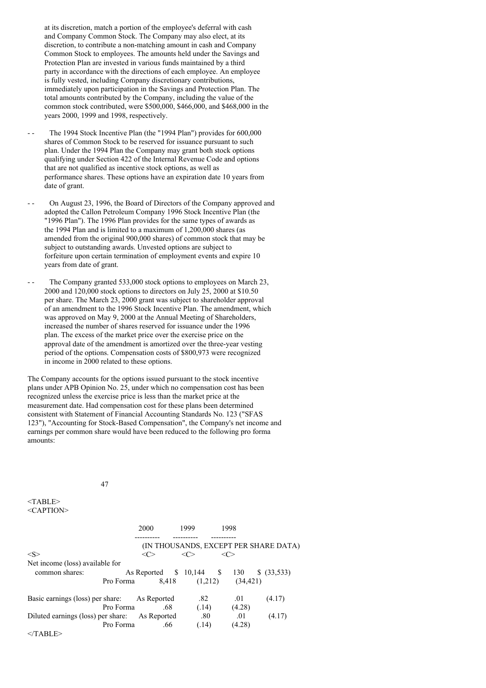at its discretion, match a portion of the employee's deferral with cash and Company Common Stock. The Company may also elect, at its discretion, to contribute a non-matching amount in cash and Company Common Stock to employees. The amounts held under the Savings and Protection Plan are invested in various funds maintained by a third party in accordance with the directions of each employee. An employee is fully vested, including Company discretionary contributions, immediately upon participation in the Savings and Protection Plan. The total amounts contributed by the Company, including the value of the common stock contributed, were \$500,000, \$466,000, and \$468,000 in the years 2000, 1999 and 1998, respectively.

- The 1994 Stock Incentive Plan (the "1994 Plan") provides for 600,000 shares of Common Stock to be reserved for issuance pursuant to such plan. Under the 1994 Plan the Company may grant both stock options qualifying under Section 422 of the Internal Revenue Code and options that are not qualified as incentive stock options, as well as performance shares. These options have an expiration date 10 years from date of grant.
- - On August 23, 1996, the Board of Directors of the Company approved and adopted the Callon Petroleum Company 1996 Stock Incentive Plan (the "1996 Plan"). The 1996 Plan provides for the same types of awards as the 1994 Plan and is limited to a maximum of 1,200,000 shares (as amended from the original 900,000 shares) of common stock that may be subject to outstanding awards. Unvested options are subject to forfeiture upon certain termination of employment events and expire 10 years from date of grant.
- The Company granted 533,000 stock options to employees on March 23, 2000 and 120,000 stock options to directors on July 25, 2000 at \$10.50 per share. The March 23, 2000 grant was subject to shareholder approval of an amendment to the 1996 Stock Incentive Plan. The amendment, which was approved on May 9, 2000 at the Annual Meeting of Shareholders, increased the number of shares reserved for issuance under the 1996 plan. The excess of the market price over the exercise price on the approval date of the amendment is amortized over the three-year vesting period of the options. Compensation costs of \$800,973 were recognized in income in 2000 related to these options.

The Company accounts for the options issued pursuant to the stock incentive plans under APB Opinion No. 25, under which no compensation cost has been recognized unless the exercise price is less than the market price at the measurement date. Had compensation cost for these plans been determined consistent with Statement of Financial Accounting Standards No. 123 ("SFAS 123"), "Accounting for Stock-Based Compensation", the Company's net income and earnings per common share would have been reduced to the following pro forma amounts:

#### 47

|                                    | 2000                     | 1999          |         | 1998      |                                       |
|------------------------------------|--------------------------|---------------|---------|-----------|---------------------------------------|
| $<\leq>$                           | <∩>                      | $<\!\!C\!\!>$ |         |           | (IN THOUSANDS, EXCEPT PER SHARE DATA) |
| Net income (loss) available for    |                          |               |         |           |                                       |
| common shares:                     | As Reported $$10,144$ \$ |               |         | 130       | \$ (33,533)                           |
| Pro Forma                          |                          | 8.418         | (1,212) | (34, 421) |                                       |
| Basic earnings (loss) per share:   | As Reported              |               | .82     | .01       | (4.17)                                |
| Pro Forma                          |                          | .68           | (.14)   | (4.28)    |                                       |
| Diluted earnings (loss) per share: | As Reported              |               | .80     | .01       | (4.17)                                |
| Pro Forma                          |                          | .66           | (.14)   | (4.28)    |                                       |
| $<$ TABLE>                         |                          |               |         |           |                                       |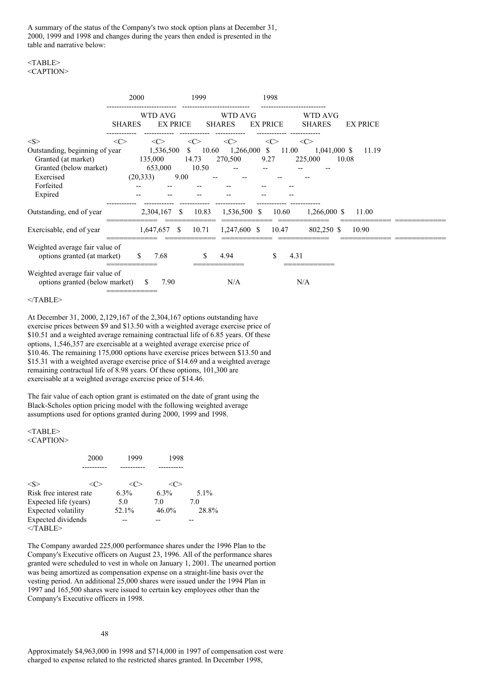A summary of the status of the Company's two stock option plans at December 31, 2000, 1999 and 1998 and changes during the years then ended is presented in the table and narrative below:

#### $<$ TABLE> <CAPTION>

|                                                                                                                      | 2000          |                                 | 1999                         |                          | 1998                 |                                           |                 |
|----------------------------------------------------------------------------------------------------------------------|---------------|---------------------------------|------------------------------|--------------------------|----------------------|-------------------------------------------|-----------------|
|                                                                                                                      | <b>SHARES</b> | WTD AVG<br><b>EX PRICE</b>      |                              | WTD AVG<br><b>SHARES</b> | <b>EX PRICE</b>      | WTD AVG<br><b>SHARES</b>                  | <b>EX PRICE</b> |
| <s></s>                                                                                                              | <<>           | <<>                             | <<>                          | $\langle C \rangle$      | <<>                  | $\langle C \rangle$                       |                 |
| Outstanding, beginning of year<br>Granted (at market)<br>Granted (below market)<br>Exercised<br>Forfeited<br>Expired | (20, 333)     | 1,536,500<br>135,000<br>653,000 | S.<br>14.73<br>10.50<br>9.00 | 10.60<br>270,500         | 1,266,000 \$<br>9.27 | 11.00<br>1,041,000 \$<br>225,000<br>10.08 | 11.19           |
| Outstanding, end of year                                                                                             |               | 2,304,167 \$                    | 10.83                        | 1,536,500 \$             | 10.60                | $1,266,000$ \$                            | 11.00           |
| Exercisable, end of year                                                                                             |               | $1,647,657$ \$                  | 10.71                        | $1,247,600$ \$           | 10.47                | 802,250 \$                                | 10.90           |
| Weighted average fair value of<br>options granted (at market)                                                        | S.            | 7.68                            |                              | S.<br>4.94               | \$                   | 4.31                                      |                 |
| Weighted average fair value of<br>options granted (below market)                                                     |               | S<br>7.90                       |                              | N/A                      |                      | N/A                                       |                 |

#### </TABLE>

At December 31, 2000, 2,129,167 of the 2,304,167 options outstanding have exercise prices between \$9 and \$13.50 with a weighted average exercise price of \$10.51 and a weighted average remaining contractual life of 6.85 years. Of these options, 1,546,357 are exercisable at a weighted average exercise price of \$10.46. The remaining 175,000 options have exercise prices between \$13.50 and \$15.31 with a weighted average exercise price of \$14.69 and a weighted average remaining contractual life of 8.98 years. Of these options, 101,300 are exercisable at a weighted average exercise price of \$14.46.

The fair value of each option grant is estimated on the date of grant using the Black-Scholes option pricing model with the following weighted average assumptions used for options granted during 2000, 1999 and 1998.

# <TABLE>

# <CAPTION>

|                         | 2000 | 1999  | 1998     |         |
|-------------------------|------|-------|----------|---------|
|                         |      |       |          |         |
| $<\!\!S\!\!>$           |      |       |          |         |
| Risk free interest rate |      | 6.3%  | $6.3\%$  | $5.1\%$ |
| Expected life (years)   |      | 5.0   | 7.0      | 7.0     |
| Expected volatility     |      | 52.1% | $46.0\%$ | 28.8%   |
| Expected dividends      |      |       |          |         |
| $<$ TABLE>              |      |       |          |         |

The Company awarded 225,000 performance shares under the 1996 Plan to the Company's Executive officers on August 23, 1996. All of the performance shares granted were scheduled to vest in whole on January 1, 2001. The unearned portion was being amortized as compensation expense on a straight-line basis over the vesting period. An additional 25,000 shares were issued under the 1994 Plan in 1997 and 165,500 shares were issued to certain key employees other than the Company's Executive officers in 1998.

Approximately \$4,963,000 in 1998 and \$714,000 in 1997 of compensation cost were charged to expense related to the restricted shares granted. In December 1998,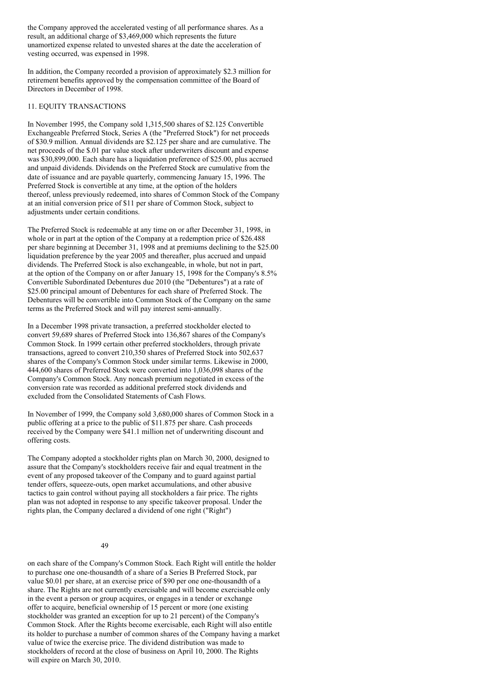the Company approved the accelerated vesting of all performance shares. As a result, an additional charge of \$3,469,000 which represents the future unamortized expense related to unvested shares at the date the acceleration of vesting occurred, was expensed in 1998.

In addition, the Company recorded a provision of approximately \$2.3 million for retirement benefits approved by the compensation committee of the Board of Directors in December of 1998.

#### 11. EQUITY TRANSACTIONS

In November 1995, the Company sold 1,315,500 shares of \$2.125 Convertible Exchangeable Preferred Stock, Series A (the "Preferred Stock") for net proceeds of \$30.9 million. Annual dividends are \$2.125 per share and are cumulative. The net proceeds of the \$.01 par value stock after underwriters discount and expense was \$30,899,000. Each share has a liquidation preference of \$25.00, plus accrued and unpaid dividends. Dividends on the Preferred Stock are cumulative from the date of issuance and are payable quarterly, commencing January 15, 1996. The Preferred Stock is convertible at any time, at the option of the holders thereof, unless previously redeemed, into shares of Common Stock of the Company at an initial conversion price of \$11 per share of Common Stock, subject to adjustments under certain conditions.

The Preferred Stock is redeemable at any time on or after December 31, 1998, in whole or in part at the option of the Company at a redemption price of \$26.488 per share beginning at December 31, 1998 and at premiums declining to the \$25.00 liquidation preference by the year 2005 and thereafter, plus accrued and unpaid dividends. The Preferred Stock is also exchangeable, in whole, but not in part, at the option of the Company on or after January 15, 1998 for the Company's 8.5% Convertible Subordinated Debentures due 2010 (the "Debentures") at a rate of \$25.00 principal amount of Debentures for each share of Preferred Stock. The Debentures will be convertible into Common Stock of the Company on the same terms as the Preferred Stock and will pay interest semi-annually.

In a December 1998 private transaction, a preferred stockholder elected to convert 59,689 shares of Preferred Stock into 136,867 shares of the Company's Common Stock. In 1999 certain other preferred stockholders, through private transactions, agreed to convert 210,350 shares of Preferred Stock into 502,637 shares of the Company's Common Stock under similar terms. Likewise in 2000, 444,600 shares of Preferred Stock were converted into 1,036,098 shares of the Company's Common Stock. Any noncash premium negotiated in excess of the conversion rate was recorded as additional preferred stock dividends and excluded from the Consolidated Statements of Cash Flows.

In November of 1999, the Company sold 3,680,000 shares of Common Stock in a public offering at a price to the public of \$11.875 per share. Cash proceeds received by the Company were \$41.1 million net of underwriting discount and offering costs.

The Company adopted a stockholder rights plan on March 30, 2000, designed to assure that the Company's stockholders receive fair and equal treatment in the event of any proposed takeover of the Company and to guard against partial tender offers, squeeze-outs, open market accumulations, and other abusive tactics to gain control without paying all stockholders a fair price. The rights plan was not adopted in response to any specific takeover proposal. Under the rights plan, the Company declared a dividend of one right ("Right")

#### 49

on each share of the Company's Common Stock. Each Right will entitle the holder to purchase one one-thousandth of a share of a Series B Preferred Stock, par value \$0.01 per share, at an exercise price of \$90 per one one-thousandth of a share. The Rights are not currently exercisable and will become exercisable only in the event a person or group acquires, or engages in a tender or exchange offer to acquire, beneficial ownership of 15 percent or more (one existing stockholder was granted an exception for up to 21 percent) of the Company's Common Stock. After the Rights become exercisable, each Right will also entitle its holder to purchase a number of common shares of the Company having a market value of twice the exercise price. The dividend distribution was made to stockholders of record at the close of business on April 10, 2000. The Rights will expire on March 30, 2010.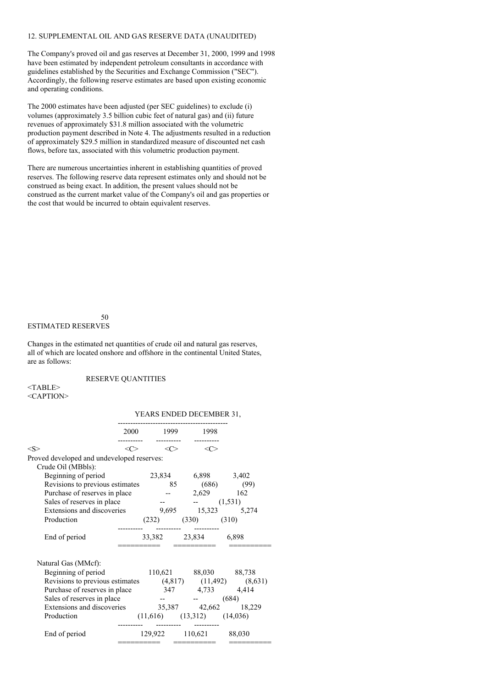#### 12. SUPPLEMENTAL OIL AND GAS RESERVE DATA (UNAUDITED)

The Company's proved oil and gas reserves at December 31, 2000, 1999 and 1998 have been estimated by independent petroleum consultants in accordance with guidelines established by the Securities and Exchange Commission ("SEC"). Accordingly, the following reserve estimates are based upon existing economic and operating conditions.

The 2000 estimates have been adjusted (per SEC guidelines) to exclude (i) volumes (approximately 3.5 billion cubic feet of natural gas) and (ii) future revenues of approximately \$31.8 million associated with the volumetric production payment described in Note 4. The adjustments resulted in a reduction of approximately \$29.5 million in standardized measure of discounted net cash flows, before tax, associated with this volumetric production payment.

There are numerous uncertainties inherent in establishing quantities of proved reserves. The following reserve data represent estimates only and should not be construed as being exact. In addition, the present values should not be construed as the current market value of the Company's oil and gas properties or the cost that would be incurred to obtain equivalent reserves.

# ESTIMATED RESERVES

Changes in the estimated net quantities of crude oil and natural gas reserves, all of which are located onshore and offshore in the continental United States, are as follows:

RESERVE QUANTITIES

50

<TABLE> <CAPTION>

#### YEARS ENDED DECEMBER 31,

|                                                                |                     | 2000 1999           | 1998                             |                       |
|----------------------------------------------------------------|---------------------|---------------------|----------------------------------|-----------------------|
| $<\!\!S\!\!>$                                                  | $\langle C \rangle$ | $\langle C \rangle$ | $\langle$ C                      |                       |
| Proved developed and undeveloped reserves:                     |                     |                     |                                  |                       |
| Crude Oil (MBbls):                                             |                     |                     |                                  |                       |
| Beginning of period                                            |                     |                     | 23,834 6,898 3,402               |                       |
| Revisions to previous estimates 85 (686) (99)                  |                     |                     |                                  |                       |
| Purchase of reserves in place                                  |                     |                     |                                  | 2,629 162             |
| Sales of reserves in place                                     |                     |                     | $  (1,531)$                      |                       |
| Extensions and discoveries                                     |                     |                     |                                  | 9,695 15,323 5,274    |
| Production                                                     |                     |                     | $(232)$ $(330)$ $(310)$          |                       |
|                                                                |                     |                     |                                  |                       |
| End of period                                                  |                     |                     | 33,382 23,834 6,898              |                       |
|                                                                |                     |                     |                                  |                       |
| Natural Gas (MMcf):                                            |                     |                     |                                  |                       |
| Beginning of period                                            |                     |                     |                                  | 110,621 88,030 88,738 |
| Revisions to previous estimates $(4,817)$ $(11,492)$ $(8,631)$ |                     |                     |                                  |                       |
| Purchase of reserves in place                                  |                     |                     | 347 4,733 4,414                  |                       |
| Sales of reserves in place                                     |                     |                     | $-  (684)$                       |                       |
| Extensions and discoveries 35,387 42,662 18,229                |                     |                     |                                  |                       |
| Production                                                     |                     |                     | $(11,616)$ $(13,312)$ $(14,036)$ |                       |
| End of period                                                  |                     |                     | 129,922 110,621 88,030           |                       |
|                                                                |                     |                     |                                  |                       |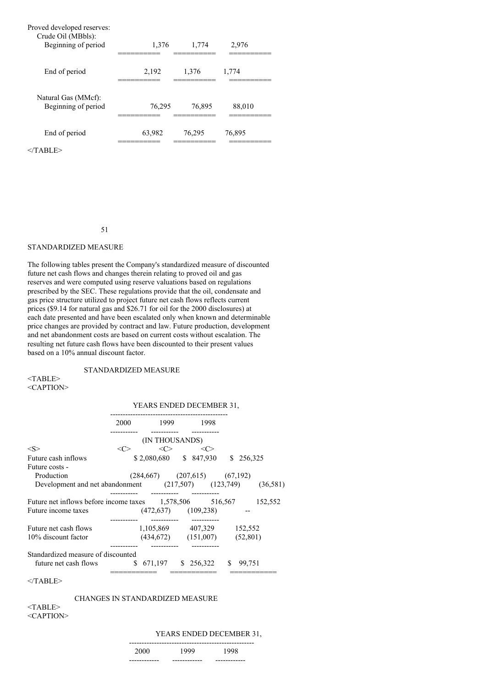| Proved developed reserves:<br>Crude Oil (MBbls):<br>Beginning of period | 1,376  | 1,774  | 2,976  |
|-------------------------------------------------------------------------|--------|--------|--------|
| End of period                                                           | 2,192  | 1,376  | 1,774  |
| Natural Gas (MMcf):<br>Beginning of period                              | 76,295 | 76,895 | 88,010 |
| End of period                                                           | 63,982 | 76,295 | 76,895 |

 $<$ /TABLE>

51

#### STANDARDIZED MEASURE

The following tables present the Company's standardized measure of discounted future net cash flows and changes therein relating to proved oil and gas reserves and were computed using reserve valuations based on regulations prescribed by the SEC. These regulations provide that the oil, condensate and gas price structure utilized to project future net cash flows reflects current prices (\$9.14 for natural gas and \$26.71 for oil for the 2000 disclosures) at each date presented and have been escalated only when known and determinable price changes are provided by contract and law. Future production, development and net abandonment costs are based on current costs without escalation. The resulting net future cash flows have been discounted to their present values based on a 10% annual discount factor.

#### STANDARDIZED MEASURE

<TABLE> <CAPTION>

#### YEARS ENDED DECEMBER 31,

|                                                              | 2000    | 1999                      | 1998                               |               |          |
|--------------------------------------------------------------|---------|---------------------------|------------------------------------|---------------|----------|
|                                                              |         | (IN THOUSANDS)            |                                    |               |          |
| $<\!S>$                                                      | <c></c> | <<>                       | <<>                                |               |          |
| Future cash inflows                                          |         |                           | $$2,080,680$ $$847,930$            | S             | 256,325  |
| Future costs -                                               |         |                           |                                    |               |          |
| Production                                                   |         |                           | $(284,667)$ $(207,615)$ $(67,192)$ |               |          |
| Development and net abandonment (217,507) (123,749)          |         |                           |                                    |               | (36,581) |
|                                                              |         |                           |                                    |               |          |
| Future net inflows before income taxes $1,578,506$ $516,567$ |         |                           |                                    |               | 152,552  |
| Future income taxes                                          |         | $(472, 637)$ $(109, 238)$ |                                    |               |          |
|                                                              |         |                           |                                    |               |          |
| Future net cash flows                                        |         |                           | 1,105,869 407,329 152,552          |               |          |
| 10% discount factor                                          |         |                           | $(434,672)$ $(151,007)$            | (52,801)      |          |
| Standardized measure of discounted                           |         |                           |                                    |               |          |
|                                                              |         |                           |                                    |               |          |
| future net cash flows                                        |         | \$ 671,197                | \$256,322                          | \$.<br>99.751 |          |
|                                                              |         |                           |                                    |               |          |

 $<$ /TABLE>

#### CHANGES IN STANDARDIZED MEASURE

<TABLE> <CAPTION>

# YEARS ENDED DECEMBER 31,

| ---- | .    |      |
|------|------|------|
| 2000 | 1999 | 1998 |
|      |      |      |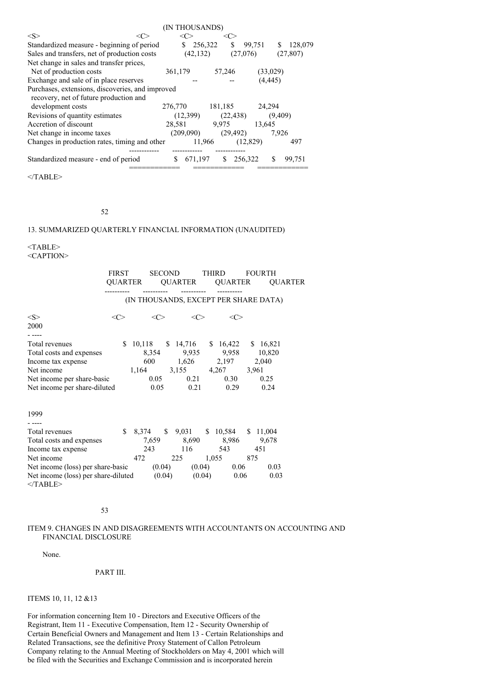|                                                  | (IN THOUSANDS) |               |               |           |
|--------------------------------------------------|----------------|---------------|---------------|-----------|
| < S ><br><ເ∷                                     |                | <( '>         |               |           |
| Standardized measure - beginning of period       | \$.            | 256,322<br>\$ | 99,751<br>S   | 128,079   |
| Sales and transfers, net of production costs     | (42, 132)      |               | (27,076)      | (27, 807) |
| Net change in sales and transfer prices,         |                |               |               |           |
| Net of production costs                          | 361,179        | 57,246        | (33,029)      |           |
| Exchange and sale of in place reserves           |                |               | (4, 445)      |           |
| Purchases, extensions, discoveries, and improved |                |               |               |           |
| recovery, net of future production and           |                |               |               |           |
| development costs                                | 276,770        | 181,185       | 24,294        |           |
| Revisions of quantity estimates                  | (12,399)       | (22, 438)     | (9,409)       |           |
| Accretion of discount                            | 28,581         | 9,975         | 13,645        |           |
| Net change in income taxes                       | (209,090)      | (29, 492)     | 7,926         |           |
| Changes in production rates, timing and other    |                | 11,966        | (12,829)      | 497       |
|                                                  |                |               |               |           |
| Standardized measure - end of period             | 671,197        | S             | \$<br>256,322 | 99,751    |
|                                                  |                |               |               |           |

 $<$ /TABLE>

# 52

# 13. SUMMARIZED QUARTERLY FINANCIAL INFORMATION (UNAUDITED)

<TABLE> <CAPTION>

|                                                                                                                                              | <b>FIRST</b> | QUARTER                                                                      | SECOND       | <b>THIRD</b>                                            | <b>FOURTH</b><br>QUARTER QUARTER QUARTER |
|----------------------------------------------------------------------------------------------------------------------------------------------|--------------|------------------------------------------------------------------------------|--------------|---------------------------------------------------------|------------------------------------------|
|                                                                                                                                              |              | (IN THOUSANDS, EXCEPT PER SHARE DATA)                                        |              |                                                         |                                          |
| <s><br/>2000</s>                                                                                                                             | $<\infty$    | <<>                                                                          | <c></c>      | <c></c>                                                 |                                          |
| Total revenues<br>Total costs and expenses<br>Income tax expense<br>Net income<br>Net income per share-basic<br>Net income per share-diluted | \$.          | 10,118 \$ 14,716 \$ 16,422<br>600<br>1,164 3,155 4,267 3,961<br>0.05<br>0.05 | 0.21<br>0.21 | 8,354 9,935 9,958 10,820<br>1,626 2,197<br>0.30<br>0.29 | \$16,821<br>2,040<br>0.25<br>0.24        |
| 1999                                                                                                                                         |              |                                                                              |              |                                                         |                                          |
| Total revenues                                                                                                                               |              | \$ 8,374 \$ 9,031 \$ 10,584 \$ 11,004                                        |              |                                                         |                                          |
| Total costs and expenses                                                                                                                     |              | 7,659                                                                        |              | 8,690 8,986                                             | 9,678                                    |
| Income tax expense                                                                                                                           |              | 243                                                                          | 116          | 543                                                     | 451                                      |
| Net income                                                                                                                                   |              | 472                                                                          | 225          | 1,055 875                                               |                                          |
| Net income (loss) per share-basic $(0.04)$ $(0.04)$ $0.06$                                                                                   |              |                                                                              |              |                                                         | 0.03                                     |
| Net income (loss) per share-diluted $(0.04)$<br>$<$ TABLE>                                                                                   |              |                                                                              |              | $(0.04)$ 0.06                                           | 0.03                                     |

53

# ITEM 9. CHANGES IN AND DISAGREEMENTS WITH ACCOUNTANTS ON ACCOUNTING AND FINANCIAL DISCLOSURE

None.

# PART III.

#### ITEMS 10, 11, 12 &13

For information concerning Item 10 - Directors and Executive Officers of the Registrant, Item 11 - Executive Compensation, Item 12 - Security Ownership of Certain Beneficial Owners and Management and Item 13 - Certain Relationships and Related Transactions, see the definitive Proxy Statement of Callon Petroleum Company relating to the Annual Meeting of Stockholders on May 4, 2001 which will be filed with the Securities and Exchange Commission and is incorporated herein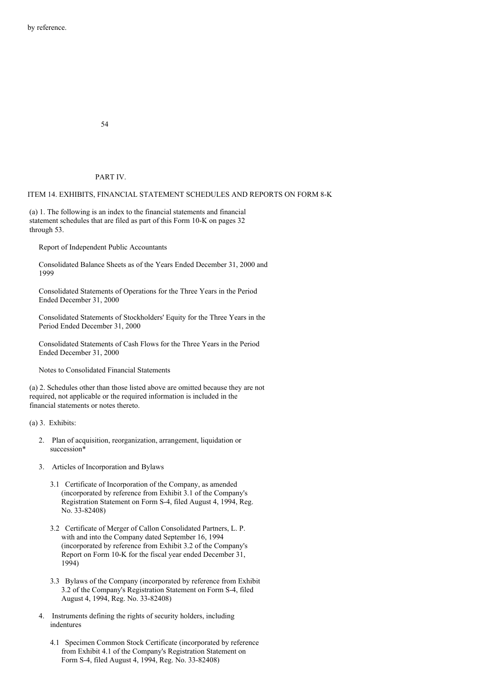54

#### PART IV.

#### ITEM 14. EXHIBITS, FINANCIAL STATEMENT SCHEDULES AND REPORTS ON FORM 8-K

(a) 1. The following is an index to the financial statements and financial statement schedules that are filed as part of this Form 10-K on pages 32 through 53.

Report of Independent Public Accountants

Consolidated Balance Sheets as of the Years Ended December 31, 2000 and 1999

Consolidated Statements of Operations for the Three Years in the Period Ended December 31, 2000

Consolidated Statements of Stockholders' Equity for the Three Years in the Period Ended December 31, 2000

Consolidated Statements of Cash Flows for the Three Years in the Period Ended December 31, 2000

Notes to Consolidated Financial Statements

(a) 2. Schedules other than those listed above are omitted because they are not required, not applicable or the required information is included in the financial statements or notes thereto.

(a) 3. Exhibits:

- 2. Plan of acquisition, reorganization, arrangement, liquidation or succession\*
- 3. Articles of Incorporation and Bylaws
	- 3.1 Certificate of Incorporation of the Company, as amended (incorporated by reference from Exhibit 3.1 of the Company's Registration Statement on Form S-4, filed August 4, 1994, Reg. No. 33-82408)
	- 3.2 Certificate of Merger of Callon Consolidated Partners, L. P. with and into the Company dated September 16, 1994 (incorporated by reference from Exhibit 3.2 of the Company's Report on Form 10-K for the fiscal year ended December 31, 1994)
	- 3.3 Bylaws of the Company (incorporated by reference from Exhibit 3.2 of the Company's Registration Statement on Form S-4, filed August 4, 1994, Reg. No. 33-82408)
- 4. Instruments defining the rights of security holders, including indentures
	- 4.1 Specimen Common Stock Certificate (incorporated by reference from Exhibit 4.1 of the Company's Registration Statement on Form S-4, filed August 4, 1994, Reg. No. 33-82408)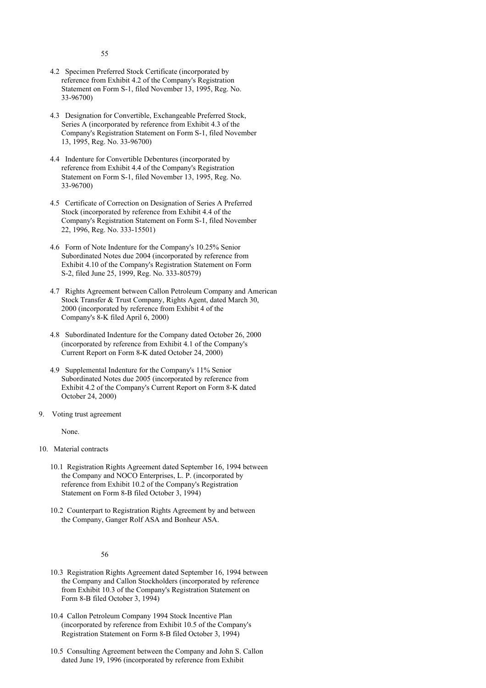- 4.2 Specimen Preferred Stock Certificate (incorporated by reference from Exhibit 4.2 of the Company's Registration Statement on Form S-1, filed November 13, 1995, Reg. No. 33-96700)
- 4.3 Designation for Convertible, Exchangeable Preferred Stock, Series A (incorporated by reference from Exhibit 4.3 of the Company's Registration Statement on Form S-1, filed November 13, 1995, Reg. No. 33-96700)
- 4.4 Indenture for Convertible Debentures (incorporated by reference from Exhibit 4.4 of the Company's Registration Statement on Form S-1, filed November 13, 1995, Reg. No. 33-96700)
- 4.5 Certificate of Correction on Designation of Series A Preferred Stock (incorporated by reference from Exhibit 4.4 of the Company's Registration Statement on Form S-1, filed November 22, 1996, Reg. No. 333-15501)
- 4.6 Form of Note Indenture for the Company's 10.25% Senior Subordinated Notes due 2004 (incorporated by reference from Exhibit 4.10 of the Company's Registration Statement on Form S-2, filed June 25, 1999, Reg. No. 333-80579)
- 4.7 Rights Agreement between Callon Petroleum Company and American Stock Transfer & Trust Company, Rights Agent, dated March 30, 2000 (incorporated by reference from Exhibit 4 of the Company's 8-K filed April 6, 2000)
- 4.8 Subordinated Indenture for the Company dated October 26, 2000 (incorporated by reference from Exhibit 4.1 of the Company's Current Report on Form 8-K dated October 24, 2000)
- 4.9 Supplemental Indenture for the Company's 11% Senior Subordinated Notes due 2005 (incorporated by reference from Exhibit 4.2 of the Company's Current Report on Form 8-K dated October 24, 2000)
- 9. Voting trust agreement

None.

- 10. Material contracts
	- 10.1 Registration Rights Agreement dated September 16, 1994 between the Company and NOCO Enterprises, L. P. (incorporated by reference from Exhibit 10.2 of the Company's Registration Statement on Form 8-B filed October 3, 1994)
	- 10.2 Counterpart to Registration Rights Agreement by and between the Company, Ganger Rolf ASA and Bonheur ASA.

#### 56

- 10.3 Registration Rights Agreement dated September 16, 1994 between the Company and Callon Stockholders (incorporated by reference from Exhibit 10.3 of the Company's Registration Statement on Form 8-B filed October 3, 1994)
- 10.4 Callon Petroleum Company 1994 Stock Incentive Plan (incorporated by reference from Exhibit 10.5 of the Company's Registration Statement on Form 8-B filed October 3, 1994)
- 10.5 Consulting Agreement between the Company and John S. Callon dated June 19, 1996 (incorporated by reference from Exhibit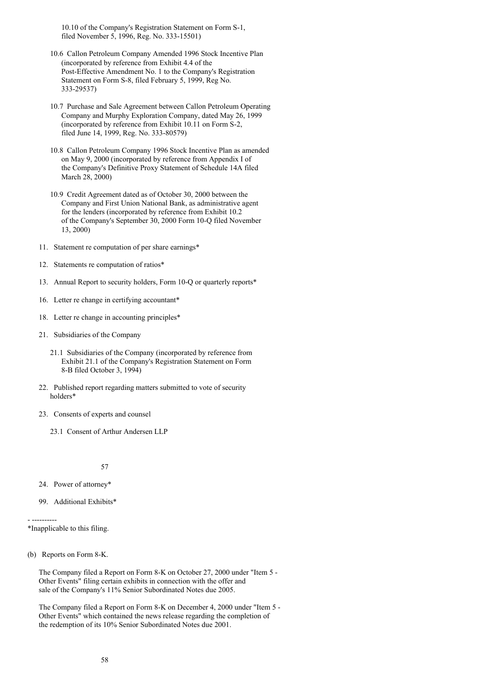10.10 of the Company's Registration Statement on Form S-1, filed November 5, 1996, Reg. No. 333-15501)

- 10.6 Callon Petroleum Company Amended 1996 Stock Incentive Plan (incorporated by reference from Exhibit 4.4 of the Post-Effective Amendment No. 1 to the Company's Registration Statement on Form S-8, filed February 5, 1999, Reg No. 333-29537)
- 10.7 Purchase and Sale Agreement between Callon Petroleum Operating Company and Murphy Exploration Company, dated May 26, 1999 (incorporated by reference from Exhibit 10.11 on Form S-2, filed June 14, 1999, Reg. No. 333-80579)
- 10.8 Callon Petroleum Company 1996 Stock Incentive Plan as amended on May 9, 2000 (incorporated by reference from Appendix I of the Company's Definitive Proxy Statement of Schedule 14A filed March 28, 2000)
- 10.9 Credit Agreement dated as of October 30, 2000 between the Company and First Union National Bank, as administrative agent for the lenders (incorporated by reference from Exhibit 10.2 of the Company's September 30, 2000 Form 10-Q filed November 13, 2000)
- 11. Statement re computation of per share earnings\*
- 12. Statements re computation of ratios\*
- 13. Annual Report to security holders, Form 10-Q or quarterly reports\*
- 16. Letter re change in certifying accountant\*
- 18. Letter re change in accounting principles\*
- 21. Subsidiaries of the Company
	- 21.1 Subsidiaries of the Company (incorporated by reference from Exhibit 21.1 of the Company's Registration Statement on Form 8-B filed October 3, 1994)
- 22. Published report regarding matters submitted to vote of security holders\*
- 23. Consents of experts and counsel
	- 23.1 Consent of Arthur Andersen LLP

57

- 24. Power of attorney\*
- 99. Additional Exhibits\*

- ---------- \*Inapplicable to this filing.

(b) Reports on Form 8-K.

The Company filed a Report on Form 8-K on October 27, 2000 under "Item 5 - Other Events" filing certain exhibits in connection with the offer and sale of the Company's 11% Senior Subordinated Notes due 2005.

The Company filed a Report on Form 8-K on December 4, 2000 under "Item 5 - Other Events" which contained the news release regarding the completion of the redemption of its 10% Senior Subordinated Notes due 2001.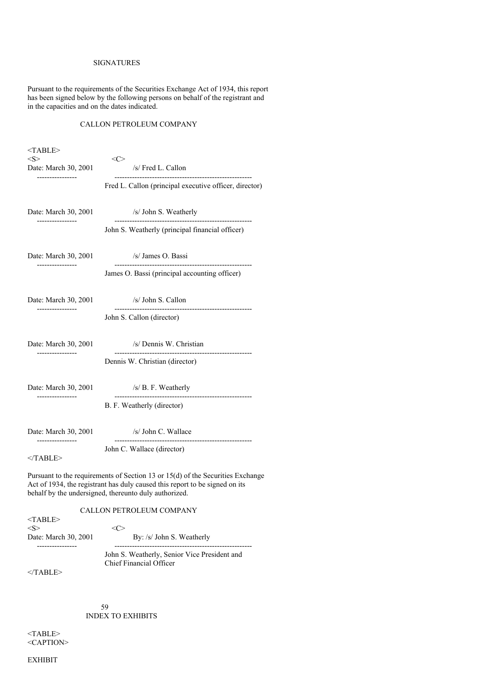# SIGNATURES

Pursuant to the requirements of the Securities Exchange Act of 1934, this report has been signed below by the following persons on behalf of the registrant and in the capacities and on the dates indicated.

# CALLON PETROLEUM COMPANY

| $<$ TABLE><br>< S >           | $<\!\!C\!\!>$                                                                  |
|-------------------------------|--------------------------------------------------------------------------------|
| Date: March 30, 2001          | /s/ Fred L. Callon                                                             |
|                               | Fred L. Callon (principal executive officer, director)                         |
| Date: March 30, 2001          | /s/ John S. Weatherly                                                          |
|                               | John S. Weatherly (principal financial officer)                                |
| Date: March 30, 2001          | /s/ James O. Bassi                                                             |
|                               | James O. Bassi (principal accounting officer)                                  |
| Date: March 30, 2001          | /s/ John S. Callon                                                             |
|                               | John S. Callon (director)                                                      |
| Date: March 30, 2001          | /s/ Dennis W. Christian                                                        |
|                               | Dennis W. Christian (director)                                                 |
| Date: March 30, 2001          | /s/ B. F. Weatherly                                                            |
|                               | B. F. Weatherly (director)                                                     |
| Date: March 30, 2001          | /s/ John C. Wallace                                                            |
| --------------<br>$<$ /TABLE> | John C. Wallace (director)                                                     |
|                               | Pursuant to the requirements of Section 13 or 15(d) of the Securities Exchange |

Act of 1934, the registrant has duly caused this report to be signed on its behalf by the undersigned, thereunto duly authorized.

# CALLON PETROLEUM COMPANY

| $<$ TABLE $>$<br>$<\!S>$ | ∹≀ '>                                                                   |
|--------------------------|-------------------------------------------------------------------------|
| Date: March 30, 2001     | By: /s/ John S. Weatherly                                               |
|                          | John S. Weatherly, Senior Vice President and<br>Chief Financial Officer |

 $<$ /TABLE>

59 INDEX TO EXHIBITS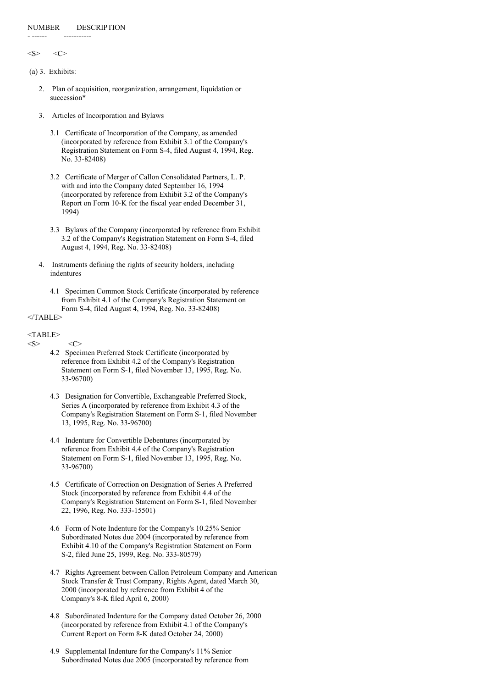#### NUMBER DESCRIPTION

 $\langle S \rangle$   $\langle C \rangle$ 

(a) 3. Exhibits:

- ------ -----------

- 2. Plan of acquisition, reorganization, arrangement, liquidation or succession\*
- 3. Articles of Incorporation and Bylaws
	- 3.1 Certificate of Incorporation of the Company, as amended (incorporated by reference from Exhibit 3.1 of the Company's Registration Statement on Form S-4, filed August 4, 1994, Reg. No. 33-82408)
	- 3.2 Certificate of Merger of Callon Consolidated Partners, L. P. with and into the Company dated September 16, 1994 (incorporated by reference from Exhibit 3.2 of the Company's Report on Form 10-K for the fiscal year ended December 31, 1994)
	- 3.3 Bylaws of the Company (incorporated by reference from Exhibit 3.2 of the Company's Registration Statement on Form S-4, filed August 4, 1994, Reg. No. 33-82408)
- 4. Instruments defining the rights of security holders, including indentures
	- 4.1 Specimen Common Stock Certificate (incorporated by reference from Exhibit 4.1 of the Company's Registration Statement on Form S-4, filed August 4, 1994, Reg. No. 33-82408)

# </TABLE>

# <TABLE>

#### $\langle S \rangle$   $\langle C \rangle$

- 4.2 Specimen Preferred Stock Certificate (incorporated by reference from Exhibit 4.2 of the Company's Registration Statement on Form S-1, filed November 13, 1995, Reg. No. 33-96700)
- 4.3 Designation for Convertible, Exchangeable Preferred Stock, Series A (incorporated by reference from Exhibit 4.3 of the Company's Registration Statement on Form S-1, filed November 13, 1995, Reg. No. 33-96700)
- 4.4 Indenture for Convertible Debentures (incorporated by reference from Exhibit 4.4 of the Company's Registration Statement on Form S-1, filed November 13, 1995, Reg. No. 33-96700)
- 4.5 Certificate of Correction on Designation of Series A Preferred Stock (incorporated by reference from Exhibit 4.4 of the Company's Registration Statement on Form S-1, filed November 22, 1996, Reg. No. 333-15501)
- 4.6 Form of Note Indenture for the Company's 10.25% Senior Subordinated Notes due 2004 (incorporated by reference from Exhibit 4.10 of the Company's Registration Statement on Form S-2, filed June 25, 1999, Reg. No. 333-80579)
- 4.7 Rights Agreement between Callon Petroleum Company and American Stock Transfer & Trust Company, Rights Agent, dated March 30, 2000 (incorporated by reference from Exhibit 4 of the Company's 8-K filed April 6, 2000)
- 4.8 Subordinated Indenture for the Company dated October 26, 2000 (incorporated by reference from Exhibit 4.1 of the Company's Current Report on Form 8-K dated October 24, 2000)
- 4.9 Supplemental Indenture for the Company's 11% Senior Subordinated Notes due 2005 (incorporated by reference from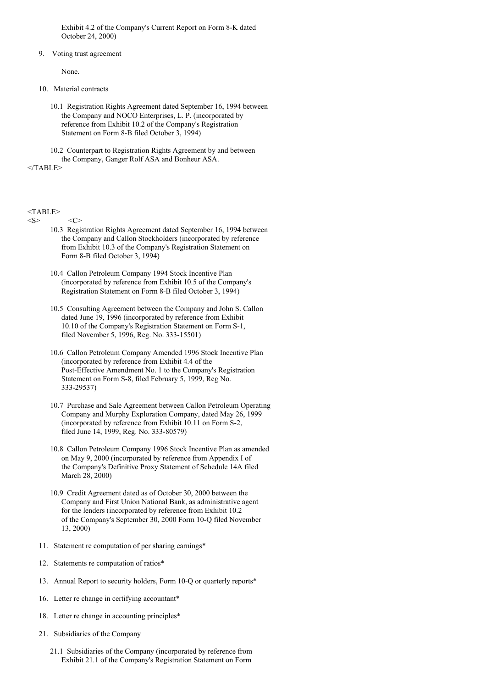Exhibit 4.2 of the Company's Current Report on Form 8-K dated October 24, 2000)

#### 9. Voting trust agreement

None.

- 10. Material contracts
	- 10.1 Registration Rights Agreement dated September 16, 1994 between the Company and NOCO Enterprises, L. P. (incorporated by reference from Exhibit 10.2 of the Company's Registration Statement on Form 8-B filed October 3, 1994)

10.2 Counterpart to Registration Rights Agreement by and between the Company, Ganger Rolf ASA and Bonheur ASA.

 $<$ /TABLE>

# <TABLE>

 $\langle S \rangle$   $\langle C \rangle$ 

- 10.3 Registration Rights Agreement dated September 16, 1994 between the Company and Callon Stockholders (incorporated by reference from Exhibit 10.3 of the Company's Registration Statement on Form 8-B filed October 3, 1994)
- 10.4 Callon Petroleum Company 1994 Stock Incentive Plan (incorporated by reference from Exhibit 10.5 of the Company's Registration Statement on Form 8-B filed October 3, 1994)
- 10.5 Consulting Agreement between the Company and John S. Callon dated June 19, 1996 (incorporated by reference from Exhibit 10.10 of the Company's Registration Statement on Form S-1, filed November 5, 1996, Reg. No. 333-15501)
- 10.6 Callon Petroleum Company Amended 1996 Stock Incentive Plan (incorporated by reference from Exhibit 4.4 of the Post-Effective Amendment No. 1 to the Company's Registration Statement on Form S-8, filed February 5, 1999, Reg No. 333-29537)
- 10.7 Purchase and Sale Agreement between Callon Petroleum Operating Company and Murphy Exploration Company, dated May 26, 1999 (incorporated by reference from Exhibit 10.11 on Form S-2, filed June 14, 1999, Reg. No. 333-80579)
- 10.8 Callon Petroleum Company 1996 Stock Incentive Plan as amended on May 9, 2000 (incorporated by reference from Appendix I of the Company's Definitive Proxy Statement of Schedule 14A filed March 28, 2000)
- 10.9 Credit Agreement dated as of October 30, 2000 between the Company and First Union National Bank, as administrative agent for the lenders (incorporated by reference from Exhibit 10.2 of the Company's September 30, 2000 Form 10-Q filed November 13, 2000)
- 11. Statement re computation of per sharing earnings\*
- 12. Statements re computation of ratios\*
- 13. Annual Report to security holders, Form 10-Q or quarterly reports\*
- 16. Letter re change in certifying accountant\*
- 18. Letter re change in accounting principles\*
- 21. Subsidiaries of the Company
	- 21.1 Subsidiaries of the Company (incorporated by reference from Exhibit 21.1 of the Company's Registration Statement on Form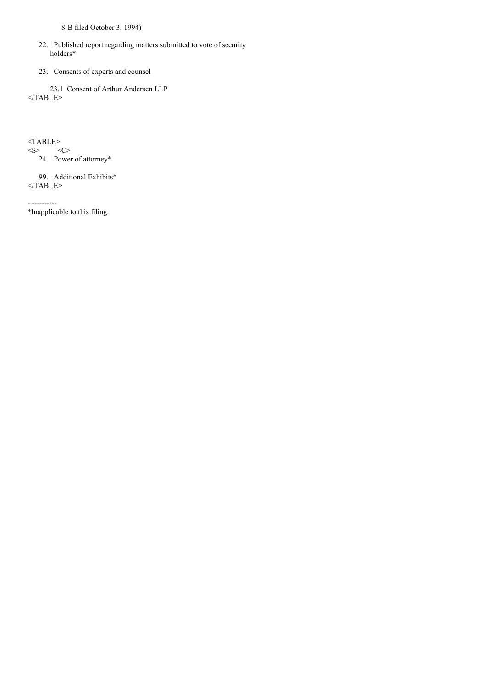8-B filed October 3, 1994)

- 22. Published report regarding matters submitted to vote of security holders\*
- 23. Consents of experts and counsel

23.1 Consent of Arthur Andersen LLP  $<$ /TABLE>

 $<$ TABLE> $<$ S> $<$ C>

 $<$ S $>$ 

24. Power of attorney\*

99. Additional Exhibits\*  $<$ /TABLE>

- ---------- \*Inapplicable to this filing.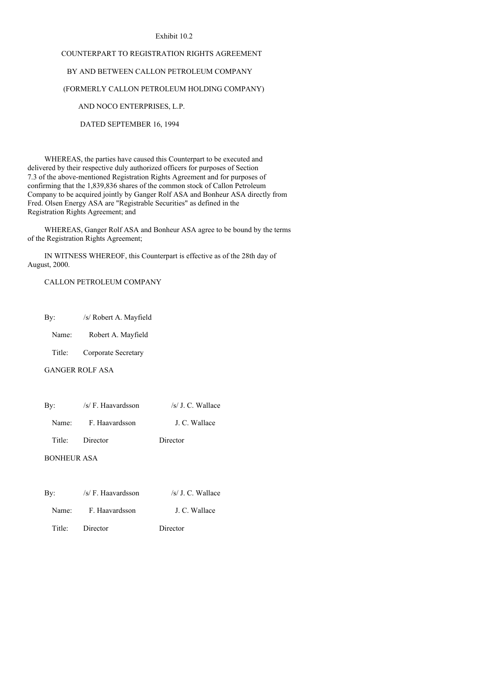#### Exhibit 10.2

# COUNTERPART TO REGISTRATION RIGHTS AGREEMENT

# BY AND BETWEEN CALLON PETROLEUM COMPANY

### (FORMERLY CALLON PETROLEUM HOLDING COMPANY)

# AND NOCO ENTERPRISES, L.P.

DATED SEPTEMBER 16, 1994

WHEREAS, the parties have caused this Counterpart to be executed and delivered by their respective duly authorized officers for purposes of Section 7.3 of the above-mentioned Registration Rights Agreement and for purposes of confirming that the 1,839,836 shares of the common stock of Callon Petroleum Company to be acquired jointly by Ganger Rolf ASA and Bonheur ASA directly from Fred. Olsen Energy ASA are "Registrable Securities" as defined in the Registration Rights Agreement; and

WHEREAS, Ganger Rolf ASA and Bonheur ASA agree to be bound by the terms of the Registration Rights Agreement;

IN WITNESS WHEREOF, this Counterpart is effective as of the 28th day of August, 2000.

# CALLON PETROLEUM COMPANY

By: /s/ Robert A. Mayfield

Name: Robert A. Mayfield

Title: Corporate Secretary

GANGER ROLF ASA

| By:                | /s/ F. Haavardsson | $/s/J$ . C. Wallace |
|--------------------|--------------------|---------------------|
| Name:              | F. Haavardsson     | J. C. Wallace       |
| Title:             | Director           | Director            |
| <b>BONHEUR ASA</b> |                    |                     |

| Bv:    | /s/ F. Haavardsson | $/s/J$ . C. Wallace |
|--------|--------------------|---------------------|
| Name:  | F. Haavardsson     | J. C. Wallace       |
| Title: | Director           | Director            |